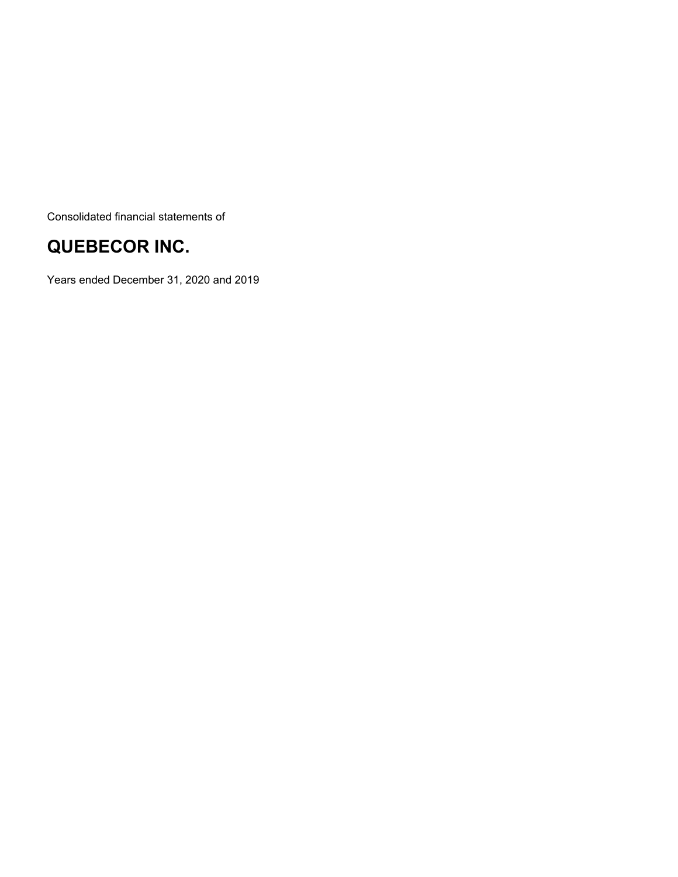Consolidated financial statements of

# **QUEBECOR INC.**

Years ended December 31, 2020 and 2019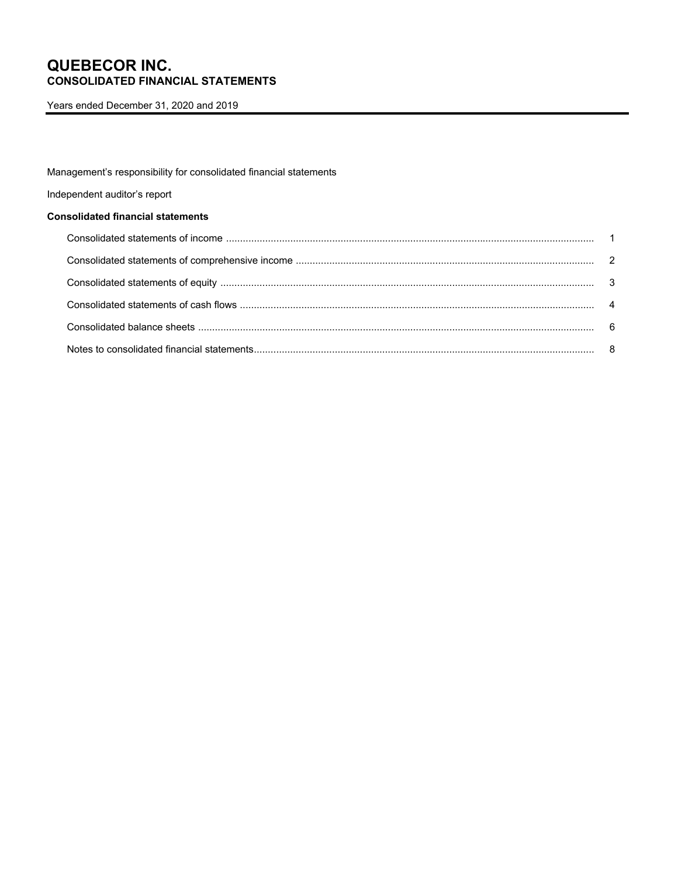## **QUEBECOR INC. CONSOLIDATED FINANCIAL STATEMENTS**

Years ended December 31, 2020 and 2019

Management's responsibility for consolidated financial statements

Independent auditor's report

## **Consolidated financial statements**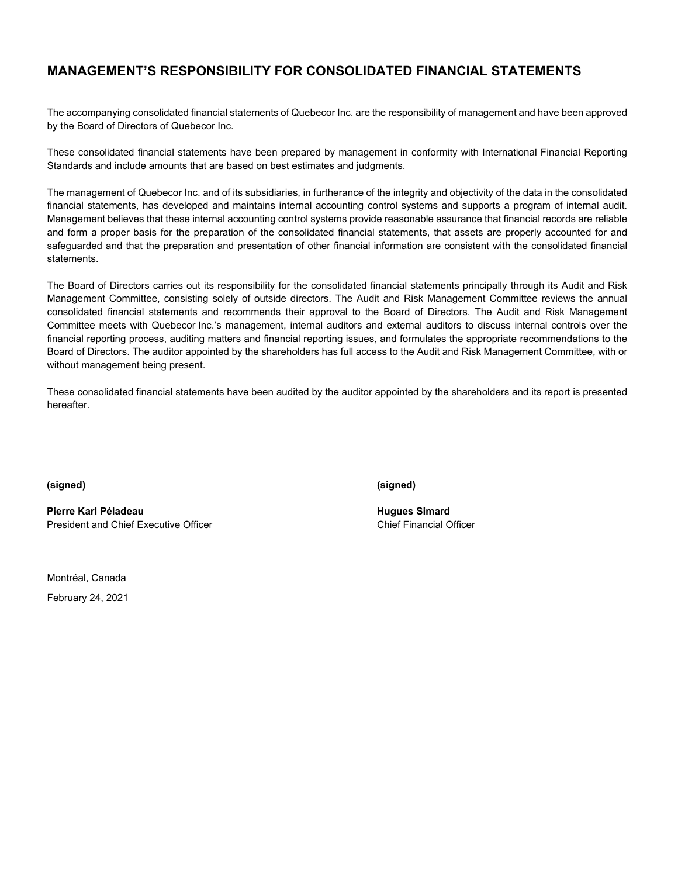## **MANAGEMENT'S RESPONSIBILITY FOR CONSOLIDATED FINANCIAL STATEMENTS**

The accompanying consolidated financial statements of Quebecor Inc. are the responsibility of management and have been approved by the Board of Directors of Quebecor Inc.

These consolidated financial statements have been prepared by management in conformity with International Financial Reporting Standards and include amounts that are based on best estimates and judgments.

The management of Quebecor Inc. and of its subsidiaries, in furtherance of the integrity and objectivity of the data in the consolidated financial statements, has developed and maintains internal accounting control systems and supports a program of internal audit. Management believes that these internal accounting control systems provide reasonable assurance that financial records are reliable and form a proper basis for the preparation of the consolidated financial statements, that assets are properly accounted for and safeguarded and that the preparation and presentation of other financial information are consistent with the consolidated financial statements.

The Board of Directors carries out its responsibility for the consolidated financial statements principally through its Audit and Risk Management Committee, consisting solely of outside directors. The Audit and Risk Management Committee reviews the annual consolidated financial statements and recommends their approval to the Board of Directors. The Audit and Risk Management Committee meets with Quebecor Inc.'s management, internal auditors and external auditors to discuss internal controls over the financial reporting process, auditing matters and financial reporting issues, and formulates the appropriate recommendations to the Board of Directors. The auditor appointed by the shareholders has full access to the Audit and Risk Management Committee, with or without management being present.

These consolidated financial statements have been audited by the auditor appointed by the shareholders and its report is presented hereafter.

**(signed)** 

**Pierre Karl Péladeau** President and Chief Executive Officer **(signed)** 

**Hugues Simard** Chief Financial Officer

Montréal, Canada

February 24, 2021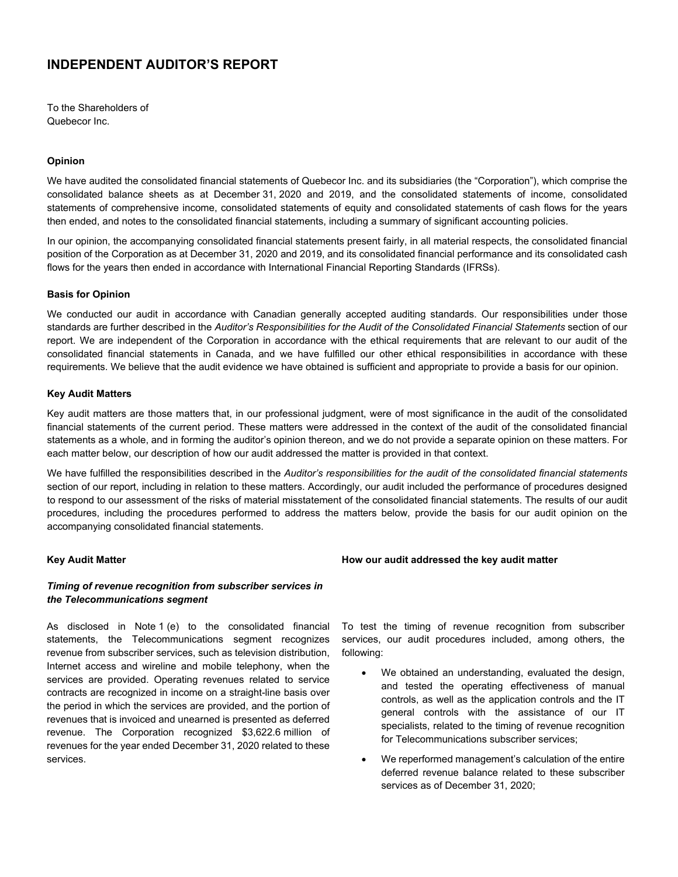## **INDEPENDENT AUDITOR'S REPORT**

To the Shareholders of Quebecor Inc.

### **Opinion**

We have audited the consolidated financial statements of Quebecor Inc. and its subsidiaries (the "Corporation"), which comprise the consolidated balance sheets as at December 31, 2020 and 2019, and the consolidated statements of income, consolidated statements of comprehensive income, consolidated statements of equity and consolidated statements of cash flows for the years then ended, and notes to the consolidated financial statements, including a summary of significant accounting policies.

In our opinion, the accompanying consolidated financial statements present fairly, in all material respects, the consolidated financial position of the Corporation as at December 31, 2020 and 2019, and its consolidated financial performance and its consolidated cash flows for the years then ended in accordance with International Financial Reporting Standards (IFRSs).

#### **Basis for Opinion**

We conducted our audit in accordance with Canadian generally accepted auditing standards. Our responsibilities under those standards are further described in the Auditor's Responsibilities for the Audit of the Consolidated Financial Statements section of our report. We are independent of the Corporation in accordance with the ethical requirements that are relevant to our audit of the consolidated financial statements in Canada, and we have fulfilled our other ethical responsibilities in accordance with these requirements. We believe that the audit evidence we have obtained is sufficient and appropriate to provide a basis for our opinion.

#### **Key Audit Matters**

Key audit matters are those matters that, in our professional judgment, were of most significance in the audit of the consolidated financial statements of the current period. These matters were addressed in the context of the audit of the consolidated financial statements as a whole, and in forming the auditor's opinion thereon, and we do not provide a separate opinion on these matters. For each matter below, our description of how our audit addressed the matter is provided in that context.

We have fulfilled the responsibilities described in the *Auditor's responsibilities for the audit of the consolidated financial statements*  section of our report, including in relation to these matters. Accordingly, our audit included the performance of procedures designed to respond to our assessment of the risks of material misstatement of the consolidated financial statements. The results of our audit procedures, including the procedures performed to address the matters below, provide the basis for our audit opinion on the accompanying consolidated financial statements.

### *Timing of revenue recognition from subscriber services in the Telecommunications segment*

As disclosed in Note 1 (e) to the consolidated financial statements, the Telecommunications segment recognizes revenue from subscriber services, such as television distribution, Internet access and wireline and mobile telephony, when the services are provided. Operating revenues related to service contracts are recognized in income on a straight-line basis over the period in which the services are provided, and the portion of revenues that is invoiced and unearned is presented as deferred revenue. The Corporation recognized \$3,622.6 million of revenues for the year ended December 31, 2020 related to these services.

#### Key Audit Matter **How our audit addressed the key audit matter How our audit addressed the key audit matter**

To test the timing of revenue recognition from subscriber services, our audit procedures included, among others, the following:

- We obtained an understanding, evaluated the design, and tested the operating effectiveness of manual controls, as well as the application controls and the IT general controls with the assistance of our IT specialists, related to the timing of revenue recognition for Telecommunications subscriber services;
- We reperformed management's calculation of the entire deferred revenue balance related to these subscriber services as of December 31, 2020;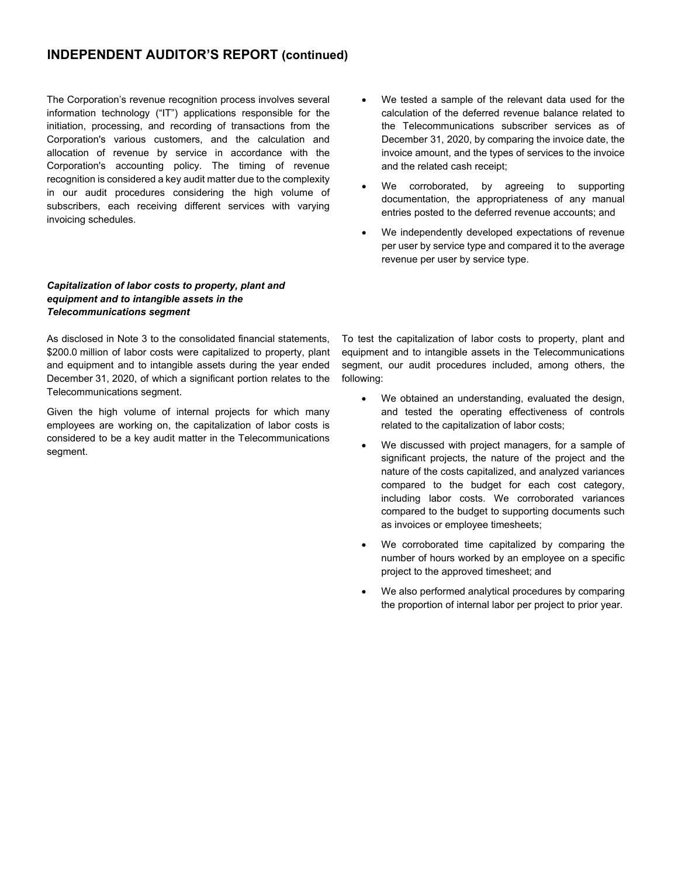## **INDEPENDENT AUDITOR'S REPORT (continued)**

The Corporation's revenue recognition process involves several information technology ("IT") applications responsible for the initiation, processing, and recording of transactions from the Corporation's various customers, and the calculation and allocation of revenue by service in accordance with the Corporation's accounting policy. The timing of revenue recognition is considered a key audit matter due to the complexity in our audit procedures considering the high volume of subscribers, each receiving different services with varying invoicing schedules.

## *Capitalization of labor costs to property, plant and equipment and to intangible assets in the Telecommunications segment*

As disclosed in Note 3 to the consolidated financial statements, \$200.0 million of labor costs were capitalized to property, plant and equipment and to intangible assets during the year ended December 31, 2020, of which a significant portion relates to the Telecommunications segment.

Given the high volume of internal projects for which many employees are working on, the capitalization of labor costs is considered to be a key audit matter in the Telecommunications segment.

- We tested a sample of the relevant data used for the calculation of the deferred revenue balance related to the Telecommunications subscriber services as of December 31, 2020, by comparing the invoice date, the invoice amount, and the types of services to the invoice and the related cash receipt;
- We corroborated, by agreeing to supporting documentation, the appropriateness of any manual entries posted to the deferred revenue accounts; and
- We independently developed expectations of revenue per user by service type and compared it to the average revenue per user by service type.

To test the capitalization of labor costs to property, plant and equipment and to intangible assets in the Telecommunications segment, our audit procedures included, among others, the following:

- We obtained an understanding, evaluated the design, and tested the operating effectiveness of controls related to the capitalization of labor costs;
- We discussed with project managers, for a sample of significant projects, the nature of the project and the nature of the costs capitalized, and analyzed variances compared to the budget for each cost category, including labor costs. We corroborated variances compared to the budget to supporting documents such as invoices or employee timesheets;
- We corroborated time capitalized by comparing the number of hours worked by an employee on a specific project to the approved timesheet; and
- We also performed analytical procedures by comparing the proportion of internal labor per project to prior year.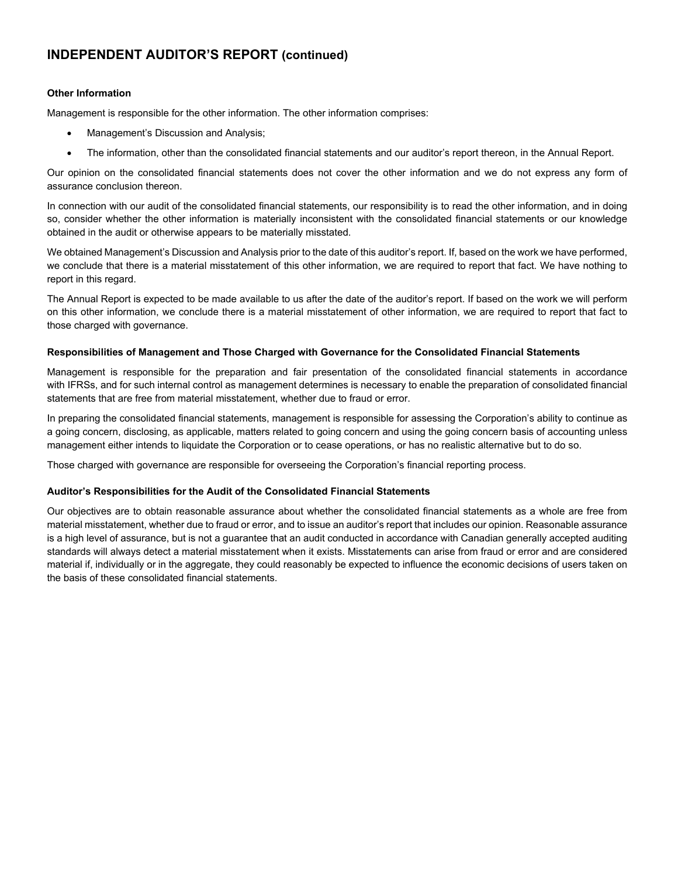## **INDEPENDENT AUDITOR'S REPORT (continued)**

### **Other Information**

Management is responsible for the other information. The other information comprises:

- Management's Discussion and Analysis;
- The information, other than the consolidated financial statements and our auditor's report thereon, in the Annual Report.

Our opinion on the consolidated financial statements does not cover the other information and we do not express any form of assurance conclusion thereon.

In connection with our audit of the consolidated financial statements, our responsibility is to read the other information, and in doing so, consider whether the other information is materially inconsistent with the consolidated financial statements or our knowledge obtained in the audit or otherwise appears to be materially misstated.

We obtained Management's Discussion and Analysis prior to the date of this auditor's report. If, based on the work we have performed, we conclude that there is a material misstatement of this other information, we are required to report that fact. We have nothing to report in this regard.

The Annual Report is expected to be made available to us after the date of the auditor's report. If based on the work we will perform on this other information, we conclude there is a material misstatement of other information, we are required to report that fact to those charged with governance.

### **Responsibilities of Management and Those Charged with Governance for the Consolidated Financial Statements**

Management is responsible for the preparation and fair presentation of the consolidated financial statements in accordance with IFRSs, and for such internal control as management determines is necessary to enable the preparation of consolidated financial statements that are free from material misstatement, whether due to fraud or error.

In preparing the consolidated financial statements, management is responsible for assessing the Corporation's ability to continue as a going concern, disclosing, as applicable, matters related to going concern and using the going concern basis of accounting unless management either intends to liquidate the Corporation or to cease operations, or has no realistic alternative but to do so.

Those charged with governance are responsible for overseeing the Corporation's financial reporting process.

### **Auditor's Responsibilities for the Audit of the Consolidated Financial Statements**

Our objectives are to obtain reasonable assurance about whether the consolidated financial statements as a whole are free from material misstatement, whether due to fraud or error, and to issue an auditor's report that includes our opinion. Reasonable assurance is a high level of assurance, but is not a guarantee that an audit conducted in accordance with Canadian generally accepted auditing standards will always detect a material misstatement when it exists. Misstatements can arise from fraud or error and are considered material if, individually or in the aggregate, they could reasonably be expected to influence the economic decisions of users taken on the basis of these consolidated financial statements.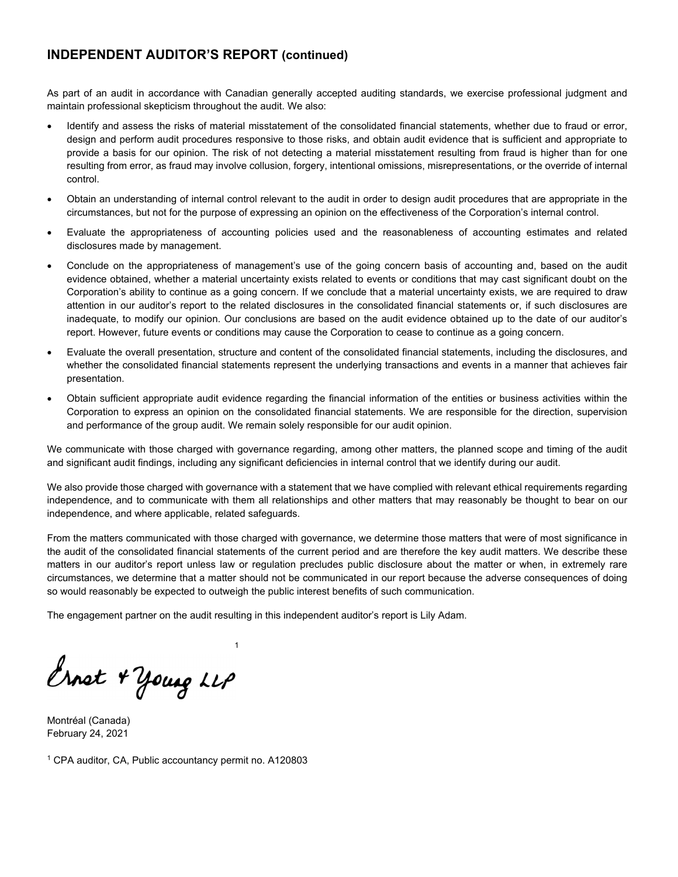## **INDEPENDENT AUDITOR'S REPORT (continued)**

As part of an audit in accordance with Canadian generally accepted auditing standards, we exercise professional judgment and maintain professional skepticism throughout the audit. We also:

- Identify and assess the risks of material misstatement of the consolidated financial statements, whether due to fraud or error, design and perform audit procedures responsive to those risks, and obtain audit evidence that is sufficient and appropriate to provide a basis for our opinion. The risk of not detecting a material misstatement resulting from fraud is higher than for one resulting from error, as fraud may involve collusion, forgery, intentional omissions, misrepresentations, or the override of internal control.
- Obtain an understanding of internal control relevant to the audit in order to design audit procedures that are appropriate in the circumstances, but not for the purpose of expressing an opinion on the effectiveness of the Corporation's internal control.
- Evaluate the appropriateness of accounting policies used and the reasonableness of accounting estimates and related disclosures made by management.
- Conclude on the appropriateness of management's use of the going concern basis of accounting and, based on the audit evidence obtained, whether a material uncertainty exists related to events or conditions that may cast significant doubt on the Corporation's ability to continue as a going concern. If we conclude that a material uncertainty exists, we are required to draw attention in our auditor's report to the related disclosures in the consolidated financial statements or, if such disclosures are inadequate, to modify our opinion. Our conclusions are based on the audit evidence obtained up to the date of our auditor's report. However, future events or conditions may cause the Corporation to cease to continue as a going concern.
- Evaluate the overall presentation, structure and content of the consolidated financial statements, including the disclosures, and whether the consolidated financial statements represent the underlying transactions and events in a manner that achieves fair presentation.
- Obtain sufficient appropriate audit evidence regarding the financial information of the entities or business activities within the Corporation to express an opinion on the consolidated financial statements. We are responsible for the direction, supervision and performance of the group audit. We remain solely responsible for our audit opinion.

We communicate with those charged with governance regarding, among other matters, the planned scope and timing of the audit and significant audit findings, including any significant deficiencies in internal control that we identify during our audit.

We also provide those charged with governance with a statement that we have complied with relevant ethical requirements regarding independence, and to communicate with them all relationships and other matters that may reasonably be thought to bear on our independence, and where applicable, related safeguards.

From the matters communicated with those charged with governance, we determine those matters that were of most significance in the audit of the consolidated financial statements of the current period and are therefore the key audit matters. We describe these matters in our auditor's report unless law or regulation precludes public disclosure about the matter or when, in extremely rare circumstances, we determine that a matter should not be communicated in our report because the adverse consequences of doing so would reasonably be expected to outweigh the public interest benefits of such communication.

The engagement partner on the audit resulting in this independent auditor's report is Lily Adam.

Ernet + young LLP

1

Montréal (Canada) February 24, 2021

1 CPA auditor, CA, Public accountancy permit no. A120803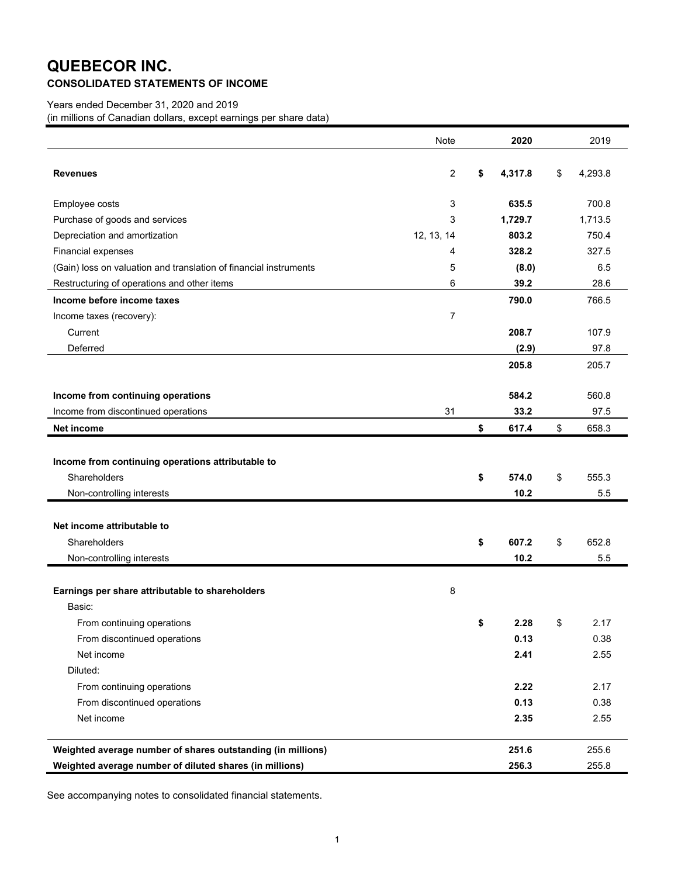## **QUEBECOR INC. CONSOLIDATED STATEMENTS OF INCOME**

Years ended December 31, 2020 and 2019

(in millions of Canadian dollars, except earnings per share data)

|                                                                                                | Note       | 2020                | 2019               |
|------------------------------------------------------------------------------------------------|------------|---------------------|--------------------|
| <b>Revenues</b>                                                                                | 2          | \$<br>4,317.8       | \$<br>4,293.8      |
| Employee costs                                                                                 | 3          | 635.5               | 700.8              |
| Purchase of goods and services                                                                 | 3          | 1,729.7             | 1,713.5            |
| Depreciation and amortization                                                                  | 12, 13, 14 | 803.2               | 750.4              |
| Financial expenses                                                                             | 4          | 328.2               | 327.5              |
| (Gain) loss on valuation and translation of financial instruments                              | 5          | (8.0)               | 6.5                |
| Restructuring of operations and other items                                                    | 6          | 39.2                | 28.6               |
| Income before income taxes                                                                     |            | 790.0               | 766.5              |
| Income taxes (recovery):                                                                       | 7          |                     |                    |
| Current                                                                                        |            | 208.7               | 107.9              |
| Deferred                                                                                       |            | (2.9)               | 97.8               |
|                                                                                                |            | 205.8               | 205.7              |
| Income from continuing operations                                                              |            | 584.2               | 560.8              |
| Income from discontinued operations                                                            | 31         | 33.2                | 97.5               |
| Net income                                                                                     |            | \$<br>617.4         | \$<br>658.3        |
| Income from continuing operations attributable to<br>Shareholders<br>Non-controlling interests |            | \$<br>574.0<br>10.2 | \$<br>555.3<br>5.5 |
| Net income attributable to<br>Shareholders<br>Non-controlling interests                        |            | \$<br>607.2<br>10.2 | \$<br>652.8<br>5.5 |
| Earnings per share attributable to shareholders<br>Basic:                                      | 8          |                     |                    |
| From continuing operations                                                                     |            | \$<br>2.28          | \$<br>2.17         |
| From discontinued operations                                                                   |            | 0.13                | 0.38               |
| Net income                                                                                     |            | 2.41                | 2.55               |
| Diluted:                                                                                       |            |                     |                    |
| From continuing operations                                                                     |            | 2.22                | 2.17               |
| From discontinued operations                                                                   |            | 0.13                | 0.38               |
| Net income                                                                                     |            | 2.35                | 2.55               |
| Weighted average number of shares outstanding (in millions)                                    |            | 251.6               | 255.6              |
| Weighted average number of diluted shares (in millions)                                        |            | 256.3               | 255.8              |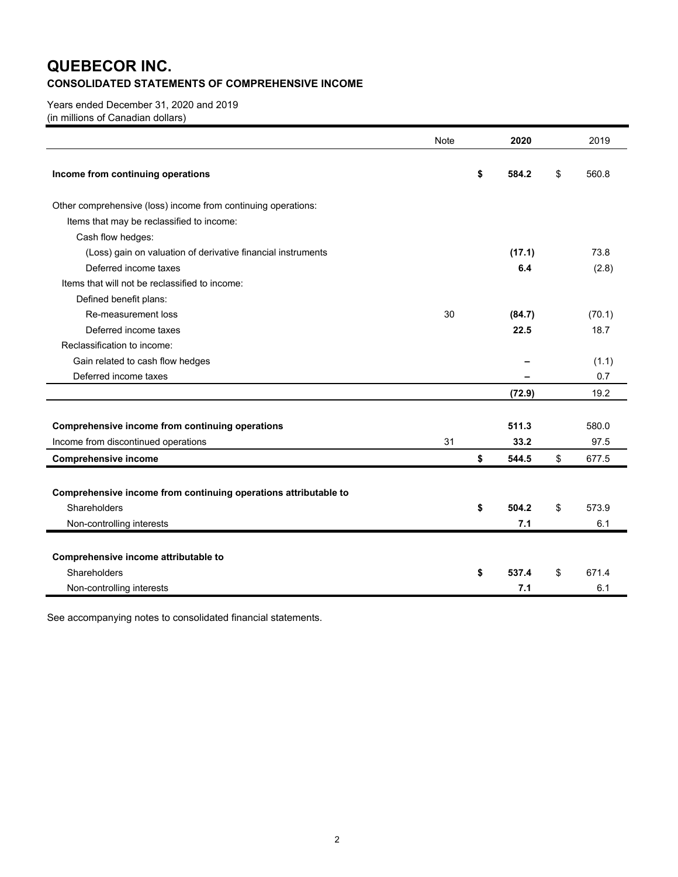## **QUEBECOR INC. CONSOLIDATED STATEMENTS OF COMPREHENSIVE INCOME**

Years ended December 31, 2020 and 2019 (in millions of Canadian dollars)

|                                                                 | <b>Note</b> | 2020        | 2019        |
|-----------------------------------------------------------------|-------------|-------------|-------------|
| Income from continuing operations                               |             | \$<br>584.2 | \$<br>560.8 |
| Other comprehensive (loss) income from continuing operations:   |             |             |             |
| Items that may be reclassified to income:                       |             |             |             |
| Cash flow hedges:                                               |             |             |             |
| (Loss) gain on valuation of derivative financial instruments    |             | (17.1)      | 73.8        |
| Deferred income taxes                                           |             | 6.4         | (2.8)       |
| Items that will not be reclassified to income:                  |             |             |             |
| Defined benefit plans:                                          |             |             |             |
| Re-measurement loss                                             | 30          | (84.7)      | (70.1)      |
| Deferred income taxes                                           |             | 22.5        | 18.7        |
| Reclassification to income:                                     |             |             |             |
| Gain related to cash flow hedges                                |             |             | (1.1)       |
| Deferred income taxes                                           |             |             | 0.7         |
|                                                                 |             | (72.9)      | 19.2        |
|                                                                 |             |             |             |
| Comprehensive income from continuing operations                 |             | 511.3       | 580.0       |
| Income from discontinued operations                             | 31          | 33.2        | 97.5        |
| <b>Comprehensive income</b>                                     |             | \$<br>544.5 | \$<br>677.5 |
|                                                                 |             |             |             |
| Comprehensive income from continuing operations attributable to |             |             |             |
| Shareholders                                                    |             | \$<br>504.2 | \$<br>573.9 |
| Non-controlling interests                                       |             | 7.1         | 6.1         |
|                                                                 |             |             |             |
| Comprehensive income attributable to                            |             |             |             |
| Shareholders                                                    |             | \$<br>537.4 | \$<br>671.4 |
| Non-controlling interests                                       |             | 7.1         | 6.1         |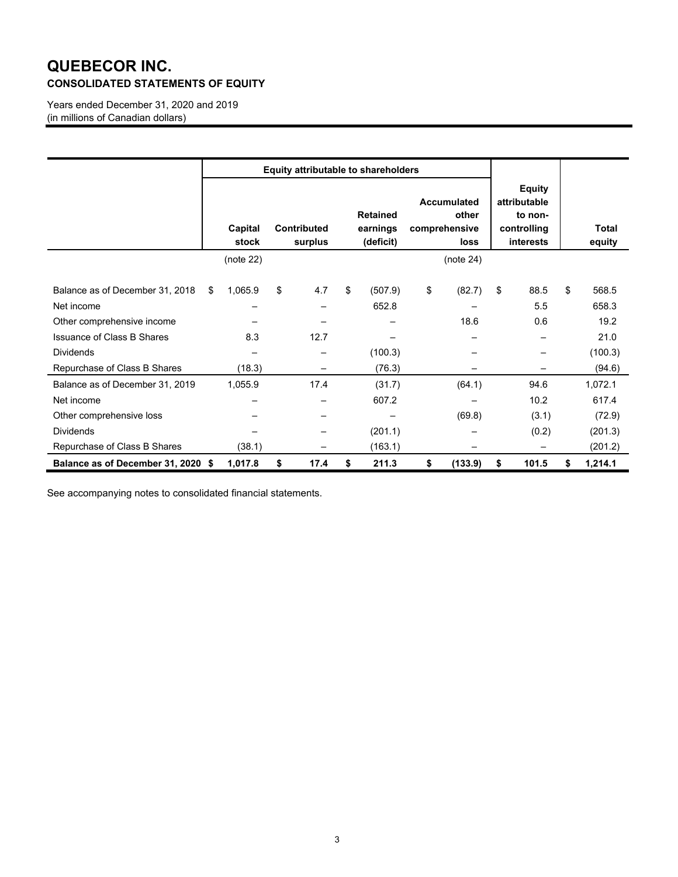## **QUEBECOR INC. CONSOLIDATED STATEMENTS OF EQUITY**

Years ended December 31, 2020 and 2019 (in millions of Canadian dollars)

|                                               | Equity attributable to shareholders |    |                               |    |                                          |    |                                                      |                                                                      |                        |
|-----------------------------------------------|-------------------------------------|----|-------------------------------|----|------------------------------------------|----|------------------------------------------------------|----------------------------------------------------------------------|------------------------|
|                                               | Capital<br>stock                    |    | <b>Contributed</b><br>surplus |    | <b>Retained</b><br>earnings<br>(deficit) |    | <b>Accumulated</b><br>other<br>comprehensive<br>loss | <b>Equity</b><br>attributable<br>to non-<br>controlling<br>interests | <b>Total</b><br>equity |
|                                               | (note 22)                           |    |                               |    |                                          |    | (note 24)                                            |                                                                      |                        |
| Balance as of December 31, 2018<br>Net income | \$<br>1,065.9                       | \$ | 4.7                           | \$ | (507.9)<br>652.8                         | \$ | (82.7)                                               | \$<br>88.5<br>5.5                                                    | \$<br>568.5<br>658.3   |
| Other comprehensive income                    |                                     |    |                               |    |                                          |    | 18.6                                                 | 0.6                                                                  | 19.2                   |
| <b>Issuance of Class B Shares</b>             | 8.3                                 |    | 12.7                          |    |                                          |    |                                                      |                                                                      | 21.0                   |
| <b>Dividends</b>                              |                                     |    |                               |    | (100.3)                                  |    |                                                      |                                                                      | (100.3)                |
| Repurchase of Class B Shares                  | (18.3)                              |    | Ξ.                            |    | (76.3)                                   |    | -                                                    | -                                                                    | (94.6)                 |
| Balance as of December 31, 2019               | 1,055.9                             |    | 17.4                          |    | (31.7)                                   |    | (64.1)                                               | 94.6                                                                 | 1,072.1                |
| Net income                                    |                                     |    |                               |    | 607.2                                    |    |                                                      | 10.2                                                                 | 617.4                  |
| Other comprehensive loss                      |                                     |    |                               |    |                                          |    | (69.8)                                               | (3.1)                                                                | (72.9)                 |
| <b>Dividends</b>                              |                                     |    |                               |    | (201.1)                                  |    |                                                      | (0.2)                                                                | (201.3)                |
| Repurchase of Class B Shares                  | (38.1)                              |    |                               |    | (163.1)                                  |    |                                                      |                                                                      | (201.2)                |
| Balance as of December 31, 2020 \$            | 1,017.8                             | \$ | 17.4                          | \$ | 211.3                                    | \$ | (133.9)                                              | \$<br>101.5                                                          | \$<br>1,214.1          |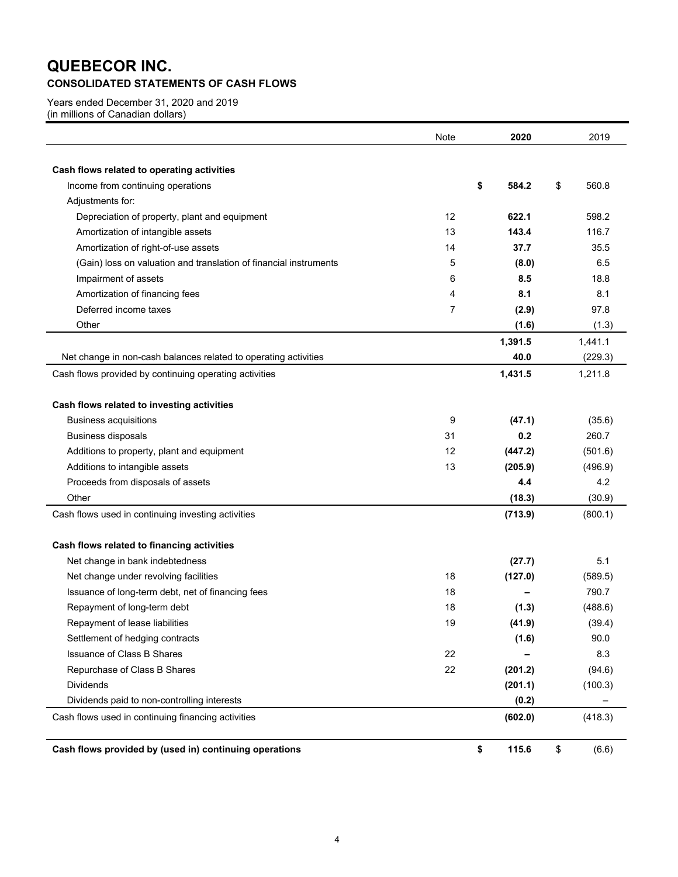# **QUEBECOR INC.**

## **CONSOLIDATED STATEMENTS OF CASH FLOWS**

Years ended December 31, 2020 and 2019 (in millions of Canadian dollars)

| Cash flows related to operating activities<br>Income from continuing operations<br>\$<br>584.2<br>\$<br>560.8<br>Adjustments for:<br>Depreciation of property, plant and equipment<br>12<br>622.1<br>598.2<br>Amortization of intangible assets<br>13<br>143.4<br>116.7<br>Amortization of right-of-use assets<br>14<br>37.7<br>35.5<br>(Gain) loss on valuation and translation of financial instruments<br>6.5<br>5<br>(8.0)<br>Impairment of assets<br>8.5<br>18.8<br>6<br>8.1<br>Amortization of financing fees<br>4<br>8.1<br>Deferred income taxes<br>7<br>97.8<br>(2.9)<br>Other<br>(1.6)<br>(1.3)<br>1,391.5<br>1,441.1<br>40.0<br>(229.3)<br>Net change in non-cash balances related to operating activities<br>1,431.5<br>Cash flows provided by continuing operating activities<br>1,211.8<br>Cash flows related to investing activities<br>9<br>(47.1)<br><b>Business acquisitions</b><br>(35.6)<br>0.2<br><b>Business disposals</b><br>31<br>260.7<br>Additions to property, plant and equipment<br>12<br>(447.2)<br>(501.6)<br>Additions to intangible assets<br>13<br>(205.9)<br>(496.9)<br>Proceeds from disposals of assets<br>4.4<br>4.2<br>Other<br>(30.9)<br>(18.3)<br>Cash flows used in continuing investing activities<br>(713.9)<br>(800.1)<br>Cash flows related to financing activities<br>5.1<br>Net change in bank indebtedness<br>(27.7)<br>18<br>(127.0)<br>Net change under revolving facilities<br>(589.5)<br>18<br>790.7<br>Issuance of long-term debt, net of financing fees<br>18<br>(1.3)<br>Repayment of long-term debt<br>(488.6)<br>19<br>Repayment of lease liabilities<br>(41.9)<br>(39.4)<br>Settlement of hedging contracts<br>(1.6)<br>90.0<br><b>Issuance of Class B Shares</b><br>22<br>8.3<br>22<br>Repurchase of Class B Shares<br>(201.2)<br>(94.6)<br><b>Dividends</b><br>(201.1)<br>(100.3)<br>Dividends paid to non-controlling interests<br>(0.2)<br>Cash flows used in continuing financing activities<br>(602.0)<br>(418.3)<br>Cash flows provided by (used in) continuing operations<br>\$<br>115.6<br>\$<br>(6.6) | Note | 2020 | 2019 |
|----------------------------------------------------------------------------------------------------------------------------------------------------------------------------------------------------------------------------------------------------------------------------------------------------------------------------------------------------------------------------------------------------------------------------------------------------------------------------------------------------------------------------------------------------------------------------------------------------------------------------------------------------------------------------------------------------------------------------------------------------------------------------------------------------------------------------------------------------------------------------------------------------------------------------------------------------------------------------------------------------------------------------------------------------------------------------------------------------------------------------------------------------------------------------------------------------------------------------------------------------------------------------------------------------------------------------------------------------------------------------------------------------------------------------------------------------------------------------------------------------------------------------------------------------------------------------------------------------------------------------------------------------------------------------------------------------------------------------------------------------------------------------------------------------------------------------------------------------------------------------------------------------------------------------------------------------------------------------------------------------------------------------------------------------------------------------|------|------|------|
|                                                                                                                                                                                                                                                                                                                                                                                                                                                                                                                                                                                                                                                                                                                                                                                                                                                                                                                                                                                                                                                                                                                                                                                                                                                                                                                                                                                                                                                                                                                                                                                                                                                                                                                                                                                                                                                                                                                                                                                                                                                                            |      |      |      |
|                                                                                                                                                                                                                                                                                                                                                                                                                                                                                                                                                                                                                                                                                                                                                                                                                                                                                                                                                                                                                                                                                                                                                                                                                                                                                                                                                                                                                                                                                                                                                                                                                                                                                                                                                                                                                                                                                                                                                                                                                                                                            |      |      |      |
|                                                                                                                                                                                                                                                                                                                                                                                                                                                                                                                                                                                                                                                                                                                                                                                                                                                                                                                                                                                                                                                                                                                                                                                                                                                                                                                                                                                                                                                                                                                                                                                                                                                                                                                                                                                                                                                                                                                                                                                                                                                                            |      |      |      |
|                                                                                                                                                                                                                                                                                                                                                                                                                                                                                                                                                                                                                                                                                                                                                                                                                                                                                                                                                                                                                                                                                                                                                                                                                                                                                                                                                                                                                                                                                                                                                                                                                                                                                                                                                                                                                                                                                                                                                                                                                                                                            |      |      |      |
|                                                                                                                                                                                                                                                                                                                                                                                                                                                                                                                                                                                                                                                                                                                                                                                                                                                                                                                                                                                                                                                                                                                                                                                                                                                                                                                                                                                                                                                                                                                                                                                                                                                                                                                                                                                                                                                                                                                                                                                                                                                                            |      |      |      |
|                                                                                                                                                                                                                                                                                                                                                                                                                                                                                                                                                                                                                                                                                                                                                                                                                                                                                                                                                                                                                                                                                                                                                                                                                                                                                                                                                                                                                                                                                                                                                                                                                                                                                                                                                                                                                                                                                                                                                                                                                                                                            |      |      |      |
|                                                                                                                                                                                                                                                                                                                                                                                                                                                                                                                                                                                                                                                                                                                                                                                                                                                                                                                                                                                                                                                                                                                                                                                                                                                                                                                                                                                                                                                                                                                                                                                                                                                                                                                                                                                                                                                                                                                                                                                                                                                                            |      |      |      |
|                                                                                                                                                                                                                                                                                                                                                                                                                                                                                                                                                                                                                                                                                                                                                                                                                                                                                                                                                                                                                                                                                                                                                                                                                                                                                                                                                                                                                                                                                                                                                                                                                                                                                                                                                                                                                                                                                                                                                                                                                                                                            |      |      |      |
|                                                                                                                                                                                                                                                                                                                                                                                                                                                                                                                                                                                                                                                                                                                                                                                                                                                                                                                                                                                                                                                                                                                                                                                                                                                                                                                                                                                                                                                                                                                                                                                                                                                                                                                                                                                                                                                                                                                                                                                                                                                                            |      |      |      |
|                                                                                                                                                                                                                                                                                                                                                                                                                                                                                                                                                                                                                                                                                                                                                                                                                                                                                                                                                                                                                                                                                                                                                                                                                                                                                                                                                                                                                                                                                                                                                                                                                                                                                                                                                                                                                                                                                                                                                                                                                                                                            |      |      |      |
|                                                                                                                                                                                                                                                                                                                                                                                                                                                                                                                                                                                                                                                                                                                                                                                                                                                                                                                                                                                                                                                                                                                                                                                                                                                                                                                                                                                                                                                                                                                                                                                                                                                                                                                                                                                                                                                                                                                                                                                                                                                                            |      |      |      |
|                                                                                                                                                                                                                                                                                                                                                                                                                                                                                                                                                                                                                                                                                                                                                                                                                                                                                                                                                                                                                                                                                                                                                                                                                                                                                                                                                                                                                                                                                                                                                                                                                                                                                                                                                                                                                                                                                                                                                                                                                                                                            |      |      |      |
|                                                                                                                                                                                                                                                                                                                                                                                                                                                                                                                                                                                                                                                                                                                                                                                                                                                                                                                                                                                                                                                                                                                                                                                                                                                                                                                                                                                                                                                                                                                                                                                                                                                                                                                                                                                                                                                                                                                                                                                                                                                                            |      |      |      |
|                                                                                                                                                                                                                                                                                                                                                                                                                                                                                                                                                                                                                                                                                                                                                                                                                                                                                                                                                                                                                                                                                                                                                                                                                                                                                                                                                                                                                                                                                                                                                                                                                                                                                                                                                                                                                                                                                                                                                                                                                                                                            |      |      |      |
|                                                                                                                                                                                                                                                                                                                                                                                                                                                                                                                                                                                                                                                                                                                                                                                                                                                                                                                                                                                                                                                                                                                                                                                                                                                                                                                                                                                                                                                                                                                                                                                                                                                                                                                                                                                                                                                                                                                                                                                                                                                                            |      |      |      |
|                                                                                                                                                                                                                                                                                                                                                                                                                                                                                                                                                                                                                                                                                                                                                                                                                                                                                                                                                                                                                                                                                                                                                                                                                                                                                                                                                                                                                                                                                                                                                                                                                                                                                                                                                                                                                                                                                                                                                                                                                                                                            |      |      |      |
|                                                                                                                                                                                                                                                                                                                                                                                                                                                                                                                                                                                                                                                                                                                                                                                                                                                                                                                                                                                                                                                                                                                                                                                                                                                                                                                                                                                                                                                                                                                                                                                                                                                                                                                                                                                                                                                                                                                                                                                                                                                                            |      |      |      |
|                                                                                                                                                                                                                                                                                                                                                                                                                                                                                                                                                                                                                                                                                                                                                                                                                                                                                                                                                                                                                                                                                                                                                                                                                                                                                                                                                                                                                                                                                                                                                                                                                                                                                                                                                                                                                                                                                                                                                                                                                                                                            |      |      |      |
|                                                                                                                                                                                                                                                                                                                                                                                                                                                                                                                                                                                                                                                                                                                                                                                                                                                                                                                                                                                                                                                                                                                                                                                                                                                                                                                                                                                                                                                                                                                                                                                                                                                                                                                                                                                                                                                                                                                                                                                                                                                                            |      |      |      |
|                                                                                                                                                                                                                                                                                                                                                                                                                                                                                                                                                                                                                                                                                                                                                                                                                                                                                                                                                                                                                                                                                                                                                                                                                                                                                                                                                                                                                                                                                                                                                                                                                                                                                                                                                                                                                                                                                                                                                                                                                                                                            |      |      |      |
|                                                                                                                                                                                                                                                                                                                                                                                                                                                                                                                                                                                                                                                                                                                                                                                                                                                                                                                                                                                                                                                                                                                                                                                                                                                                                                                                                                                                                                                                                                                                                                                                                                                                                                                                                                                                                                                                                                                                                                                                                                                                            |      |      |      |
|                                                                                                                                                                                                                                                                                                                                                                                                                                                                                                                                                                                                                                                                                                                                                                                                                                                                                                                                                                                                                                                                                                                                                                                                                                                                                                                                                                                                                                                                                                                                                                                                                                                                                                                                                                                                                                                                                                                                                                                                                                                                            |      |      |      |
|                                                                                                                                                                                                                                                                                                                                                                                                                                                                                                                                                                                                                                                                                                                                                                                                                                                                                                                                                                                                                                                                                                                                                                                                                                                                                                                                                                                                                                                                                                                                                                                                                                                                                                                                                                                                                                                                                                                                                                                                                                                                            |      |      |      |
|                                                                                                                                                                                                                                                                                                                                                                                                                                                                                                                                                                                                                                                                                                                                                                                                                                                                                                                                                                                                                                                                                                                                                                                                                                                                                                                                                                                                                                                                                                                                                                                                                                                                                                                                                                                                                                                                                                                                                                                                                                                                            |      |      |      |
|                                                                                                                                                                                                                                                                                                                                                                                                                                                                                                                                                                                                                                                                                                                                                                                                                                                                                                                                                                                                                                                                                                                                                                                                                                                                                                                                                                                                                                                                                                                                                                                                                                                                                                                                                                                                                                                                                                                                                                                                                                                                            |      |      |      |
|                                                                                                                                                                                                                                                                                                                                                                                                                                                                                                                                                                                                                                                                                                                                                                                                                                                                                                                                                                                                                                                                                                                                                                                                                                                                                                                                                                                                                                                                                                                                                                                                                                                                                                                                                                                                                                                                                                                                                                                                                                                                            |      |      |      |
|                                                                                                                                                                                                                                                                                                                                                                                                                                                                                                                                                                                                                                                                                                                                                                                                                                                                                                                                                                                                                                                                                                                                                                                                                                                                                                                                                                                                                                                                                                                                                                                                                                                                                                                                                                                                                                                                                                                                                                                                                                                                            |      |      |      |
|                                                                                                                                                                                                                                                                                                                                                                                                                                                                                                                                                                                                                                                                                                                                                                                                                                                                                                                                                                                                                                                                                                                                                                                                                                                                                                                                                                                                                                                                                                                                                                                                                                                                                                                                                                                                                                                                                                                                                                                                                                                                            |      |      |      |
|                                                                                                                                                                                                                                                                                                                                                                                                                                                                                                                                                                                                                                                                                                                                                                                                                                                                                                                                                                                                                                                                                                                                                                                                                                                                                                                                                                                                                                                                                                                                                                                                                                                                                                                                                                                                                                                                                                                                                                                                                                                                            |      |      |      |
|                                                                                                                                                                                                                                                                                                                                                                                                                                                                                                                                                                                                                                                                                                                                                                                                                                                                                                                                                                                                                                                                                                                                                                                                                                                                                                                                                                                                                                                                                                                                                                                                                                                                                                                                                                                                                                                                                                                                                                                                                                                                            |      |      |      |
|                                                                                                                                                                                                                                                                                                                                                                                                                                                                                                                                                                                                                                                                                                                                                                                                                                                                                                                                                                                                                                                                                                                                                                                                                                                                                                                                                                                                                                                                                                                                                                                                                                                                                                                                                                                                                                                                                                                                                                                                                                                                            |      |      |      |
|                                                                                                                                                                                                                                                                                                                                                                                                                                                                                                                                                                                                                                                                                                                                                                                                                                                                                                                                                                                                                                                                                                                                                                                                                                                                                                                                                                                                                                                                                                                                                                                                                                                                                                                                                                                                                                                                                                                                                                                                                                                                            |      |      |      |
|                                                                                                                                                                                                                                                                                                                                                                                                                                                                                                                                                                                                                                                                                                                                                                                                                                                                                                                                                                                                                                                                                                                                                                                                                                                                                                                                                                                                                                                                                                                                                                                                                                                                                                                                                                                                                                                                                                                                                                                                                                                                            |      |      |      |
|                                                                                                                                                                                                                                                                                                                                                                                                                                                                                                                                                                                                                                                                                                                                                                                                                                                                                                                                                                                                                                                                                                                                                                                                                                                                                                                                                                                                                                                                                                                                                                                                                                                                                                                                                                                                                                                                                                                                                                                                                                                                            |      |      |      |
|                                                                                                                                                                                                                                                                                                                                                                                                                                                                                                                                                                                                                                                                                                                                                                                                                                                                                                                                                                                                                                                                                                                                                                                                                                                                                                                                                                                                                                                                                                                                                                                                                                                                                                                                                                                                                                                                                                                                                                                                                                                                            |      |      |      |
|                                                                                                                                                                                                                                                                                                                                                                                                                                                                                                                                                                                                                                                                                                                                                                                                                                                                                                                                                                                                                                                                                                                                                                                                                                                                                                                                                                                                                                                                                                                                                                                                                                                                                                                                                                                                                                                                                                                                                                                                                                                                            |      |      |      |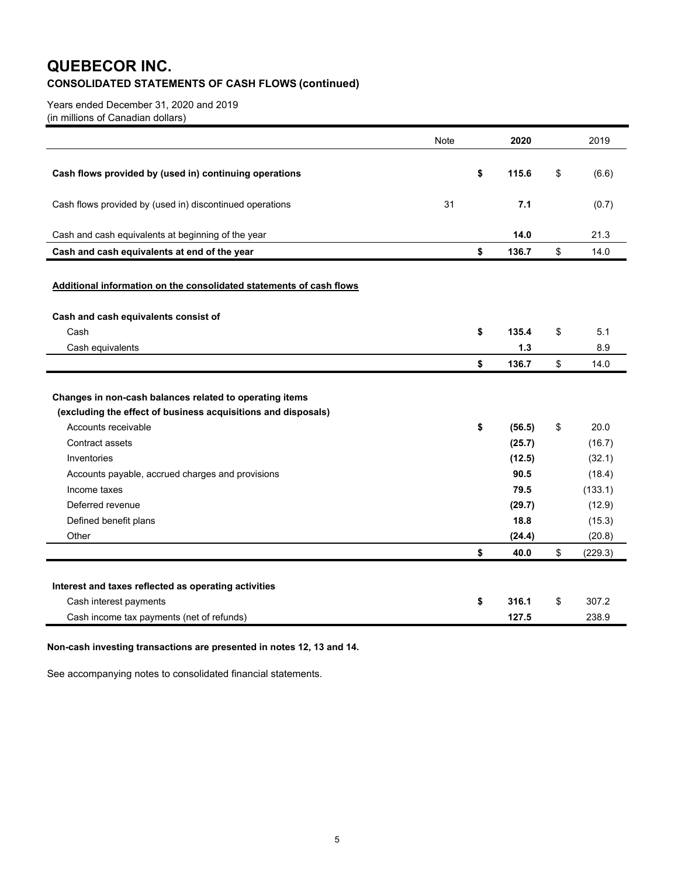## **QUEBECOR INC. CONSOLIDATED STATEMENTS OF CASH FLOWS (continued)**

Years ended December 31, 2020 and 2019 (in millions of Canadian dollars)

|                                                                                                                          | Note | 2020           | 2019          |
|--------------------------------------------------------------------------------------------------------------------------|------|----------------|---------------|
| Cash flows provided by (used in) continuing operations                                                                   |      | \$<br>115.6    | \$<br>(6.6)   |
| Cash flows provided by (used in) discontinued operations                                                                 | 31   | 7.1            | (0.7)         |
| Cash and cash equivalents at beginning of the year                                                                       |      | 14.0           | 21.3          |
| Cash and cash equivalents at end of the year                                                                             |      | \$<br>136.7    | \$<br>14.0    |
| Additional information on the consolidated statements of cash flows                                                      |      |                |               |
| Cash and cash equivalents consist of                                                                                     |      |                |               |
| Cash                                                                                                                     |      | \$<br>135.4    | \$<br>5.1     |
| Cash equivalents                                                                                                         |      | 1.3            | 8.9           |
|                                                                                                                          |      | \$<br>136.7    | \$<br>14.0    |
| Changes in non-cash balances related to operating items<br>(excluding the effect of business acquisitions and disposals) |      |                |               |
| Accounts receivable                                                                                                      |      | \$<br>(56.5)   | \$<br>20.0    |
| Contract assets                                                                                                          |      | (25.7)         | (16.7)        |
| Inventories                                                                                                              |      | (12.5)         | (32.1)        |
| Accounts payable, accrued charges and provisions                                                                         |      | 90.5           | (18.4)        |
| Income taxes                                                                                                             |      | 79.5           | (133.1)       |
| Deferred revenue                                                                                                         |      | (29.7)         | (12.9)        |
| Defined benefit plans                                                                                                    |      | 18.8           | (15.3)        |
| Other                                                                                                                    |      | (24.4)<br>40.0 | (20.8)        |
|                                                                                                                          |      | \$             | \$<br>(229.3) |
| Interest and taxes reflected as operating activities                                                                     |      |                |               |
| Cash interest payments                                                                                                   |      | \$<br>316.1    | \$<br>307.2   |
| Cash income tax payments (net of refunds)                                                                                |      | 127.5          | 238.9         |

## **Non-cash investing transactions are presented in notes 12, 13 and 14.**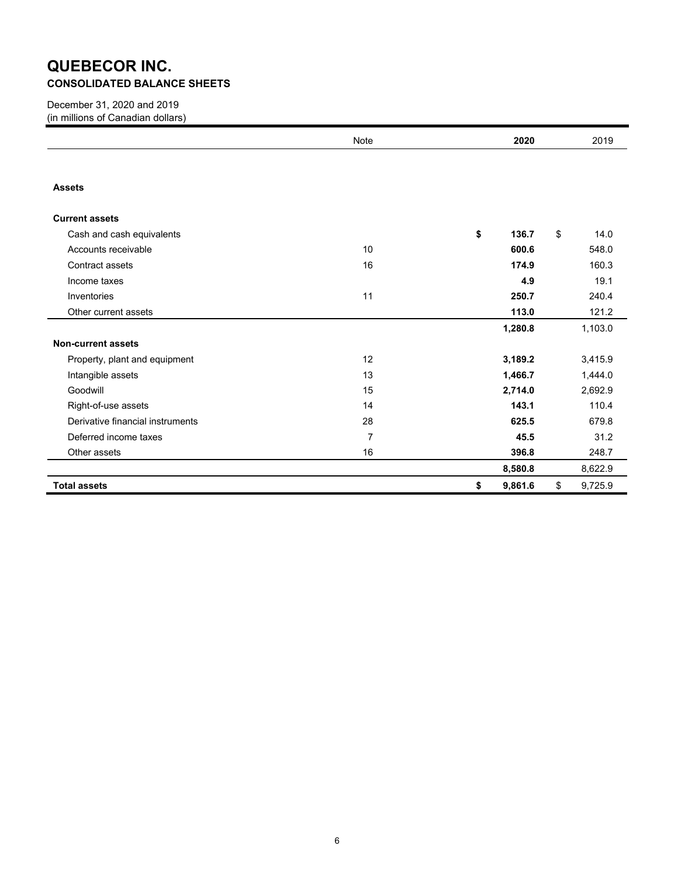## **QUEBECOR INC. CONSOLIDATED BALANCE SHEETS**

December 31, 2020 and 2019 (in millions of Canadian dollars)

|                                  | <b>Note</b>     | 2020          | 2019          |
|----------------------------------|-----------------|---------------|---------------|
|                                  |                 |               |               |
| <b>Assets</b>                    |                 |               |               |
| <b>Current assets</b>            |                 |               |               |
| Cash and cash equivalents        |                 | \$<br>136.7   | \$<br>14.0    |
| Accounts receivable              | 10 <sup>1</sup> | 600.6         | 548.0         |
| Contract assets                  | 16              | 174.9         | 160.3         |
| Income taxes                     |                 | 4.9           | 19.1          |
| Inventories                      | 11              | 250.7         | 240.4         |
| Other current assets             |                 | 113.0         | 121.2         |
|                                  |                 | 1,280.8       | 1,103.0       |
| <b>Non-current assets</b>        |                 |               |               |
| Property, plant and equipment    | 12              | 3,189.2       | 3,415.9       |
| Intangible assets                | 13              | 1,466.7       | 1,444.0       |
| Goodwill                         | 15              | 2,714.0       | 2,692.9       |
| Right-of-use assets              | 14              | 143.1         | 110.4         |
| Derivative financial instruments | 28              | 625.5         | 679.8         |
| Deferred income taxes            | $\overline{7}$  | 45.5          | 31.2          |
| Other assets                     | 16              | 396.8         | 248.7         |
|                                  |                 | 8,580.8       | 8,622.9       |
| <b>Total assets</b>              |                 | \$<br>9,861.6 | \$<br>9,725.9 |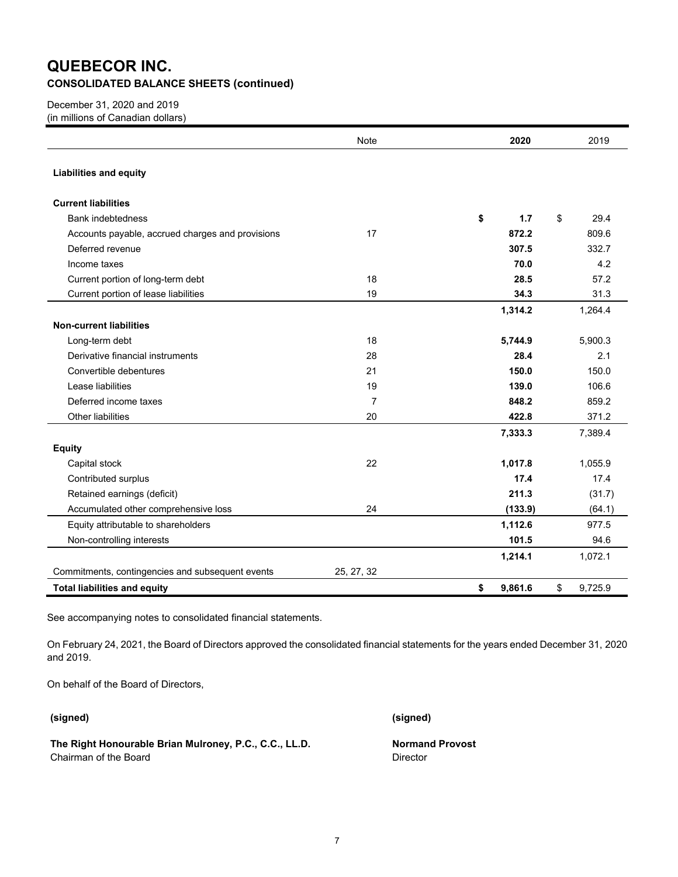## **QUEBECOR INC. CONSOLIDATED BALANCE SHEETS (continued)**

December 31, 2020 and 2019 (in millions of Canadian dollars)

|                                                  | Note           | 2020          | 2019          |
|--------------------------------------------------|----------------|---------------|---------------|
| <b>Liabilities and equity</b>                    |                |               |               |
| <b>Current liabilities</b>                       |                |               |               |
| <b>Bank indebtedness</b>                         |                | \$<br>1.7     | \$<br>29.4    |
| Accounts payable, accrued charges and provisions | 17             | 872.2         | 809.6         |
| Deferred revenue                                 |                | 307.5         | 332.7         |
| Income taxes                                     |                | 70.0          | 4.2           |
| Current portion of long-term debt                | 18             | 28.5          | 57.2          |
| Current portion of lease liabilities             | 19             | 34.3          | 31.3          |
|                                                  |                | 1,314.2       | 1,264.4       |
| <b>Non-current liabilities</b>                   |                |               |               |
| Long-term debt                                   | 18             | 5,744.9       | 5,900.3       |
| Derivative financial instruments                 | 28             | 28.4          | 2.1           |
| Convertible debentures                           | 21             | 150.0         | 150.0         |
| Lease liabilities                                | 19             | 139.0         | 106.6         |
| Deferred income taxes                            | $\overline{7}$ | 848.2         | 859.2         |
| Other liabilities                                | 20             | 422.8         | 371.2         |
|                                                  |                | 7,333.3       | 7,389.4       |
| <b>Equity</b>                                    |                |               |               |
| Capital stock                                    | 22             | 1,017.8       | 1,055.9       |
| Contributed surplus                              |                | 17.4          | 17.4          |
| Retained earnings (deficit)                      |                | 211.3         | (31.7)        |
| Accumulated other comprehensive loss             | 24             | (133.9)       | (64.1)        |
| Equity attributable to shareholders              |                | 1,112.6       | 977.5         |
| Non-controlling interests                        |                | 101.5         | 94.6          |
|                                                  |                | 1,214.1       | 1,072.1       |
| Commitments, contingencies and subsequent events | 25, 27, 32     |               |               |
| <b>Total liabilities and equity</b>              |                | \$<br>9,861.6 | \$<br>9,725.9 |

See accompanying notes to consolidated financial statements.

On February 24, 2021, the Board of Directors approved the consolidated financial statements for the years ended December 31, 2020 and 2019.

On behalf of the Board of Directors,

**The Right Honourable Brian Mulroney, P.C., C.C., LL.D.** Chairman of the Board

**(signed) (signed)** 

**Normand Provost Director**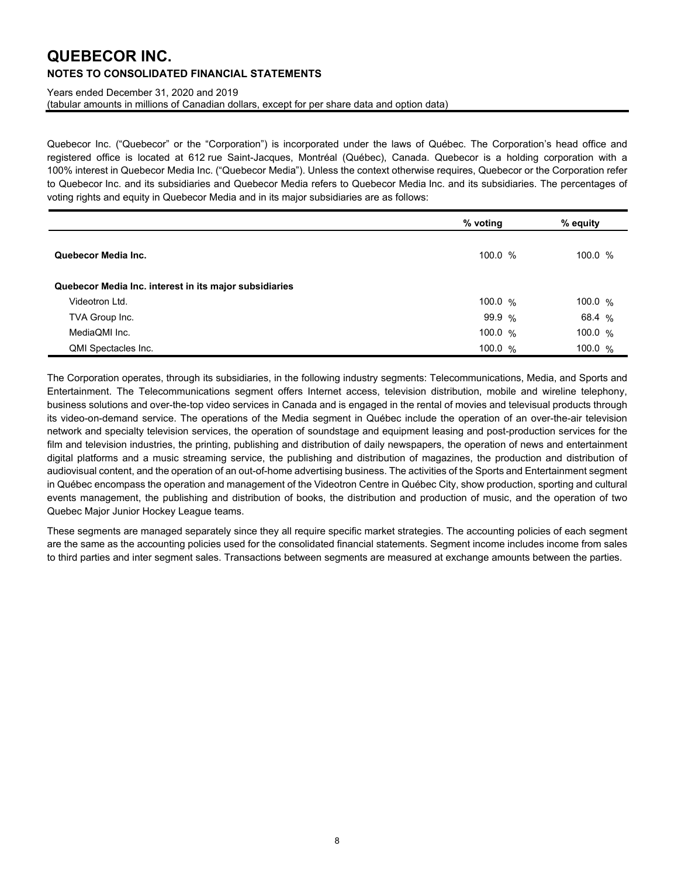Years ended December 31, 2020 and 2019 (tabular amounts in millions of Canadian dollars, except for per share data and option data)

Quebecor Inc. ("Quebecor" or the "Corporation") is incorporated under the laws of Québec. The Corporation's head office and registered office is located at 612 rue Saint-Jacques, Montréal (Québec), Canada. Quebecor is a holding corporation with a 100% interest in Quebecor Media Inc. ("Quebecor Media"). Unless the context otherwise requires, Quebecor or the Corporation refer to Quebecor Inc. and its subsidiaries and Quebecor Media refers to Quebecor Media Inc. and its subsidiaries. The percentages of voting rights and equity in Quebecor Media and in its major subsidiaries are as follows:

|                                                        | % voting  | % equity  |
|--------------------------------------------------------|-----------|-----------|
|                                                        |           |           |
| Quebecor Media Inc.                                    | 100.0 %   | 100.0 %   |
|                                                        |           |           |
| Quebecor Media Inc. interest in its major subsidiaries |           |           |
| Videotron Ltd.                                         | 100.0 $%$ | 100.0 $%$ |
| TVA Group Inc.                                         | 99.9 %    | 68.4 %    |
| MediaQMI Inc.                                          | 100.0 $%$ | 100.0 %   |
| QMI Spectacles Inc.                                    | 100.0 $%$ | 100.0 %   |

The Corporation operates, through its subsidiaries, in the following industry segments: Telecommunications, Media, and Sports and Entertainment. The Telecommunications segment offers Internet access, television distribution, mobile and wireline telephony, business solutions and over-the-top video services in Canada and is engaged in the rental of movies and televisual products through its video-on-demand service. The operations of the Media segment in Québec include the operation of an over-the-air television network and specialty television services, the operation of soundstage and equipment leasing and post-production services for the film and television industries, the printing, publishing and distribution of daily newspapers, the operation of news and entertainment digital platforms and a music streaming service, the publishing and distribution of magazines, the production and distribution of audiovisual content, and the operation of an out-of-home advertising business. The activities of the Sports and Entertainment segment in Québec encompass the operation and management of the Videotron Centre in Québec City, show production, sporting and cultural events management, the publishing and distribution of books, the distribution and production of music, and the operation of two Quebec Major Junior Hockey League teams.

These segments are managed separately since they all require specific market strategies. The accounting policies of each segment are the same as the accounting policies used for the consolidated financial statements. Segment income includes income from sales to third parties and inter segment sales. Transactions between segments are measured at exchange amounts between the parties.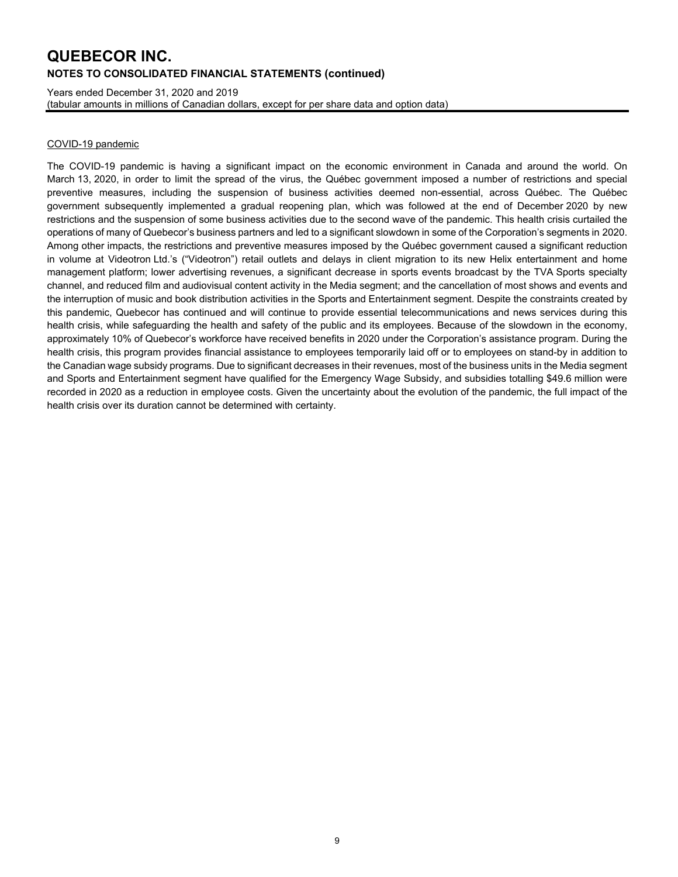Years ended December 31, 2020 and 2019 (tabular amounts in millions of Canadian dollars, except for per share data and option data)

### COVID-19 pandemic

The COVID-19 pandemic is having a significant impact on the economic environment in Canada and around the world. On March 13, 2020, in order to limit the spread of the virus, the Québec government imposed a number of restrictions and special preventive measures, including the suspension of business activities deemed non-essential, across Québec. The Québec government subsequently implemented a gradual reopening plan, which was followed at the end of December 2020 by new restrictions and the suspension of some business activities due to the second wave of the pandemic. This health crisis curtailed the operations of many of Quebecor's business partners and led to a significant slowdown in some of the Corporation's segments in 2020. Among other impacts, the restrictions and preventive measures imposed by the Québec government caused a significant reduction in volume at Videotron Ltd.'s ("Videotron") retail outlets and delays in client migration to its new Helix entertainment and home management platform; lower advertising revenues, a significant decrease in sports events broadcast by the TVA Sports specialty channel, and reduced film and audiovisual content activity in the Media segment; and the cancellation of most shows and events and the interruption of music and book distribution activities in the Sports and Entertainment segment. Despite the constraints created by this pandemic, Quebecor has continued and will continue to provide essential telecommunications and news services during this health crisis, while safeguarding the health and safety of the public and its employees. Because of the slowdown in the economy, approximately 10% of Quebecor's workforce have received benefits in 2020 under the Corporation's assistance program. During the health crisis, this program provides financial assistance to employees temporarily laid off or to employees on stand-by in addition to the Canadian wage subsidy programs. Due to significant decreases in their revenues, most of the business units in the Media segment and Sports and Entertainment segment have qualified for the Emergency Wage Subsidy, and subsidies totalling \$49.6 million were recorded in 2020 as a reduction in employee costs. Given the uncertainty about the evolution of the pandemic, the full impact of the health crisis over its duration cannot be determined with certainty.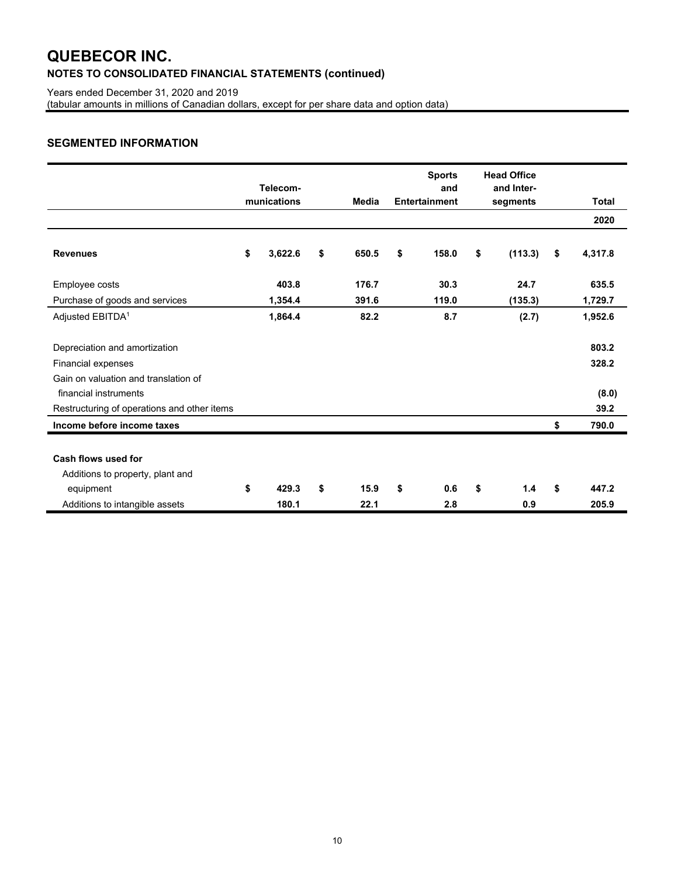Years ended December 31, 2020 and 2019 (tabular amounts in millions of Canadian dollars, except for per share data and option data)

## **SEGMENTED INFORMATION**

|                                             | Telecom-<br>munications | Media       | <b>Sports</b><br>and<br><b>Entertainment</b> | <b>Head Office</b><br>and Inter-<br>segments | <b>Total</b>  |
|---------------------------------------------|-------------------------|-------------|----------------------------------------------|----------------------------------------------|---------------|
|                                             |                         |             |                                              |                                              | 2020          |
| <b>Revenues</b>                             | \$<br>3,622.6           | \$<br>650.5 | \$<br>158.0                                  | \$<br>(113.3)                                | \$<br>4,317.8 |
| Employee costs                              | 403.8                   | 176.7       | 30.3                                         | 24.7                                         | 635.5         |
| Purchase of goods and services              | 1,354.4                 | 391.6       | 119.0                                        | (135.3)                                      | 1,729.7       |
| Adjusted EBITDA <sup>1</sup>                | 1,864.4                 | 82.2        | 8.7                                          | (2.7)                                        | 1,952.6       |
|                                             |                         |             |                                              |                                              |               |
| Depreciation and amortization               |                         |             |                                              |                                              | 803.2         |
| <b>Financial expenses</b>                   |                         |             |                                              |                                              | 328.2         |
| Gain on valuation and translation of        |                         |             |                                              |                                              |               |
| financial instruments                       |                         |             |                                              |                                              | (8.0)         |
| Restructuring of operations and other items |                         |             |                                              |                                              | 39.2          |
| Income before income taxes                  |                         |             |                                              |                                              | \$<br>790.0   |
|                                             |                         |             |                                              |                                              |               |
| Cash flows used for                         |                         |             |                                              |                                              |               |
| Additions to property, plant and            |                         |             |                                              |                                              |               |
| equipment                                   | \$<br>429.3             | \$<br>15.9  | \$<br>0.6                                    | \$<br>1.4                                    | \$<br>447.2   |
| Additions to intangible assets              | 180.1                   | 22.1        | 2.8                                          | 0.9                                          | 205.9         |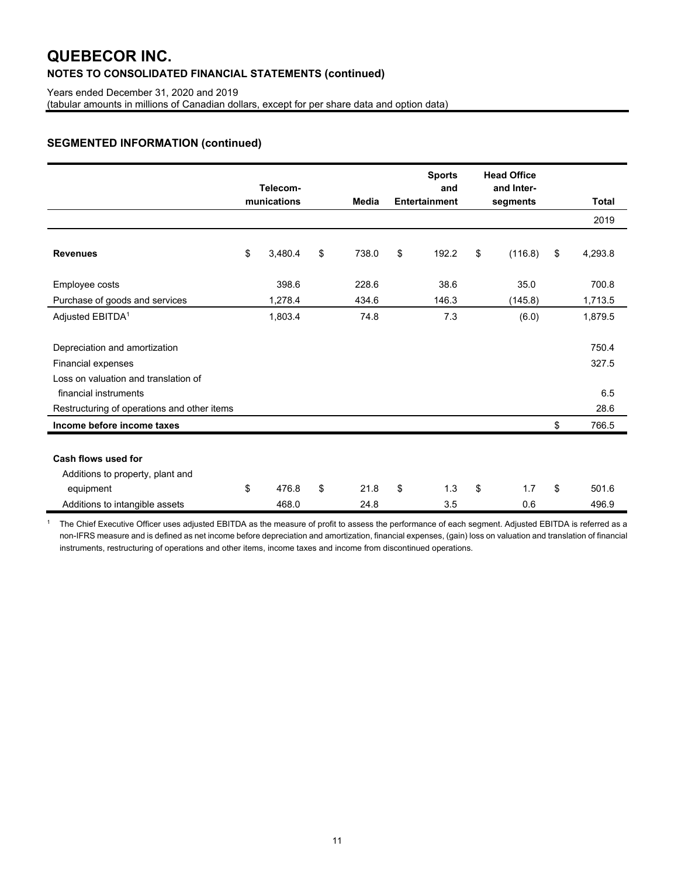## **SEGMENTED INFORMATION (continued)**

|                                             | Telecom-      |              | <b>Sports</b><br>and | <b>Head Office</b><br>and Inter- |               |
|---------------------------------------------|---------------|--------------|----------------------|----------------------------------|---------------|
|                                             | munications   | <b>Media</b> | <b>Entertainment</b> | segments                         | <b>Total</b>  |
|                                             |               |              |                      |                                  | 2019          |
| <b>Revenues</b>                             | \$<br>3,480.4 | \$<br>738.0  | \$<br>192.2          | \$<br>(116.8)                    | \$<br>4,293.8 |
| Employee costs                              | 398.6         | 228.6        | 38.6                 | 35.0                             | 700.8         |
| Purchase of goods and services              | 1,278.4       | 434.6        | 146.3                | (145.8)                          | 1,713.5       |
| Adjusted EBITDA <sup>1</sup>                | 1,803.4       | 74.8         | 7.3                  | (6.0)                            | 1,879.5       |
|                                             |               |              |                      |                                  |               |
| Depreciation and amortization               |               |              |                      |                                  | 750.4         |
| Financial expenses                          |               |              |                      |                                  | 327.5         |
| Loss on valuation and translation of        |               |              |                      |                                  |               |
| financial instruments                       |               |              |                      |                                  | 6.5           |
| Restructuring of operations and other items |               |              |                      |                                  | 28.6          |
| Income before income taxes                  |               |              |                      |                                  | \$<br>766.5   |
|                                             |               |              |                      |                                  |               |
| Cash flows used for                         |               |              |                      |                                  |               |
| Additions to property, plant and            |               |              |                      |                                  |               |
| equipment                                   | \$<br>476.8   | \$<br>21.8   | \$<br>1.3            | \$<br>1.7                        | \$<br>501.6   |
| Additions to intangible assets              | 468.0         | 24.8         | 3.5                  | 0.6                              | 496.9         |

<sup>1</sup> The Chief Executive Officer uses adjusted EBITDA as the measure of profit to assess the performance of each segment. Adjusted EBITDA is referred as a non-IFRS measure and is defined as net income before depreciation and amortization, financial expenses, (gain) loss on valuation and translation of financial instruments, restructuring of operations and other items, income taxes and income from discontinued operations.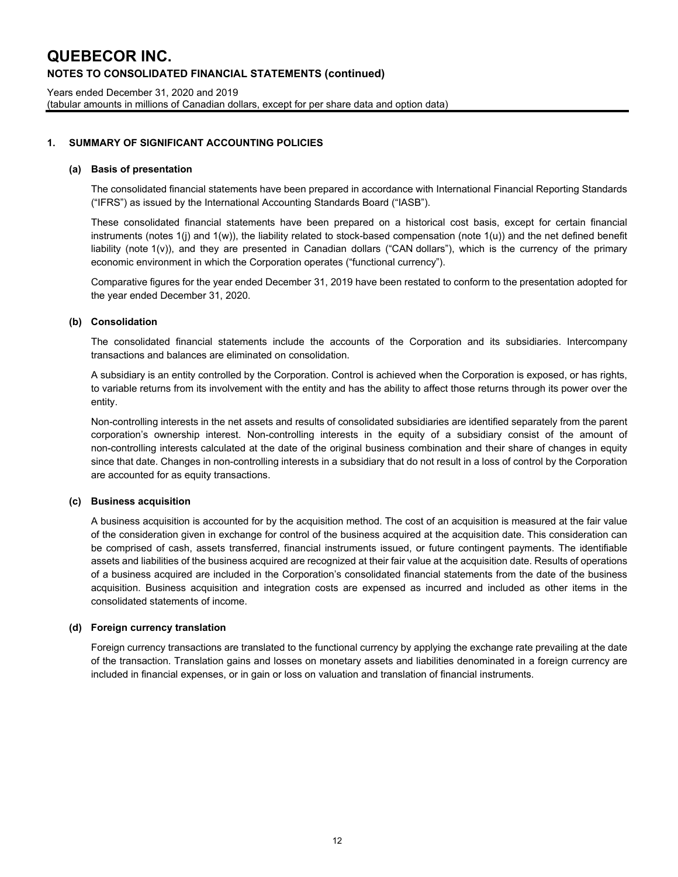Years ended December 31, 2020 and 2019 (tabular amounts in millions of Canadian dollars, except for per share data and option data)

## **1. SUMMARY OF SIGNIFICANT ACCOUNTING POLICIES**

## **(a) Basis of presentation**

The consolidated financial statements have been prepared in accordance with International Financial Reporting Standards ("IFRS") as issued by the International Accounting Standards Board ("IASB").

These consolidated financial statements have been prepared on a historical cost basis, except for certain financial instruments (notes  $1(i)$  and  $1(w)$ ), the liability related to stock-based compensation (note  $1(u)$ ) and the net defined benefit liability (note 1(v)), and they are presented in Canadian dollars ("CAN dollars"), which is the currency of the primary economic environment in which the Corporation operates ("functional currency").

Comparative figures for the year ended December 31, 2019 have been restated to conform to the presentation adopted for the year ended December 31, 2020.

## **(b) Consolidation**

The consolidated financial statements include the accounts of the Corporation and its subsidiaries. Intercompany transactions and balances are eliminated on consolidation.

A subsidiary is an entity controlled by the Corporation. Control is achieved when the Corporation is exposed, or has rights, to variable returns from its involvement with the entity and has the ability to affect those returns through its power over the entity.

Non-controlling interests in the net assets and results of consolidated subsidiaries are identified separately from the parent corporation's ownership interest. Non-controlling interests in the equity of a subsidiary consist of the amount of non-controlling interests calculated at the date of the original business combination and their share of changes in equity since that date. Changes in non-controlling interests in a subsidiary that do not result in a loss of control by the Corporation are accounted for as equity transactions.

## **(c) Business acquisition**

A business acquisition is accounted for by the acquisition method. The cost of an acquisition is measured at the fair value of the consideration given in exchange for control of the business acquired at the acquisition date. This consideration can be comprised of cash, assets transferred, financial instruments issued, or future contingent payments. The identifiable assets and liabilities of the business acquired are recognized at their fair value at the acquisition date. Results of operations of a business acquired are included in the Corporation's consolidated financial statements from the date of the business acquisition. Business acquisition and integration costs are expensed as incurred and included as other items in the consolidated statements of income.

## **(d) Foreign currency translation**

Foreign currency transactions are translated to the functional currency by applying the exchange rate prevailing at the date of the transaction. Translation gains and losses on monetary assets and liabilities denominated in a foreign currency are included in financial expenses, or in gain or loss on valuation and translation of financial instruments.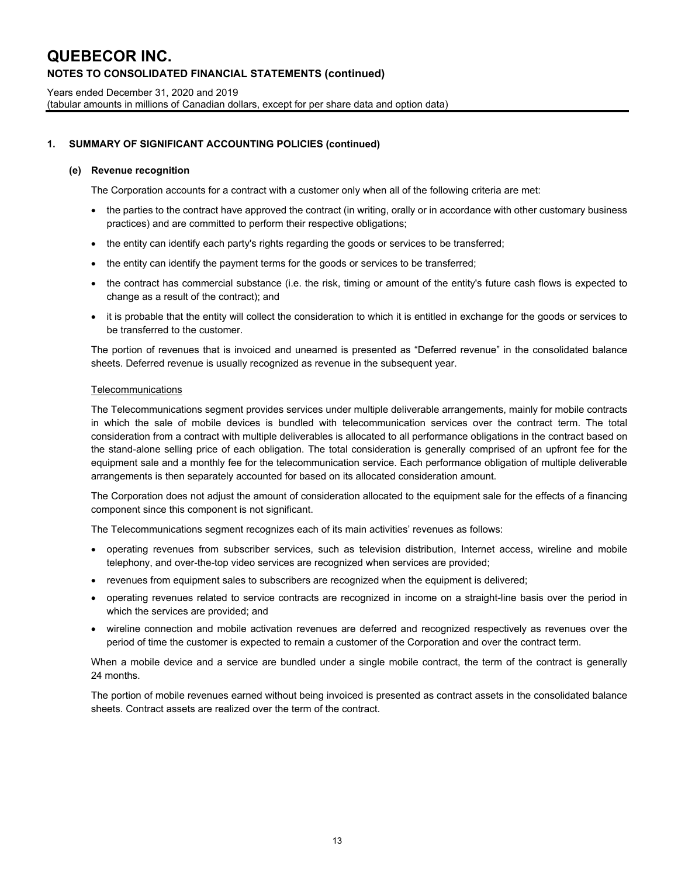Years ended December 31, 2020 and 2019 (tabular amounts in millions of Canadian dollars, except for per share data and option data)

## **1. SUMMARY OF SIGNIFICANT ACCOUNTING POLICIES (continued)**

### **(e) Revenue recognition**

The Corporation accounts for a contract with a customer only when all of the following criteria are met:

- the parties to the contract have approved the contract (in writing, orally or in accordance with other customary business practices) and are committed to perform their respective obligations;
- the entity can identify each party's rights regarding the goods or services to be transferred;
- the entity can identify the payment terms for the goods or services to be transferred;
- the contract has commercial substance (i.e. the risk, timing or amount of the entity's future cash flows is expected to change as a result of the contract); and
- it is probable that the entity will collect the consideration to which it is entitled in exchange for the goods or services to be transferred to the customer.

The portion of revenues that is invoiced and unearned is presented as "Deferred revenue" in the consolidated balance sheets. Deferred revenue is usually recognized as revenue in the subsequent year.

## **Telecommunications**

The Telecommunications segment provides services under multiple deliverable arrangements, mainly for mobile contracts in which the sale of mobile devices is bundled with telecommunication services over the contract term. The total consideration from a contract with multiple deliverables is allocated to all performance obligations in the contract based on the stand-alone selling price of each obligation. The total consideration is generally comprised of an upfront fee for the equipment sale and a monthly fee for the telecommunication service. Each performance obligation of multiple deliverable arrangements is then separately accounted for based on its allocated consideration amount.

The Corporation does not adjust the amount of consideration allocated to the equipment sale for the effects of a financing component since this component is not significant.

The Telecommunications segment recognizes each of its main activities' revenues as follows:

- operating revenues from subscriber services, such as television distribution, Internet access, wireline and mobile telephony, and over-the-top video services are recognized when services are provided;
- revenues from equipment sales to subscribers are recognized when the equipment is delivered;
- operating revenues related to service contracts are recognized in income on a straight-line basis over the period in which the services are provided; and
- wireline connection and mobile activation revenues are deferred and recognized respectively as revenues over the period of time the customer is expected to remain a customer of the Corporation and over the contract term.

When a mobile device and a service are bundled under a single mobile contract, the term of the contract is generally 24 months.

The portion of mobile revenues earned without being invoiced is presented as contract assets in the consolidated balance sheets. Contract assets are realized over the term of the contract.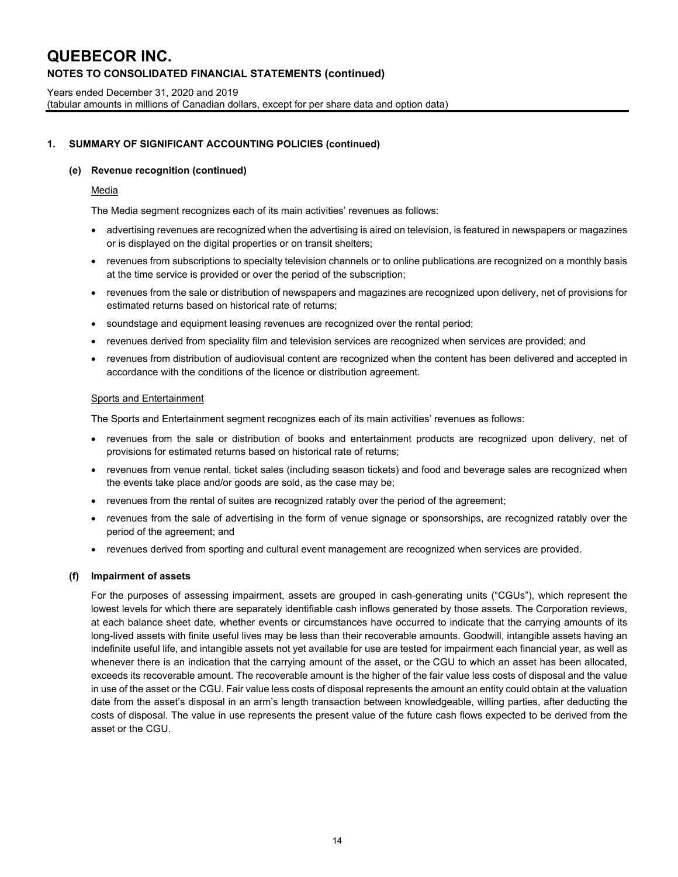Years ended December 31, 2020 and 2019 (tabular amounts in millions of Canadian dollars, except for per share data and option data)

## **1. SUMMARY OF SIGNIFICANT ACCOUNTING POLICIES (continued)**

## **(e) Revenue recognition (continued)**

## Media

The Media segment recognizes each of its main activities' revenues as follows:

- advertising revenues are recognized when the advertising is aired on television, is featured in newspapers or magazines or is displayed on the digital properties or on transit shelters;
- revenues from subscriptions to specialty television channels or to online publications are recognized on a monthly basis at the time service is provided or over the period of the subscription;
- revenues from the sale or distribution of newspapers and magazines are recognized upon delivery, net of provisions for estimated returns based on historical rate of returns;
- soundstage and equipment leasing revenues are recognized over the rental period;
- revenues derived from speciality film and television services are recognized when services are provided; and
- revenues from distribution of audiovisual content are recognized when the content has been delivered and accepted in accordance with the conditions of the licence or distribution agreement.

### Sports and Entertainment

The Sports and Entertainment segment recognizes each of its main activities' revenues as follows:

- revenues from the sale or distribution of books and entertainment products are recognized upon delivery, net of provisions for estimated returns based on historical rate of returns;
- revenues from venue rental, ticket sales (including season tickets) and food and beverage sales are recognized when the events take place and/or goods are sold, as the case may be;
- revenues from the rental of suites are recognized ratably over the period of the agreement;
- revenues from the sale of advertising in the form of venue signage or sponsorships, are recognized ratably over the period of the agreement; and
- revenues derived from sporting and cultural event management are recognized when services are provided.

## **(f) Impairment of assets**

For the purposes of assessing impairment, assets are grouped in cash-generating units ("CGUs"), which represent the lowest levels for which there are separately identifiable cash inflows generated by those assets. The Corporation reviews, at each balance sheet date, whether events or circumstances have occurred to indicate that the carrying amounts of its long-lived assets with finite useful lives may be less than their recoverable amounts. Goodwill, intangible assets having an indefinite useful life, and intangible assets not yet available for use are tested for impairment each financial year, as well as whenever there is an indication that the carrying amount of the asset, or the CGU to which an asset has been allocated, exceeds its recoverable amount. The recoverable amount is the higher of the fair value less costs of disposal and the value in use of the asset or the CGU. Fair value less costs of disposal represents the amount an entity could obtain at the valuation date from the asset's disposal in an arm's length transaction between knowledgeable, willing parties, after deducting the costs of disposal. The value in use represents the present value of the future cash flows expected to be derived from the asset or the CGU.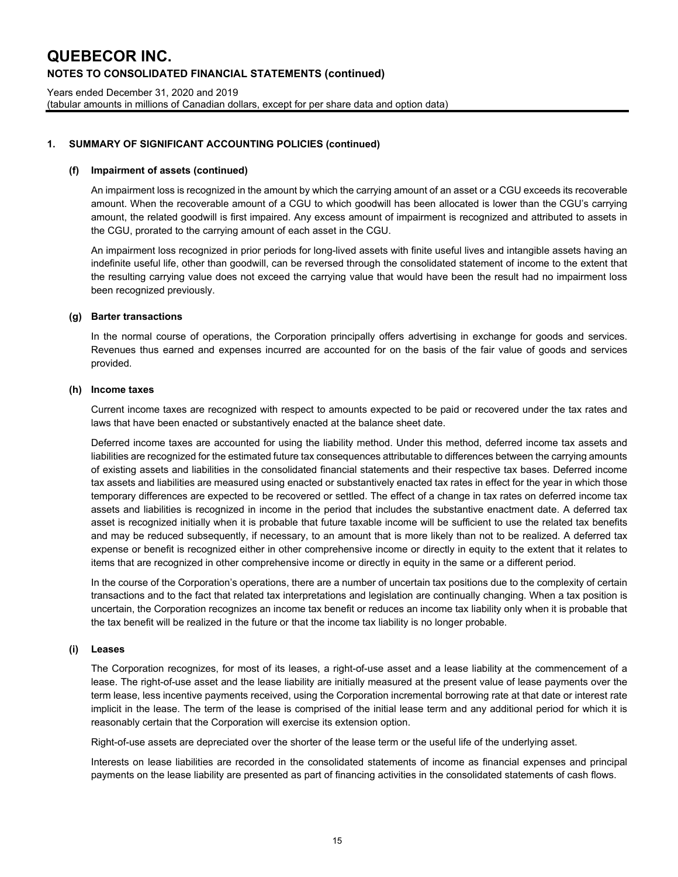Years ended December 31, 2020 and 2019 (tabular amounts in millions of Canadian dollars, except for per share data and option data)

## **1. SUMMARY OF SIGNIFICANT ACCOUNTING POLICIES (continued)**

### **(f) Impairment of assets (continued)**

An impairment loss is recognized in the amount by which the carrying amount of an asset or a CGU exceeds its recoverable amount. When the recoverable amount of a CGU to which goodwill has been allocated is lower than the CGU's carrying amount, the related goodwill is first impaired. Any excess amount of impairment is recognized and attributed to assets in the CGU, prorated to the carrying amount of each asset in the CGU.

An impairment loss recognized in prior periods for long-lived assets with finite useful lives and intangible assets having an indefinite useful life, other than goodwill, can be reversed through the consolidated statement of income to the extent that the resulting carrying value does not exceed the carrying value that would have been the result had no impairment loss been recognized previously.

## **(g) Barter transactions**

In the normal course of operations, the Corporation principally offers advertising in exchange for goods and services. Revenues thus earned and expenses incurred are accounted for on the basis of the fair value of goods and services provided.

### **(h) Income taxes**

Current income taxes are recognized with respect to amounts expected to be paid or recovered under the tax rates and laws that have been enacted or substantively enacted at the balance sheet date.

Deferred income taxes are accounted for using the liability method. Under this method, deferred income tax assets and liabilities are recognized for the estimated future tax consequences attributable to differences between the carrying amounts of existing assets and liabilities in the consolidated financial statements and their respective tax bases. Deferred income tax assets and liabilities are measured using enacted or substantively enacted tax rates in effect for the year in which those temporary differences are expected to be recovered or settled. The effect of a change in tax rates on deferred income tax assets and liabilities is recognized in income in the period that includes the substantive enactment date. A deferred tax asset is recognized initially when it is probable that future taxable income will be sufficient to use the related tax benefits and may be reduced subsequently, if necessary, to an amount that is more likely than not to be realized. A deferred tax expense or benefit is recognized either in other comprehensive income or directly in equity to the extent that it relates to items that are recognized in other comprehensive income or directly in equity in the same or a different period.

In the course of the Corporation's operations, there are a number of uncertain tax positions due to the complexity of certain transactions and to the fact that related tax interpretations and legislation are continually changing. When a tax position is uncertain, the Corporation recognizes an income tax benefit or reduces an income tax liability only when it is probable that the tax benefit will be realized in the future or that the income tax liability is no longer probable.

### **(i) Leases**

The Corporation recognizes, for most of its leases, a right-of-use asset and a lease liability at the commencement of a lease. The right-of-use asset and the lease liability are initially measured at the present value of lease payments over the term lease, less incentive payments received, using the Corporation incremental borrowing rate at that date or interest rate implicit in the lease. The term of the lease is comprised of the initial lease term and any additional period for which it is reasonably certain that the Corporation will exercise its extension option.

Right-of-use assets are depreciated over the shorter of the lease term or the useful life of the underlying asset.

Interests on lease liabilities are recorded in the consolidated statements of income as financial expenses and principal payments on the lease liability are presented as part of financing activities in the consolidated statements of cash flows.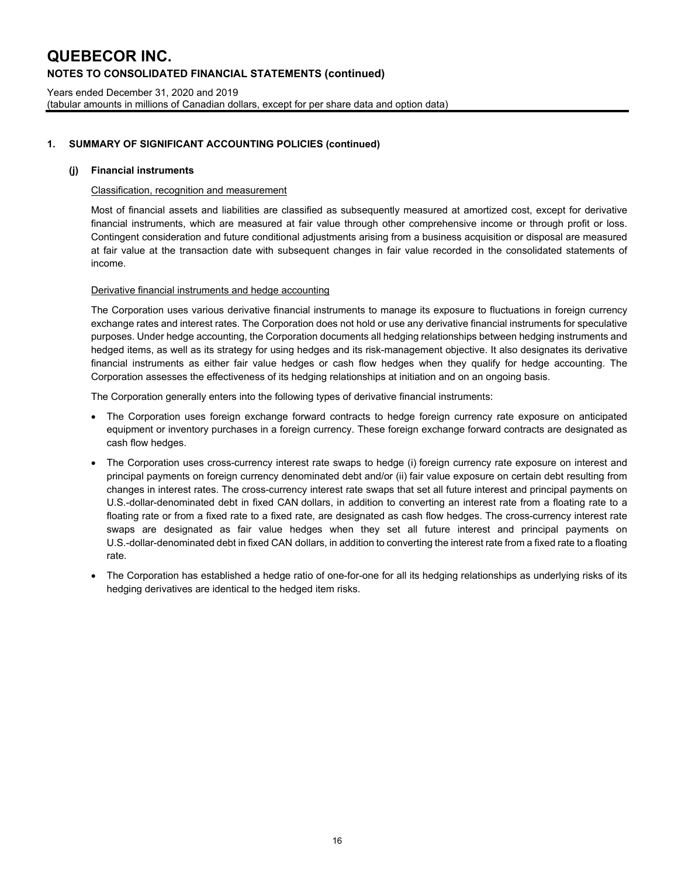Years ended December 31, 2020 and 2019 (tabular amounts in millions of Canadian dollars, except for per share data and option data)

## **1. SUMMARY OF SIGNIFICANT ACCOUNTING POLICIES (continued)**

## **(j) Financial instruments**

## Classification, recognition and measurement

Most of financial assets and liabilities are classified as subsequently measured at amortized cost, except for derivative financial instruments, which are measured at fair value through other comprehensive income or through profit or loss. Contingent consideration and future conditional adjustments arising from a business acquisition or disposal are measured at fair value at the transaction date with subsequent changes in fair value recorded in the consolidated statements of income.

## Derivative financial instruments and hedge accounting

The Corporation uses various derivative financial instruments to manage its exposure to fluctuations in foreign currency exchange rates and interest rates. The Corporation does not hold or use any derivative financial instruments for speculative purposes. Under hedge accounting, the Corporation documents all hedging relationships between hedging instruments and hedged items, as well as its strategy for using hedges and its risk-management objective. It also designates its derivative financial instruments as either fair value hedges or cash flow hedges when they qualify for hedge accounting. The Corporation assesses the effectiveness of its hedging relationships at initiation and on an ongoing basis.

The Corporation generally enters into the following types of derivative financial instruments:

- The Corporation uses foreign exchange forward contracts to hedge foreign currency rate exposure on anticipated equipment or inventory purchases in a foreign currency. These foreign exchange forward contracts are designated as cash flow hedges.
- The Corporation uses cross-currency interest rate swaps to hedge (i) foreign currency rate exposure on interest and principal payments on foreign currency denominated debt and/or (ii) fair value exposure on certain debt resulting from changes in interest rates. The cross-currency interest rate swaps that set all future interest and principal payments on U.S.-dollar-denominated debt in fixed CAN dollars, in addition to converting an interest rate from a floating rate to a floating rate or from a fixed rate to a fixed rate, are designated as cash flow hedges. The cross-currency interest rate swaps are designated as fair value hedges when they set all future interest and principal payments on U.S.-dollar-denominated debt in fixed CAN dollars, in addition to converting the interest rate from a fixed rate to a floating rate.
- The Corporation has established a hedge ratio of one-for-one for all its hedging relationships as underlying risks of its hedging derivatives are identical to the hedged item risks.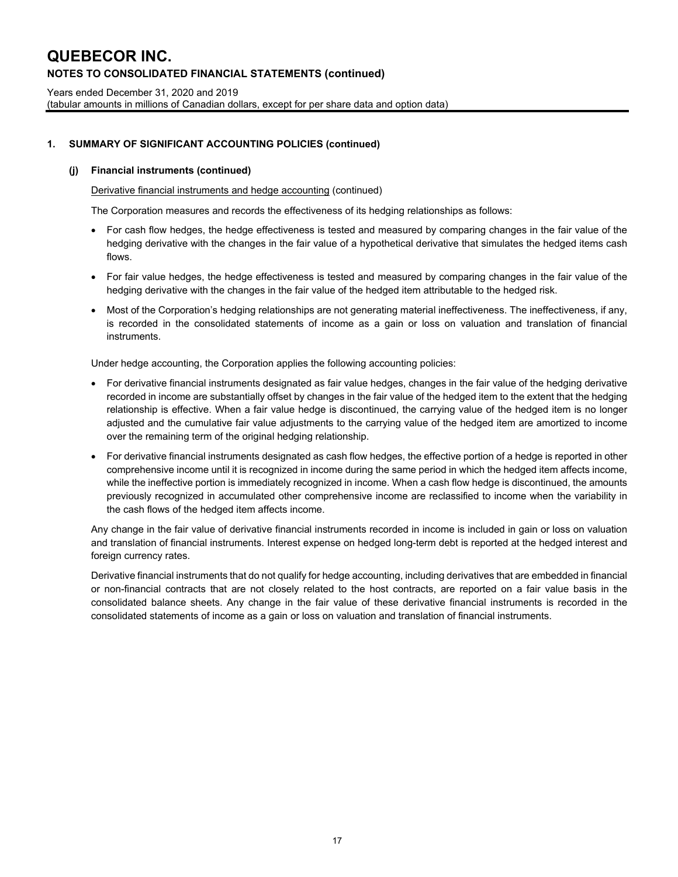Years ended December 31, 2020 and 2019 (tabular amounts in millions of Canadian dollars, except for per share data and option data)

## **1. SUMMARY OF SIGNIFICANT ACCOUNTING POLICIES (continued)**

## **(j) Financial instruments (continued)**

Derivative financial instruments and hedge accounting (continued)

The Corporation measures and records the effectiveness of its hedging relationships as follows:

- For cash flow hedges, the hedge effectiveness is tested and measured by comparing changes in the fair value of the hedging derivative with the changes in the fair value of a hypothetical derivative that simulates the hedged items cash flows.
- For fair value hedges, the hedge effectiveness is tested and measured by comparing changes in the fair value of the hedging derivative with the changes in the fair value of the hedged item attributable to the hedged risk.
- Most of the Corporation's hedging relationships are not generating material ineffectiveness. The ineffectiveness, if any, is recorded in the consolidated statements of income as a gain or loss on valuation and translation of financial instruments.

Under hedge accounting, the Corporation applies the following accounting policies:

- For derivative financial instruments designated as fair value hedges, changes in the fair value of the hedging derivative recorded in income are substantially offset by changes in the fair value of the hedged item to the extent that the hedging relationship is effective. When a fair value hedge is discontinued, the carrying value of the hedged item is no longer adjusted and the cumulative fair value adjustments to the carrying value of the hedged item are amortized to income over the remaining term of the original hedging relationship.
- For derivative financial instruments designated as cash flow hedges, the effective portion of a hedge is reported in other comprehensive income until it is recognized in income during the same period in which the hedged item affects income, while the ineffective portion is immediately recognized in income. When a cash flow hedge is discontinued, the amounts previously recognized in accumulated other comprehensive income are reclassified to income when the variability in the cash flows of the hedged item affects income.

Any change in the fair value of derivative financial instruments recorded in income is included in gain or loss on valuation and translation of financial instruments. Interest expense on hedged long-term debt is reported at the hedged interest and foreign currency rates.

Derivative financial instruments that do not qualify for hedge accounting, including derivatives that are embedded in financial or non-financial contracts that are not closely related to the host contracts, are reported on a fair value basis in the consolidated balance sheets. Any change in the fair value of these derivative financial instruments is recorded in the consolidated statements of income as a gain or loss on valuation and translation of financial instruments.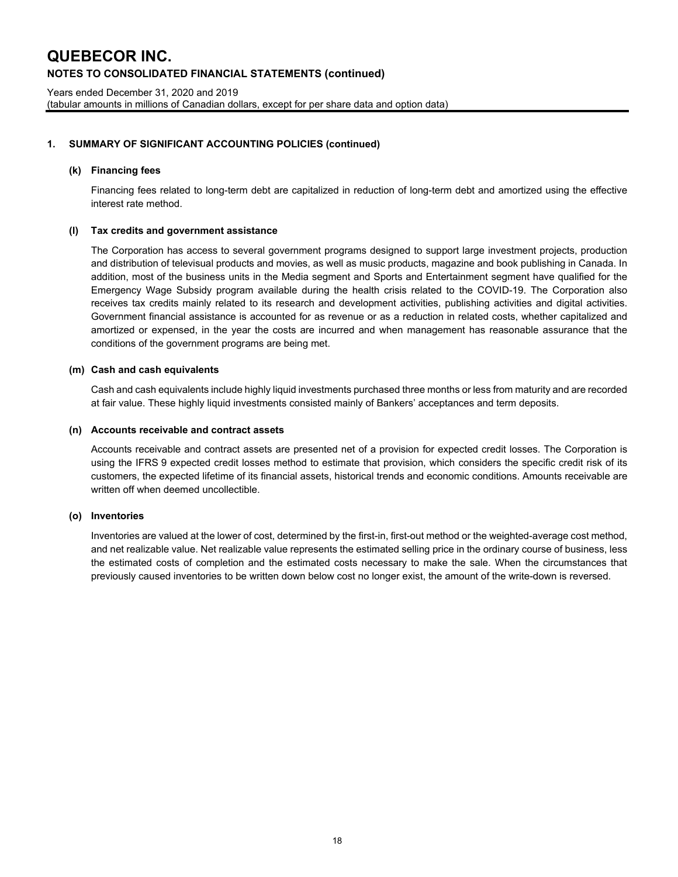Years ended December 31, 2020 and 2019 (tabular amounts in millions of Canadian dollars, except for per share data and option data)

## **1. SUMMARY OF SIGNIFICANT ACCOUNTING POLICIES (continued)**

### **(k) Financing fees**

Financing fees related to long-term debt are capitalized in reduction of long-term debt and amortized using the effective interest rate method.

### **(l) Tax credits and government assistance**

The Corporation has access to several government programs designed to support large investment projects, production and distribution of televisual products and movies, as well as music products, magazine and book publishing in Canada. In addition, most of the business units in the Media segment and Sports and Entertainment segment have qualified for the Emergency Wage Subsidy program available during the health crisis related to the COVID-19. The Corporation also receives tax credits mainly related to its research and development activities, publishing activities and digital activities. Government financial assistance is accounted for as revenue or as a reduction in related costs, whether capitalized and amortized or expensed, in the year the costs are incurred and when management has reasonable assurance that the conditions of the government programs are being met.

#### **(m) Cash and cash equivalents**

Cash and cash equivalents include highly liquid investments purchased three months or less from maturity and are recorded at fair value. These highly liquid investments consisted mainly of Bankers' acceptances and term deposits.

#### **(n) Accounts receivable and contract assets**

Accounts receivable and contract assets are presented net of a provision for expected credit losses. The Corporation is using the IFRS 9 expected credit losses method to estimate that provision, which considers the specific credit risk of its customers, the expected lifetime of its financial assets, historical trends and economic conditions. Amounts receivable are written off when deemed uncollectible.

#### **(o) Inventories**

Inventories are valued at the lower of cost, determined by the first-in, first-out method or the weighted-average cost method, and net realizable value. Net realizable value represents the estimated selling price in the ordinary course of business, less the estimated costs of completion and the estimated costs necessary to make the sale. When the circumstances that previously caused inventories to be written down below cost no longer exist, the amount of the write-down is reversed.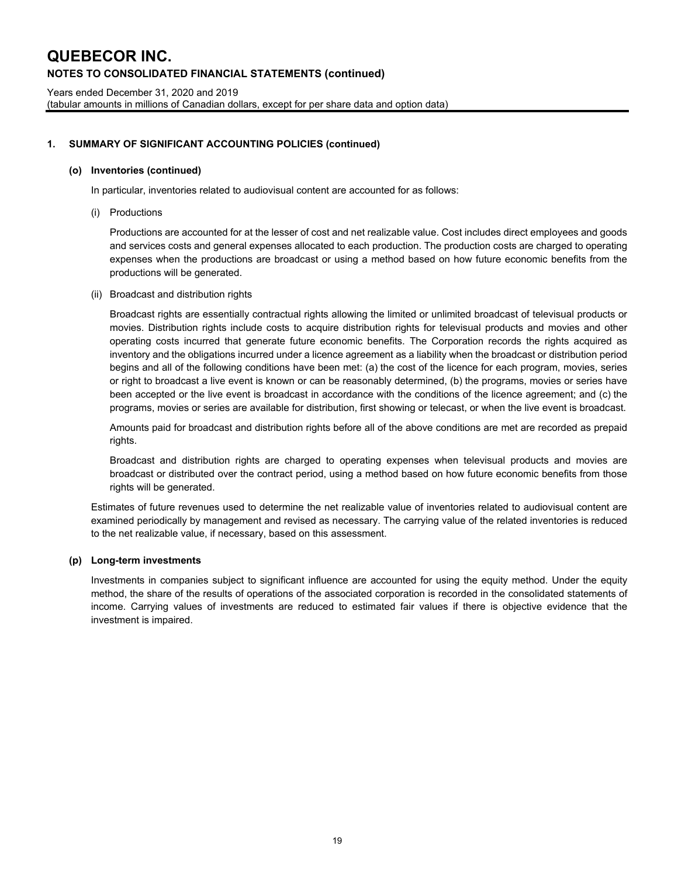Years ended December 31, 2020 and 2019 (tabular amounts in millions of Canadian dollars, except for per share data and option data)

## **1. SUMMARY OF SIGNIFICANT ACCOUNTING POLICIES (continued)**

### **(o) Inventories (continued)**

In particular, inventories related to audiovisual content are accounted for as follows:

(i) Productions

Productions are accounted for at the lesser of cost and net realizable value. Cost includes direct employees and goods and services costs and general expenses allocated to each production. The production costs are charged to operating expenses when the productions are broadcast or using a method based on how future economic benefits from the productions will be generated.

## (ii) Broadcast and distribution rights

Broadcast rights are essentially contractual rights allowing the limited or unlimited broadcast of televisual products or movies. Distribution rights include costs to acquire distribution rights for televisual products and movies and other operating costs incurred that generate future economic benefits. The Corporation records the rights acquired as inventory and the obligations incurred under a licence agreement as a liability when the broadcast or distribution period begins and all of the following conditions have been met: (a) the cost of the licence for each program, movies, series or right to broadcast a live event is known or can be reasonably determined, (b) the programs, movies or series have been accepted or the live event is broadcast in accordance with the conditions of the licence agreement; and (c) the programs, movies or series are available for distribution, first showing or telecast, or when the live event is broadcast.

Amounts paid for broadcast and distribution rights before all of the above conditions are met are recorded as prepaid rights.

Broadcast and distribution rights are charged to operating expenses when televisual products and movies are broadcast or distributed over the contract period, using a method based on how future economic benefits from those rights will be generated.

Estimates of future revenues used to determine the net realizable value of inventories related to audiovisual content are examined periodically by management and revised as necessary. The carrying value of the related inventories is reduced to the net realizable value, if necessary, based on this assessment.

## **(p) Long-term investments**

Investments in companies subject to significant influence are accounted for using the equity method. Under the equity method, the share of the results of operations of the associated corporation is recorded in the consolidated statements of income. Carrying values of investments are reduced to estimated fair values if there is objective evidence that the investment is impaired.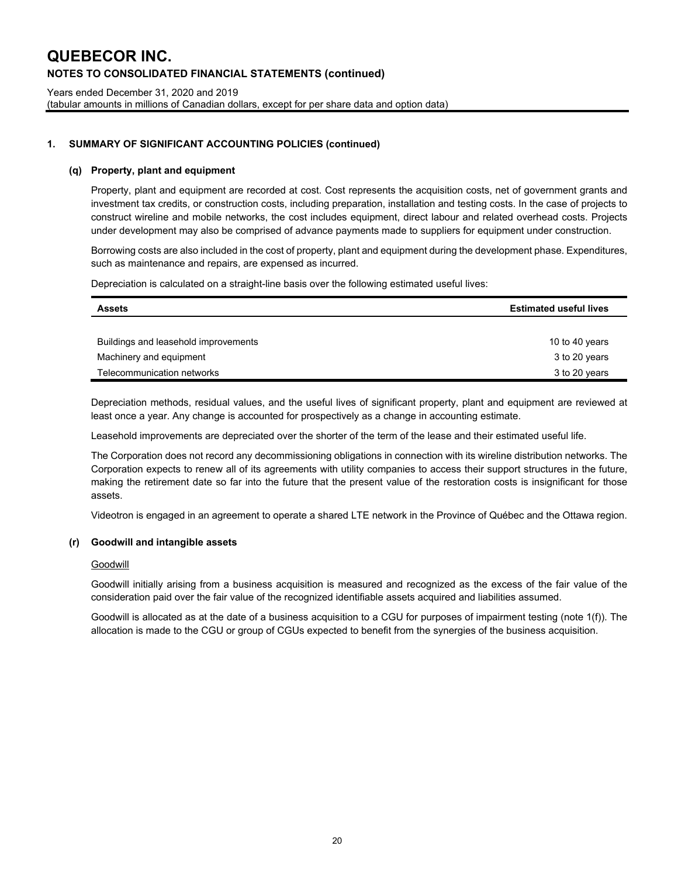Years ended December 31, 2020 and 2019 (tabular amounts in millions of Canadian dollars, except for per share data and option data)

## **1. SUMMARY OF SIGNIFICANT ACCOUNTING POLICIES (continued)**

### **(q) Property, plant and equipment**

Property, plant and equipment are recorded at cost. Cost represents the acquisition costs, net of government grants and investment tax credits, or construction costs, including preparation, installation and testing costs. In the case of projects to construct wireline and mobile networks, the cost includes equipment, direct labour and related overhead costs. Projects under development may also be comprised of advance payments made to suppliers for equipment under construction.

Borrowing costs are also included in the cost of property, plant and equipment during the development phase. Expenditures, such as maintenance and repairs, are expensed as incurred.

Depreciation is calculated on a straight-line basis over the following estimated useful lives:

| <b>Assets</b>                        | <b>Estimated useful lives</b> |
|--------------------------------------|-------------------------------|
|                                      |                               |
| Buildings and leasehold improvements | 10 to 40 years                |
| Machinery and equipment              | 3 to 20 years                 |
| Telecommunication networks           | 3 to 20 years                 |

Depreciation methods, residual values, and the useful lives of significant property, plant and equipment are reviewed at least once a year. Any change is accounted for prospectively as a change in accounting estimate.

Leasehold improvements are depreciated over the shorter of the term of the lease and their estimated useful life.

The Corporation does not record any decommissioning obligations in connection with its wireline distribution networks. The Corporation expects to renew all of its agreements with utility companies to access their support structures in the future, making the retirement date so far into the future that the present value of the restoration costs is insignificant for those assets.

Videotron is engaged in an agreement to operate a shared LTE network in the Province of Québec and the Ottawa region.

### **(r) Goodwill and intangible assets**

### Goodwill

Goodwill initially arising from a business acquisition is measured and recognized as the excess of the fair value of the consideration paid over the fair value of the recognized identifiable assets acquired and liabilities assumed.

Goodwill is allocated as at the date of a business acquisition to a CGU for purposes of impairment testing (note 1(f)). The allocation is made to the CGU or group of CGUs expected to benefit from the synergies of the business acquisition.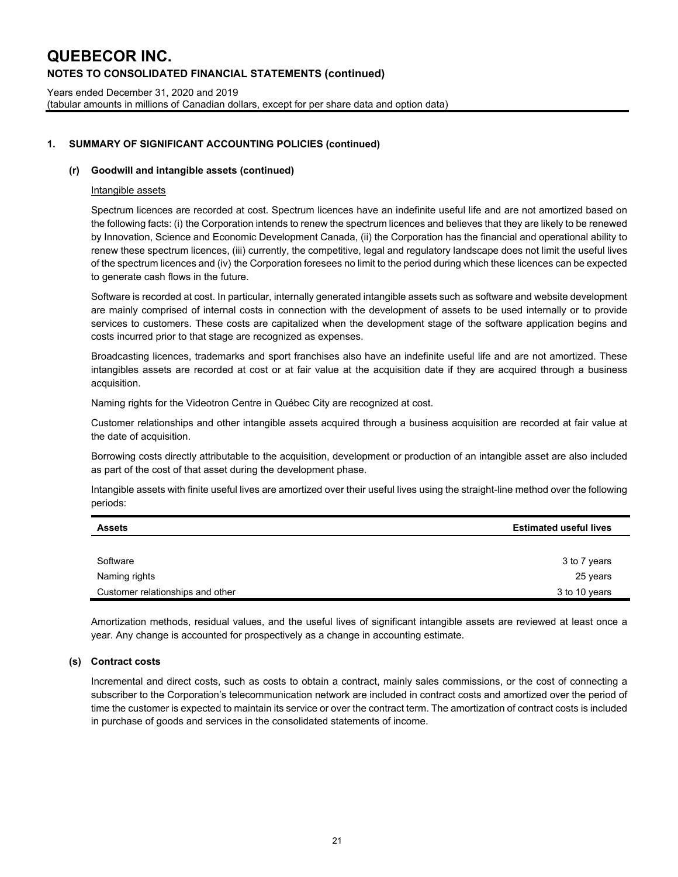Years ended December 31, 2020 and 2019 (tabular amounts in millions of Canadian dollars, except for per share data and option data)

## **1. SUMMARY OF SIGNIFICANT ACCOUNTING POLICIES (continued)**

### **(r) Goodwill and intangible assets (continued)**

### Intangible assets

Spectrum licences are recorded at cost. Spectrum licences have an indefinite useful life and are not amortized based on the following facts: (i) the Corporation intends to renew the spectrum licences and believes that they are likely to be renewed by Innovation, Science and Economic Development Canada, (ii) the Corporation has the financial and operational ability to renew these spectrum licences, (iii) currently, the competitive, legal and regulatory landscape does not limit the useful lives of the spectrum licences and (iv) the Corporation foresees no limit to the period during which these licences can be expected to generate cash flows in the future.

Software is recorded at cost. In particular, internally generated intangible assets such as software and website development are mainly comprised of internal costs in connection with the development of assets to be used internally or to provide services to customers. These costs are capitalized when the development stage of the software application begins and costs incurred prior to that stage are recognized as expenses.

Broadcasting licences, trademarks and sport franchises also have an indefinite useful life and are not amortized. These intangibles assets are recorded at cost or at fair value at the acquisition date if they are acquired through a business acquisition.

Naming rights for the Videotron Centre in Québec City are recognized at cost.

Customer relationships and other intangible assets acquired through a business acquisition are recorded at fair value at the date of acquisition.

Borrowing costs directly attributable to the acquisition, development or production of an intangible asset are also included as part of the cost of that asset during the development phase.

Intangible assets with finite useful lives are amortized over their useful lives using the straight-line method over the following periods:

| <b>Assets</b>                    | <b>Estimated useful lives</b> |  |  |  |  |  |
|----------------------------------|-------------------------------|--|--|--|--|--|
|                                  |                               |  |  |  |  |  |
| Software                         | 3 to 7 years                  |  |  |  |  |  |
| Naming rights                    | 25 years                      |  |  |  |  |  |
| Customer relationships and other | 3 to 10 years                 |  |  |  |  |  |

Amortization methods, residual values, and the useful lives of significant intangible assets are reviewed at least once a year. Any change is accounted for prospectively as a change in accounting estimate.

### **(s) Contract costs**

Incremental and direct costs, such as costs to obtain a contract, mainly sales commissions, or the cost of connecting a subscriber to the Corporation's telecommunication network are included in contract costs and amortized over the period of time the customer is expected to maintain its service or over the contract term. The amortization of contract costs is included in purchase of goods and services in the consolidated statements of income.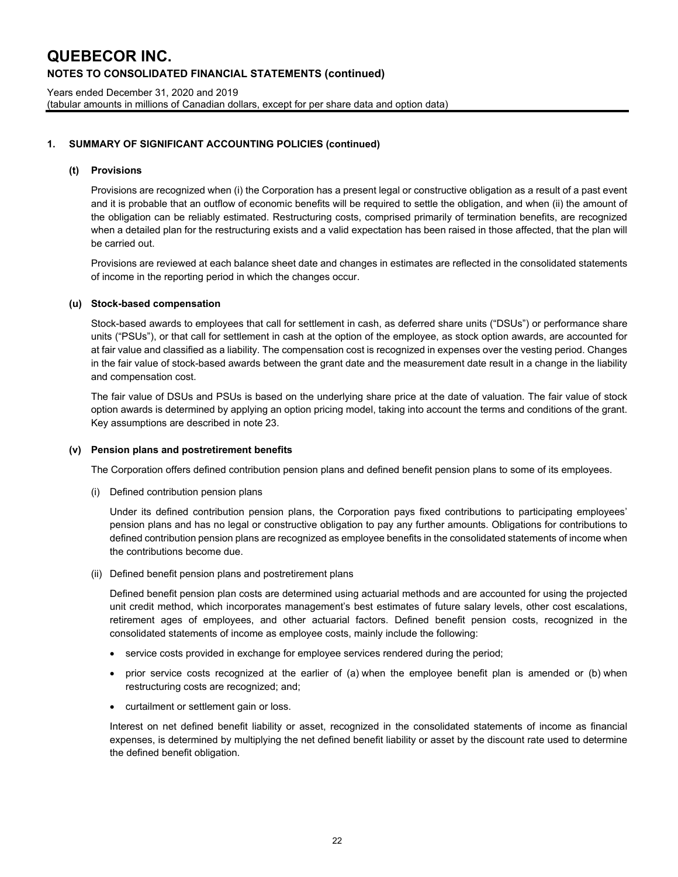Years ended December 31, 2020 and 2019 (tabular amounts in millions of Canadian dollars, except for per share data and option data)

## **1. SUMMARY OF SIGNIFICANT ACCOUNTING POLICIES (continued)**

### **(t) Provisions**

Provisions are recognized when (i) the Corporation has a present legal or constructive obligation as a result of a past event and it is probable that an outflow of economic benefits will be required to settle the obligation, and when (ii) the amount of the obligation can be reliably estimated. Restructuring costs, comprised primarily of termination benefits, are recognized when a detailed plan for the restructuring exists and a valid expectation has been raised in those affected, that the plan will be carried out.

Provisions are reviewed at each balance sheet date and changes in estimates are reflected in the consolidated statements of income in the reporting period in which the changes occur.

### **(u) Stock-based compensation**

Stock-based awards to employees that call for settlement in cash, as deferred share units ("DSUs") or performance share units ("PSUs"), or that call for settlement in cash at the option of the employee, as stock option awards, are accounted for at fair value and classified as a liability. The compensation cost is recognized in expenses over the vesting period. Changes in the fair value of stock-based awards between the grant date and the measurement date result in a change in the liability and compensation cost.

The fair value of DSUs and PSUs is based on the underlying share price at the date of valuation. The fair value of stock option awards is determined by applying an option pricing model, taking into account the terms and conditions of the grant. Key assumptions are described in note 23.

### **(v) Pension plans and postretirement benefits**

The Corporation offers defined contribution pension plans and defined benefit pension plans to some of its employees.

(i) Defined contribution pension plans

Under its defined contribution pension plans, the Corporation pays fixed contributions to participating employees' pension plans and has no legal or constructive obligation to pay any further amounts. Obligations for contributions to defined contribution pension plans are recognized as employee benefits in the consolidated statements of income when the contributions become due.

(ii) Defined benefit pension plans and postretirement plans

Defined benefit pension plan costs are determined using actuarial methods and are accounted for using the projected unit credit method, which incorporates management's best estimates of future salary levels, other cost escalations, retirement ages of employees, and other actuarial factors. Defined benefit pension costs, recognized in the consolidated statements of income as employee costs, mainly include the following:

- service costs provided in exchange for employee services rendered during the period;
- prior service costs recognized at the earlier of (a) when the employee benefit plan is amended or (b) when restructuring costs are recognized; and;
- curtailment or settlement gain or loss.

Interest on net defined benefit liability or asset, recognized in the consolidated statements of income as financial expenses, is determined by multiplying the net defined benefit liability or asset by the discount rate used to determine the defined benefit obligation.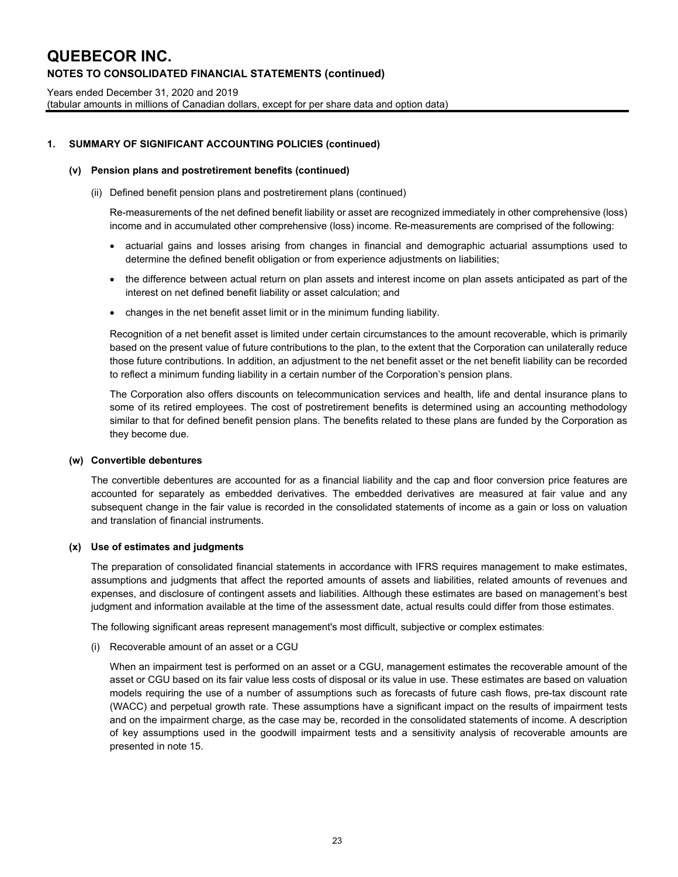Years ended December 31, 2020 and 2019 (tabular amounts in millions of Canadian dollars, except for per share data and option data)

## **1. SUMMARY OF SIGNIFICANT ACCOUNTING POLICIES (continued)**

### **(v) Pension plans and postretirement benefits (continued)**

(ii) Defined benefit pension plans and postretirement plans (continued)

Re-measurements of the net defined benefit liability or asset are recognized immediately in other comprehensive (loss) income and in accumulated other comprehensive (loss) income. Re-measurements are comprised of the following:

- actuarial gains and losses arising from changes in financial and demographic actuarial assumptions used to determine the defined benefit obligation or from experience adjustments on liabilities;
- the difference between actual return on plan assets and interest income on plan assets anticipated as part of the interest on net defined benefit liability or asset calculation; and
- changes in the net benefit asset limit or in the minimum funding liability.

Recognition of a net benefit asset is limited under certain circumstances to the amount recoverable, which is primarily based on the present value of future contributions to the plan, to the extent that the Corporation can unilaterally reduce those future contributions. In addition, an adjustment to the net benefit asset or the net benefit liability can be recorded to reflect a minimum funding liability in a certain number of the Corporation's pension plans.

The Corporation also offers discounts on telecommunication services and health, life and dental insurance plans to some of its retired employees. The cost of postretirement benefits is determined using an accounting methodology similar to that for defined benefit pension plans. The benefits related to these plans are funded by the Corporation as they become due.

### **(w) Convertible debentures**

The convertible debentures are accounted for as a financial liability and the cap and floor conversion price features are accounted for separately as embedded derivatives. The embedded derivatives are measured at fair value and any subsequent change in the fair value is recorded in the consolidated statements of income as a gain or loss on valuation and translation of financial instruments.

### **(x) Use of estimates and judgments**

The preparation of consolidated financial statements in accordance with IFRS requires management to make estimates, assumptions and judgments that affect the reported amounts of assets and liabilities, related amounts of revenues and expenses, and disclosure of contingent assets and liabilities. Although these estimates are based on management's best judgment and information available at the time of the assessment date, actual results could differ from those estimates.

The following significant areas represent management's most difficult, subjective or complex estimates:

(i) Recoverable amount of an asset or a CGU

 When an impairment test is performed on an asset or a CGU, management estimates the recoverable amount of the asset or CGU based on its fair value less costs of disposal or its value in use. These estimates are based on valuation models requiring the use of a number of assumptions such as forecasts of future cash flows, pre-tax discount rate (WACC) and perpetual growth rate. These assumptions have a significant impact on the results of impairment tests and on the impairment charge, as the case may be, recorded in the consolidated statements of income. A description of key assumptions used in the goodwill impairment tests and a sensitivity analysis of recoverable amounts are presented in note 15.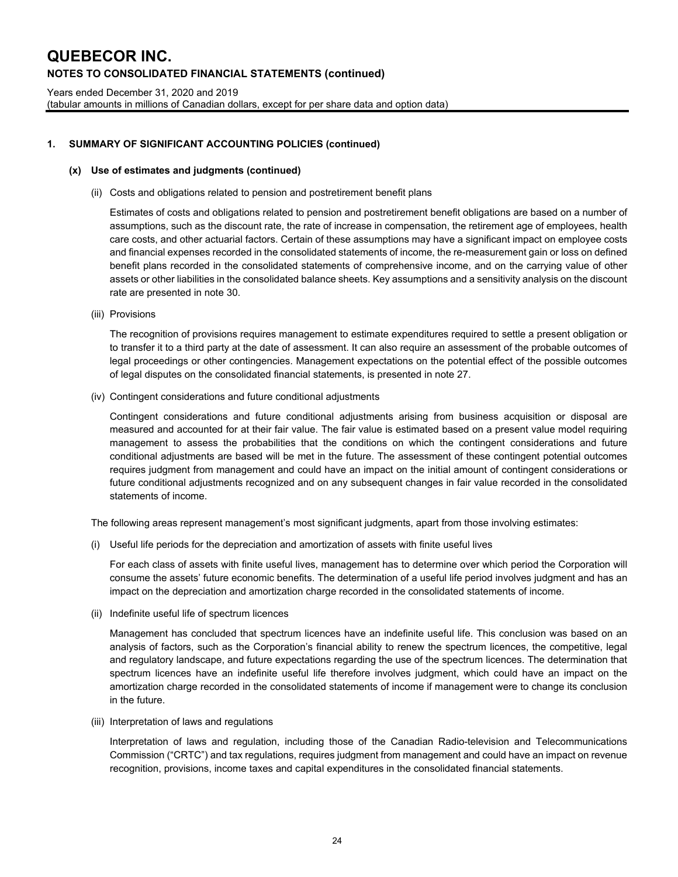Years ended December 31, 2020 and 2019 (tabular amounts in millions of Canadian dollars, except for per share data and option data)

## **1. SUMMARY OF SIGNIFICANT ACCOUNTING POLICIES (continued)**

## **(x) Use of estimates and judgments (continued)**

(ii) Costs and obligations related to pension and postretirement benefit plans

Estimates of costs and obligations related to pension and postretirement benefit obligations are based on a number of assumptions, such as the discount rate, the rate of increase in compensation, the retirement age of employees, health care costs, and other actuarial factors. Certain of these assumptions may have a significant impact on employee costs and financial expenses recorded in the consolidated statements of income, the re-measurement gain or loss on defined benefit plans recorded in the consolidated statements of comprehensive income, and on the carrying value of other assets or other liabilities in the consolidated balance sheets. Key assumptions and a sensitivity analysis on the discount rate are presented in note 30.

(iii) Provisions

The recognition of provisions requires management to estimate expenditures required to settle a present obligation or to transfer it to a third party at the date of assessment. It can also require an assessment of the probable outcomes of legal proceedings or other contingencies. Management expectations on the potential effect of the possible outcomes of legal disputes on the consolidated financial statements, is presented in note 27.

(iv) Contingent considerations and future conditional adjustments

Contingent considerations and future conditional adjustments arising from business acquisition or disposal are measured and accounted for at their fair value. The fair value is estimated based on a present value model requiring management to assess the probabilities that the conditions on which the contingent considerations and future conditional adjustments are based will be met in the future. The assessment of these contingent potential outcomes requires judgment from management and could have an impact on the initial amount of contingent considerations or future conditional adjustments recognized and on any subsequent changes in fair value recorded in the consolidated statements of income.

The following areas represent management's most significant judgments, apart from those involving estimates:

(i) Useful life periods for the depreciation and amortization of assets with finite useful lives

For each class of assets with finite useful lives, management has to determine over which period the Corporation will consume the assets' future economic benefits. The determination of a useful life period involves judgment and has an impact on the depreciation and amortization charge recorded in the consolidated statements of income.

(ii) Indefinite useful life of spectrum licences

Management has concluded that spectrum licences have an indefinite useful life. This conclusion was based on an analysis of factors, such as the Corporation's financial ability to renew the spectrum licences, the competitive, legal and regulatory landscape, and future expectations regarding the use of the spectrum licences. The determination that spectrum licences have an indefinite useful life therefore involves judgment, which could have an impact on the amortization charge recorded in the consolidated statements of income if management were to change its conclusion in the future.

(iii) Interpretation of laws and regulations

 Interpretation of laws and regulation, including those of the Canadian Radio-television and Telecommunications Commission ("CRTC") and tax regulations, requires judgment from management and could have an impact on revenue recognition, provisions, income taxes and capital expenditures in the consolidated financial statements.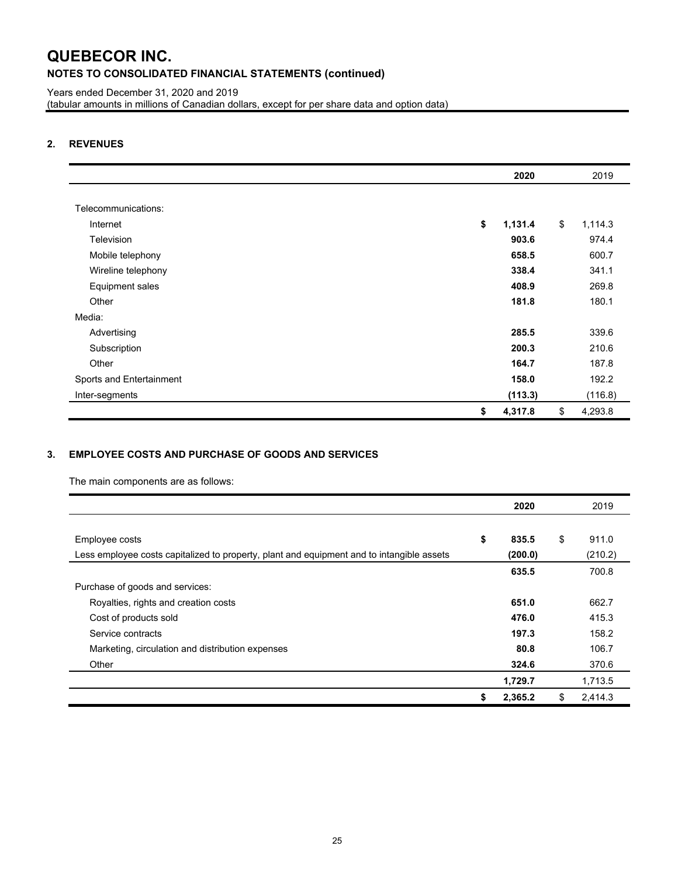Years ended December 31, 2020 and 2019 (tabular amounts in millions of Canadian dollars, except for per share data and option data)

## **2. REVENUES**

|                          | 2020          | 2019          |
|--------------------------|---------------|---------------|
|                          |               |               |
| Telecommunications:      |               |               |
| Internet                 | \$<br>1,131.4 | \$<br>1,114.3 |
| Television               | 903.6         | 974.4         |
| Mobile telephony         | 658.5         | 600.7         |
| Wireline telephony       | 338.4         | 341.1         |
| Equipment sales          | 408.9         | 269.8         |
| Other                    | 181.8         | 180.1         |
| Media:                   |               |               |
| Advertising              | 285.5         | 339.6         |
| Subscription             | 200.3         | 210.6         |
| Other                    | 164.7         | 187.8         |
| Sports and Entertainment | 158.0         | 192.2         |
| Inter-segments           | (113.3)       | (116.8)       |
|                          | \$<br>4,317.8 | \$<br>4,293.8 |

## **3. EMPLOYEE COSTS AND PURCHASE OF GOODS AND SERVICES**

The main components are as follows:

|                                                                                           | 2020          |    | 2019    |
|-------------------------------------------------------------------------------------------|---------------|----|---------|
|                                                                                           |               |    |         |
| Employee costs                                                                            | \$<br>835.5   | \$ | 911.0   |
| Less employee costs capitalized to property, plant and equipment and to intangible assets | (200.0)       |    | (210.2) |
|                                                                                           | 635.5         |    | 700.8   |
| Purchase of goods and services:                                                           |               |    |         |
| Royalties, rights and creation costs                                                      | 651.0         |    | 662.7   |
| Cost of products sold                                                                     | 476.0         |    | 415.3   |
| Service contracts                                                                         | 197.3         |    | 158.2   |
| Marketing, circulation and distribution expenses                                          | 80.8          |    | 106.7   |
| Other                                                                                     | 324.6         |    | 370.6   |
|                                                                                           | 1,729.7       |    | 1,713.5 |
|                                                                                           | \$<br>2,365.2 | S  | 2.414.3 |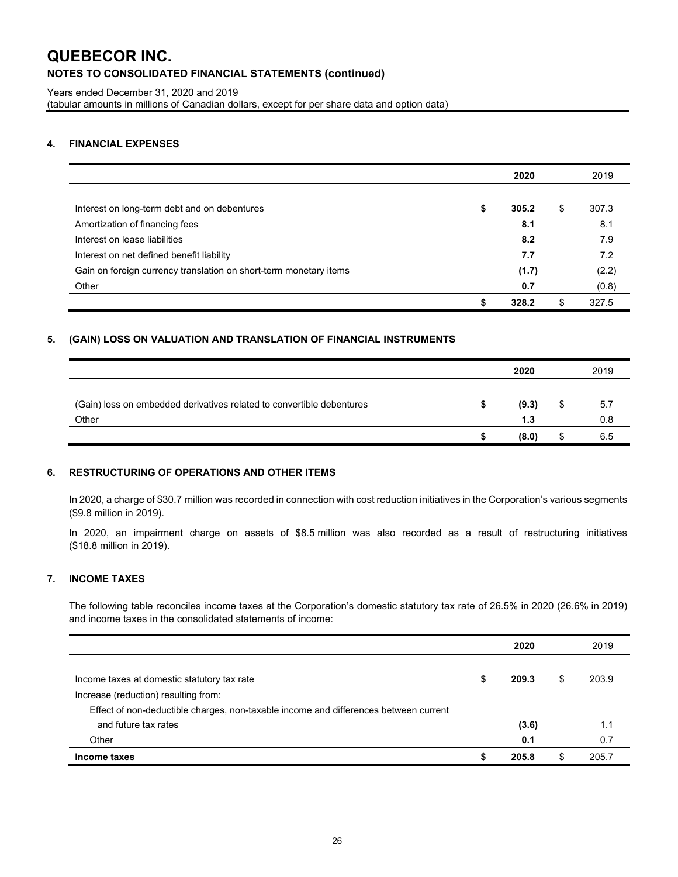Years ended December 31, 2020 and 2019 (tabular amounts in millions of Canadian dollars, except for per share data and option data)

## **4. FINANCIAL EXPENSES**

|                                                                   |   | 2020  |   | 2019  |
|-------------------------------------------------------------------|---|-------|---|-------|
|                                                                   |   |       |   |       |
| Interest on long-term debt and on debentures                      | S | 305.2 | S | 307.3 |
| Amortization of financing fees                                    |   | 8.1   |   | 8.1   |
| Interest on lease liabilities                                     |   | 8.2   |   | 7.9   |
| Interest on net defined benefit liability                         |   | 7.7   |   | 7.2   |
| Gain on foreign currency translation on short-term monetary items |   | (1.7) |   | (2.2) |
| Other                                                             |   | 0.7   |   | (0.8) |
|                                                                   |   | 328.2 | S | 327.5 |

## **5. (GAIN) LOSS ON VALUATION AND TRANSLATION OF FINANCIAL INSTRUMENTS**

|                                                                       | 2020  |   | 2019 |
|-----------------------------------------------------------------------|-------|---|------|
| (Gain) loss on embedded derivatives related to convertible debentures | (9.3) | S | 5.7  |
| Other                                                                 | 1.3   |   | 0.8  |
|                                                                       | (8.0) |   | 6.5  |

## **6. RESTRUCTURING OF OPERATIONS AND OTHER ITEMS**

In 2020, a charge of \$30.7 million was recorded in connection with cost reduction initiatives in the Corporation's various segments (\$9.8 million in 2019).

In 2020, an impairment charge on assets of \$8.5 million was also recorded as a result of restructuring initiatives (\$18.8 million in 2019).

## **7. INCOME TAXES**

The following table reconciles income taxes at the Corporation's domestic statutory tax rate of 26.5% in 2020 (26.6% in 2019) and income taxes in the consolidated statements of income:

|                                                                                      | 2020  |   | 2019  |
|--------------------------------------------------------------------------------------|-------|---|-------|
|                                                                                      |       |   |       |
| Income taxes at domestic statutory tax rate                                          | 209.3 | S | 203.9 |
| Increase (reduction) resulting from:                                                 |       |   |       |
| Effect of non-deductible charges, non-taxable income and differences between current |       |   |       |
| and future tax rates                                                                 | (3.6) |   | 1.1   |
| Other                                                                                | 0.1   |   | 0.7   |
| Income taxes                                                                         | 205.8 | S | 205.7 |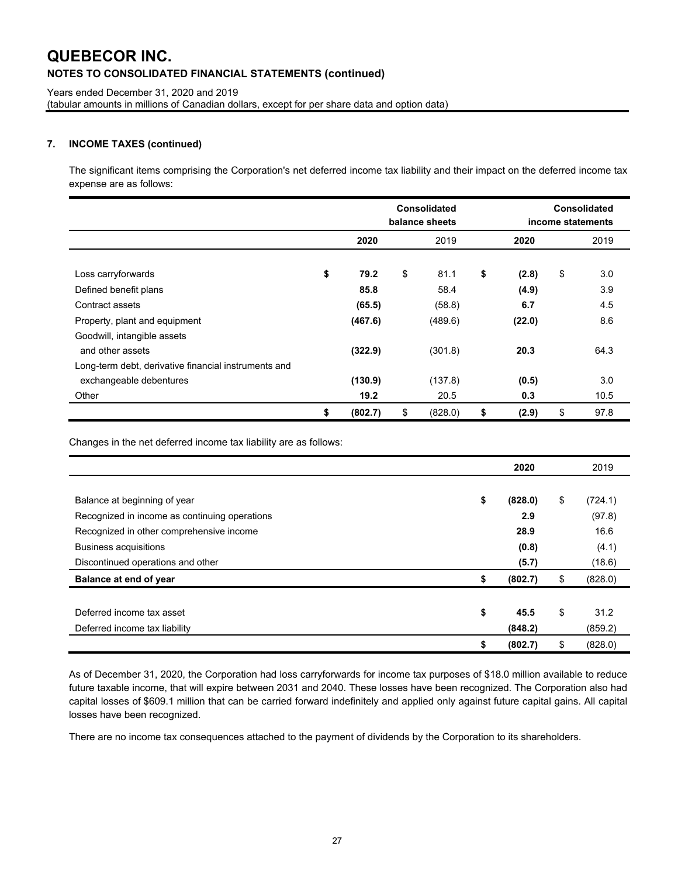## **7. INCOME TAXES (continued)**

The significant items comprising the Corporation's net deferred income tax liability and their impact on the deferred income tax expense are as follows:

|                                                      | <b>Consolidated</b><br>balance sheets |    |         |    | <b>Consolidated</b><br>income statements |    |      |  |
|------------------------------------------------------|---------------------------------------|----|---------|----|------------------------------------------|----|------|--|
|                                                      | 2020                                  |    | 2019    |    | 2020                                     |    | 2019 |  |
| Loss carryforwards                                   | \$<br>79.2                            | \$ | 81.1    | \$ | (2.8)                                    | \$ | 3.0  |  |
| Defined benefit plans                                | 85.8                                  |    | 58.4    |    | (4.9)                                    |    | 3.9  |  |
| Contract assets                                      | (65.5)                                |    | (58.8)  |    | 6.7                                      |    | 4.5  |  |
| Property, plant and equipment                        | (467.6)                               |    | (489.6) |    | (22.0)                                   |    | 8.6  |  |
| Goodwill, intangible assets                          |                                       |    |         |    |                                          |    |      |  |
| and other assets                                     | (322.9)                               |    | (301.8) |    | 20.3                                     |    | 64.3 |  |
| Long-term debt, derivative financial instruments and |                                       |    |         |    |                                          |    |      |  |
| exchangeable debentures                              | (130.9)                               |    | (137.8) |    | (0.5)                                    |    | 3.0  |  |
| Other                                                | 19.2                                  |    | 20.5    |    | 0.3                                      |    | 10.5 |  |
|                                                      | \$<br>(802.7)                         | \$ | (828.0) | \$ | (2.9)                                    | \$ | 97.8 |  |

Changes in the net deferred income tax liability are as follows:

|                                               | 2020          | 2019          |
|-----------------------------------------------|---------------|---------------|
|                                               |               |               |
| Balance at beginning of year                  | \$<br>(828.0) | \$<br>(724.1) |
| Recognized in income as continuing operations | 2.9           | (97.8)        |
| Recognized in other comprehensive income      | 28.9          | 16.6          |
| <b>Business acquisitions</b>                  | (0.8)         | (4.1)         |
| Discontinued operations and other             | (5.7)         | (18.6)        |
| <b>Balance at end of year</b>                 | \$<br>(802.7) | \$<br>(828.0) |
|                                               |               |               |
| Deferred income tax asset                     | \$<br>45.5    | \$<br>31.2    |
| Deferred income tax liability                 | (848.2)       | (859.2)       |
|                                               | \$<br>(802.7) | \$<br>(828.0) |

As of December 31, 2020, the Corporation had loss carryforwards for income tax purposes of \$18.0 million available to reduce future taxable income, that will expire between 2031 and 2040. These losses have been recognized. The Corporation also had capital losses of \$609.1 million that can be carried forward indefinitely and applied only against future capital gains. All capital losses have been recognized.

There are no income tax consequences attached to the payment of dividends by the Corporation to its shareholders.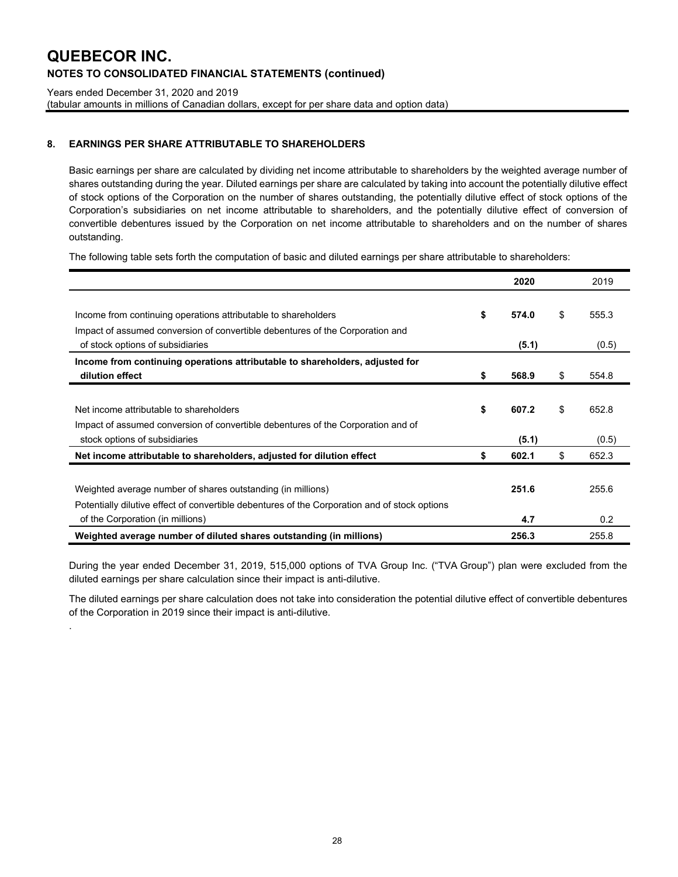Years ended December 31, 2020 and 2019 (tabular amounts in millions of Canadian dollars, except for per share data and option data)

## **8. EARNINGS PER SHARE ATTRIBUTABLE TO SHAREHOLDERS**

.

Basic earnings per share are calculated by dividing net income attributable to shareholders by the weighted average number of shares outstanding during the year. Diluted earnings per share are calculated by taking into account the potentially dilutive effect of stock options of the Corporation on the number of shares outstanding, the potentially dilutive effect of stock options of the Corporation's subsidiaries on net income attributable to shareholders, and the potentially dilutive effect of conversion of convertible debentures issued by the Corporation on net income attributable to shareholders and on the number of shares outstanding.

The following table sets forth the computation of basic and diluted earnings per share attributable to shareholders:

|                                                                                               | 2020        | 2019        |
|-----------------------------------------------------------------------------------------------|-------------|-------------|
|                                                                                               |             |             |
| Income from continuing operations attributable to shareholders                                | \$<br>574.0 | \$<br>555.3 |
| Impact of assumed conversion of convertible debentures of the Corporation and                 |             |             |
| of stock options of subsidiaries                                                              | (5.1)       | (0.5)       |
| Income from continuing operations attributable to shareholders, adjusted for                  |             |             |
| dilution effect                                                                               | \$<br>568.9 | \$<br>554.8 |
|                                                                                               |             |             |
| Net income attributable to shareholders                                                       | \$<br>607.2 | \$<br>652.8 |
| Impact of assumed conversion of convertible debentures of the Corporation and of              |             |             |
| stock options of subsidiaries                                                                 | (5.1)       | (0.5)       |
| Net income attributable to shareholders, adjusted for dilution effect                         | \$<br>602.1 | \$<br>652.3 |
|                                                                                               |             |             |
| Weighted average number of shares outstanding (in millions)                                   | 251.6       | 255.6       |
| Potentially dilutive effect of convertible debentures of the Corporation and of stock options |             |             |
| of the Corporation (in millions)                                                              | 4.7         | 0.2         |
| Weighted average number of diluted shares outstanding (in millions)                           | 256.3       | 255.8       |

During the year ended December 31, 2019, 515,000 options of TVA Group Inc. ("TVA Group") plan were excluded from the diluted earnings per share calculation since their impact is anti-dilutive.

The diluted earnings per share calculation does not take into consideration the potential dilutive effect of convertible debentures of the Corporation in 2019 since their impact is anti-dilutive.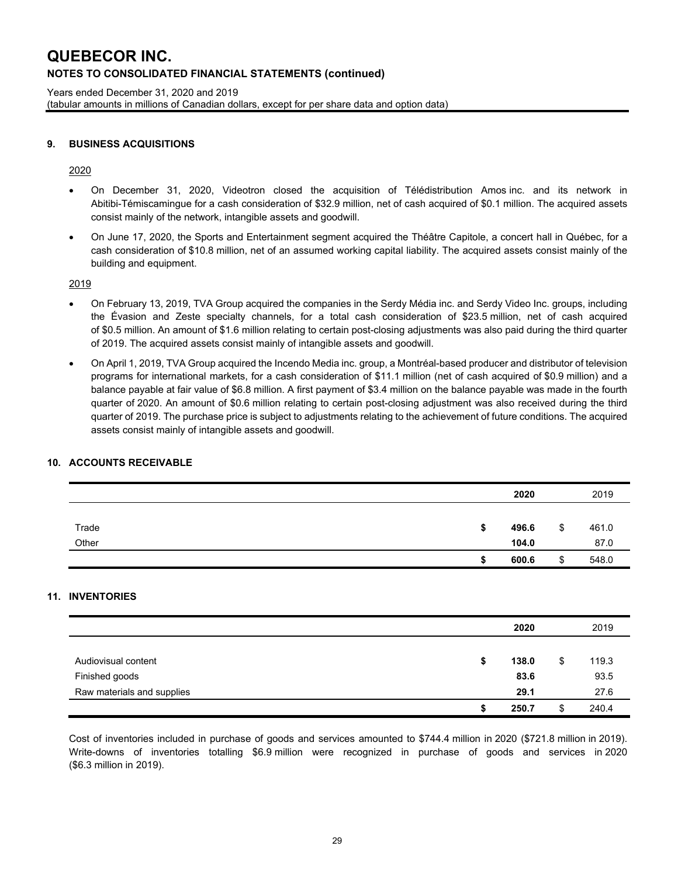Years ended December 31, 2020 and 2019 (tabular amounts in millions of Canadian dollars, except for per share data and option data)

## **9. BUSINESS ACQUISITIONS**

## 2020

- On December 31, 2020, Videotron closed the acquisition of Télédistribution Amos inc. and its network in Abitibi-Témiscamingue for a cash consideration of \$32.9 million, net of cash acquired of \$0.1 million. The acquired assets consist mainly of the network, intangible assets and goodwill.
- On June 17, 2020, the Sports and Entertainment segment acquired the Théâtre Capitole, a concert hall in Québec, for a cash consideration of \$10.8 million, net of an assumed working capital liability. The acquired assets consist mainly of the building and equipment.

2019

- On February 13, 2019, TVA Group acquired the companies in the Serdy Média inc. and Serdy Video Inc. groups, including the Évasion and Zeste specialty channels, for a total cash consideration of \$23.5 million, net of cash acquired of \$0.5 million. An amount of \$1.6 million relating to certain post-closing adjustments was also paid during the third quarter of 2019. The acquired assets consist mainly of intangible assets and goodwill.
- On April 1, 2019, TVA Group acquired the Incendo Media inc. group, a Montréal-based producer and distributor of television programs for international markets, for a cash consideration of \$11.1 million (net of cash acquired of \$0.9 million) and a balance payable at fair value of \$6.8 million. A first payment of \$3.4 million on the balance payable was made in the fourth quarter of 2020. An amount of \$0.6 million relating to certain post-closing adjustment was also received during the third quarter of 2019. The purchase price is subject to adjustments relating to the achievement of future conditions. The acquired assets consist mainly of intangible assets and goodwill.

## **10. ACCOUNTS RECEIVABLE**

|       |   | 2020  | 2019        |
|-------|---|-------|-------------|
|       |   |       |             |
| Trade | S | 496.6 | \$<br>461.0 |
| Other |   | 104.0 | 87.0        |
|       | S | 600.6 | \$<br>548.0 |

### **11. INVENTORIES**

|                            | 2020  |    | 2019  |
|----------------------------|-------|----|-------|
|                            |       |    |       |
| Audiovisual content        | 138.0 | \$ | 119.3 |
| Finished goods             | 83.6  |    | 93.5  |
| Raw materials and supplies | 29.1  |    | 27.6  |
|                            | 250.7 | S  | 240.4 |

Cost of inventories included in purchase of goods and services amounted to \$744.4 million in 2020 (\$721.8 million in 2019). Write-downs of inventories totalling \$6.9 million were recognized in purchase of goods and services in 2020 (\$6.3 million in 2019).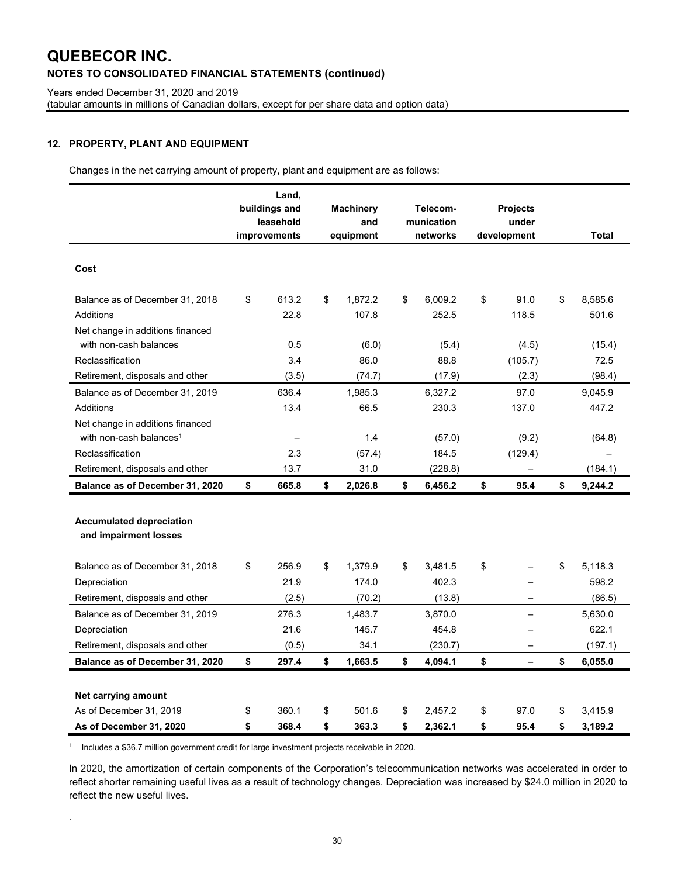Years ended December 31, 2020 and 2019 (tabular amounts in millions of Canadian dollars, except for per share data and option data)

## **12. PROPERTY, PLANT AND EQUIPMENT**

Changes in the net carrying amount of property, plant and equipment are as follows:

|                                     | Land,<br>buildings and | <b>Machinery</b> | Telecom-      | <b>Projects</b>          |               |
|-------------------------------------|------------------------|------------------|---------------|--------------------------|---------------|
|                                     | leasehold              | and              | munication    | under                    |               |
|                                     | improvements           | equipment        | networks      | development              | <b>Total</b>  |
|                                     |                        |                  |               |                          |               |
| Cost                                |                        |                  |               |                          |               |
| Balance as of December 31, 2018     | \$<br>613.2            | \$<br>1,872.2    | \$<br>6,009.2 | \$<br>91.0               | \$<br>8,585.6 |
| Additions                           | 22.8                   | 107.8            | 252.5         | 118.5                    | 501.6         |
| Net change in additions financed    |                        |                  |               |                          |               |
| with non-cash balances              | 0.5                    | (6.0)            | (5.4)         | (4.5)                    | (15.4)        |
| Reclassification                    | 3.4                    | 86.0             | 88.8          | (105.7)                  | 72.5          |
| Retirement, disposals and other     | (3.5)                  | (74.7)           | (17.9)        | (2.3)                    | (98.4)        |
| Balance as of December 31, 2019     | 636.4                  | 1,985.3          | 6,327.2       | 97.0                     | 9,045.9       |
| <b>Additions</b>                    | 13.4                   | 66.5             | 230.3         | 137.0                    | 447.2         |
| Net change in additions financed    |                        |                  |               |                          |               |
| with non-cash balances <sup>1</sup> | $\qquad \qquad -$      | 1.4              | (57.0)        | (9.2)                    | (64.8)        |
| Reclassification                    | 2.3                    | (57.4)           | 184.5         | (129.4)                  |               |
| Retirement, disposals and other     | 13.7                   | 31.0             | (228.8)       |                          | (184.1)       |
| Balance as of December 31, 2020     | \$<br>665.8            | \$<br>2,026.8    | \$<br>6,456.2 | \$<br>95.4               | \$<br>9,244.2 |
|                                     |                        |                  |               |                          |               |
| <b>Accumulated depreciation</b>     |                        |                  |               |                          |               |
| and impairment losses               |                        |                  |               |                          |               |
|                                     |                        |                  |               |                          |               |
| Balance as of December 31, 2018     | \$<br>256.9            | \$<br>1,379.9    | \$<br>3,481.5 | \$                       | \$<br>5,118.3 |
| Depreciation                        | 21.9                   | 174.0            | 402.3         |                          | 598.2         |
| Retirement, disposals and other     | (2.5)                  | (70.2)           | (13.8)        |                          | (86.5)        |
| Balance as of December 31, 2019     | 276.3                  | 1,483.7          | 3,870.0       | $\overline{\phantom{0}}$ | 5,630.0       |
| Depreciation                        | 21.6                   | 145.7            | 454.8         |                          | 622.1         |
| Retirement, disposals and other     | (0.5)                  | 34.1             | (230.7)       |                          | (197.1)       |
| Balance as of December 31, 2020     | \$<br>297.4            | \$<br>1,663.5    | \$<br>4,094.1 | \$<br>-                  | \$<br>6,055.0 |
|                                     |                        |                  |               |                          |               |
| Net carrying amount                 |                        |                  |               |                          |               |
| As of December 31, 2019             | \$<br>360.1            | \$<br>501.6      | \$<br>2,457.2 | \$<br>97.0               | \$<br>3,415.9 |
| As of December 31, 2020             | \$<br>368.4            | \$<br>363.3      | \$<br>2,362.1 | \$<br>95.4               | \$<br>3,189.2 |

1 Includes a \$36.7 million government credit for large investment projects receivable in 2020.

.

In 2020, the amortization of certain components of the Corporation's telecommunication networks was accelerated in order to reflect shorter remaining useful lives as a result of technology changes. Depreciation was increased by \$24.0 million in 2020 to reflect the new useful lives.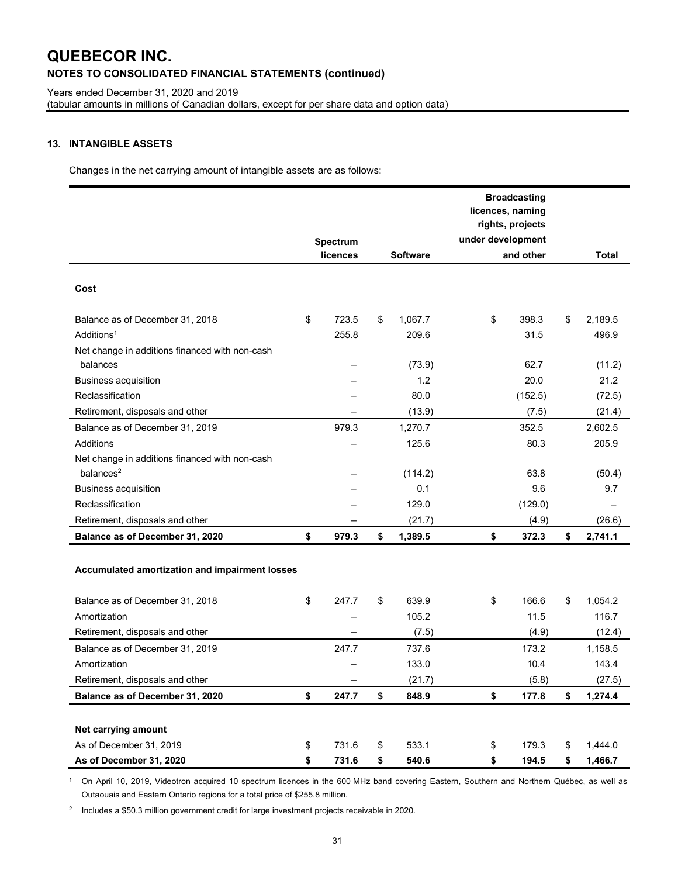## **13. INTANGIBLE ASSETS**

Changes in the net carrying amount of intangible assets are as follows:

|                                                | Spectrum    |                 |    | <b>Broadcasting</b><br>licences, naming<br>rights, projects<br>under development |               |
|------------------------------------------------|-------------|-----------------|----|----------------------------------------------------------------------------------|---------------|
|                                                | licences    | <b>Software</b> |    | and other                                                                        | <b>Total</b>  |
|                                                |             |                 |    |                                                                                  |               |
| Cost                                           |             |                 |    |                                                                                  |               |
| Balance as of December 31, 2018                | \$<br>723.5 | \$<br>1,067.7   | \$ | 398.3                                                                            | \$<br>2,189.5 |
| Additions <sup>1</sup>                         | 255.8       | 209.6           |    | 31.5                                                                             | 496.9         |
| Net change in additions financed with non-cash |             |                 |    |                                                                                  |               |
| balances                                       |             | (73.9)          |    | 62.7                                                                             | (11.2)        |
| <b>Business acquisition</b>                    |             | 1.2             |    | 20.0                                                                             | 21.2          |
| Reclassification                               |             | 80.0            |    | (152.5)                                                                          | (72.5)        |
| Retirement, disposals and other                |             | (13.9)          |    | (7.5)                                                                            | (21.4)        |
| Balance as of December 31, 2019                | 979.3       | 1,270.7         |    | 352.5                                                                            | 2,602.5       |
| <b>Additions</b>                               |             | 125.6           |    | 80.3                                                                             | 205.9         |
| Net change in additions financed with non-cash |             |                 |    |                                                                                  |               |
| balances $2$                                   |             | (114.2)         |    | 63.8                                                                             | (50.4)        |
| <b>Business acquisition</b>                    |             | 0.1             |    | 9.6                                                                              | 9.7           |
| Reclassification                               |             | 129.0           |    | (129.0)                                                                          |               |
| Retirement, disposals and other                |             | (21.7)          |    | (4.9)                                                                            | (26.6)        |
| Balance as of December 31, 2020                | \$<br>979.3 | \$<br>1,389.5   | \$ | 372.3                                                                            | \$<br>2,741.1 |
| Accumulated amortization and impairment losses |             |                 |    |                                                                                  |               |
| Balance as of December 31, 2018                | \$<br>247.7 | \$<br>639.9     | \$ | 166.6                                                                            | \$<br>1,054.2 |
| Amortization                                   |             | 105.2           |    | 11.5                                                                             | 116.7         |
| Retirement, disposals and other                |             | (7.5)           |    | (4.9)                                                                            | (12.4)        |
| Balance as of December 31, 2019                | 247.7       | 737.6           |    | 173.2                                                                            | 1,158.5       |
| Amortization                                   |             | 133.0           |    | 10.4                                                                             | 143.4         |
| Retirement, disposals and other                |             | (21.7)          |    | (5.8)                                                                            | (27.5)        |
| Balance as of December 31, 2020                | \$<br>247.7 | \$<br>848.9     | \$ | 177.8                                                                            | \$<br>1,274.4 |
| Net carrying amount                            |             |                 |    |                                                                                  |               |
| As of December 31, 2019                        | \$<br>731.6 | \$<br>533.1     | \$ | 179.3                                                                            | \$<br>1,444.0 |
| As of December 31, 2020                        | \$<br>731.6 | \$<br>540.6     | \$ | 194.5                                                                            | \$<br>1,466.7 |

1 On April 10, 2019, Videotron acquired 10 spectrum licences in the 600 MHz band covering Eastern, Southern and Northern Québec, as well as Outaouais and Eastern Ontario regions for a total price of \$255.8 million.

<sup>2</sup> Includes a \$50.3 million government credit for large investment projects receivable in 2020.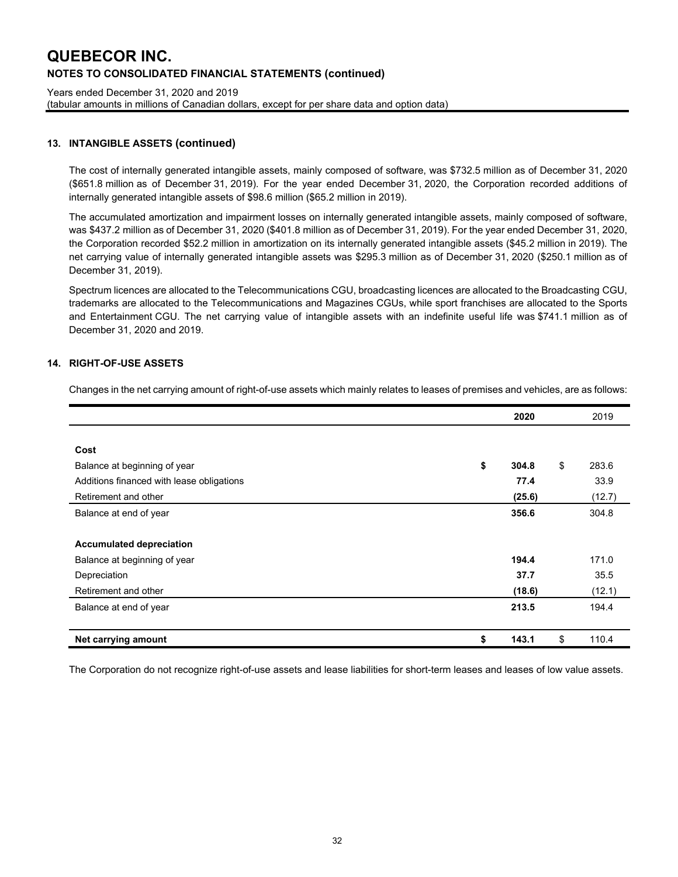Years ended December 31, 2020 and 2019 (tabular amounts in millions of Canadian dollars, except for per share data and option data)

## **13. INTANGIBLE ASSETS (continued)**

The cost of internally generated intangible assets, mainly composed of software, was \$732.5 million as of December 31, 2020 (\$651.8 million as of December 31, 2019). For the year ended December 31, 2020, the Corporation recorded additions of internally generated intangible assets of \$98.6 million (\$65.2 million in 2019).

The accumulated amortization and impairment losses on internally generated intangible assets, mainly composed of software, was \$437.2 million as of December 31, 2020 (\$401.8 million as of December 31, 2019). For the year ended December 31, 2020, the Corporation recorded \$52.2 million in amortization on its internally generated intangible assets (\$45.2 million in 2019). The net carrying value of internally generated intangible assets was \$295.3 million as of December 31, 2020 (\$250.1 million as of December 31, 2019).

Spectrum licences are allocated to the Telecommunications CGU, broadcasting licences are allocated to the Broadcasting CGU, trademarks are allocated to the Telecommunications and Magazines CGUs, while sport franchises are allocated to the Sports and Entertainment CGU. The net carrying value of intangible assets with an indefinite useful life was \$741.1 million as of December 31, 2020 and 2019.

## **14. RIGHT-OF-USE ASSETS**

Changes in the net carrying amount of right-of-use assets which mainly relates to leases of premises and vehicles, are as follows:

|                                           | 2020        | 2019        |
|-------------------------------------------|-------------|-------------|
|                                           |             |             |
| Cost                                      |             |             |
| Balance at beginning of year              | \$<br>304.8 | \$<br>283.6 |
| Additions financed with lease obligations | 77.4        | 33.9        |
| Retirement and other                      | (25.6)      | (12.7)      |
| Balance at end of year                    | 356.6       | 304.8       |
|                                           |             |             |
| <b>Accumulated depreciation</b>           |             |             |
| Balance at beginning of year              | 194.4       | 171.0       |
| Depreciation                              | 37.7        | 35.5        |
| Retirement and other                      | (18.6)      | (12.1)      |
| Balance at end of year                    | 213.5       | 194.4       |
|                                           |             |             |
| Net carrying amount                       | \$<br>143.1 | \$<br>110.4 |

The Corporation do not recognize right-of-use assets and lease liabilities for short-term leases and leases of low value assets.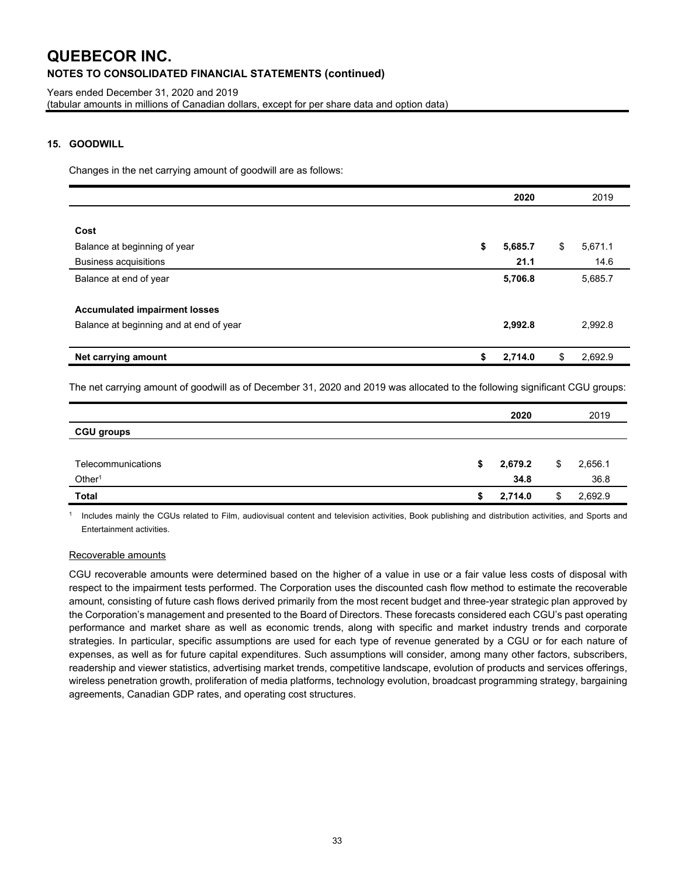## **15. GOODWILL**

Changes in the net carrying amount of goodwill are as follows:

|                                         | 2020          | 2019          |
|-----------------------------------------|---------------|---------------|
|                                         |               |               |
| Cost                                    |               |               |
| Balance at beginning of year            | \$<br>5,685.7 | \$<br>5,671.1 |
| <b>Business acquisitions</b>            | 21.1          | 14.6          |
| Balance at end of year                  | 5,706.8       | 5,685.7       |
|                                         |               |               |
| <b>Accumulated impairment losses</b>    |               |               |
| Balance at beginning and at end of year | 2,992.8       | 2,992.8       |
|                                         |               |               |
| Net carrying amount                     | \$<br>2,714.0 | \$<br>2,692.9 |

The net carrying amount of goodwill as of December 31, 2020 and 2019 was allocated to the following significant CGU groups:

|                    |    | 2020    |    | 2019    |
|--------------------|----|---------|----|---------|
| <b>CGU groups</b>  |    |         |    |         |
|                    |    |         |    |         |
| Telecommunications | s. | 2,679.2 | \$ | 2,656.1 |
| Other <sup>1</sup> |    | 34.8    |    | 36.8    |
| <b>Total</b>       | S  | 2,714.0 | S  | 2,692.9 |

1 Includes mainly the CGUs related to Film, audiovisual content and television activities, Book publishing and distribution activities, and Sports and Entertainment activities.

### Recoverable amounts

CGU recoverable amounts were determined based on the higher of a value in use or a fair value less costs of disposal with respect to the impairment tests performed. The Corporation uses the discounted cash flow method to estimate the recoverable amount, consisting of future cash flows derived primarily from the most recent budget and three-year strategic plan approved by the Corporation's management and presented to the Board of Directors. These forecasts considered each CGU's past operating performance and market share as well as economic trends, along with specific and market industry trends and corporate strategies. In particular, specific assumptions are used for each type of revenue generated by a CGU or for each nature of expenses, as well as for future capital expenditures. Such assumptions will consider, among many other factors, subscribers, readership and viewer statistics, advertising market trends, competitive landscape, evolution of products and services offerings, wireless penetration growth, proliferation of media platforms, technology evolution, broadcast programming strategy, bargaining agreements, Canadian GDP rates, and operating cost structures.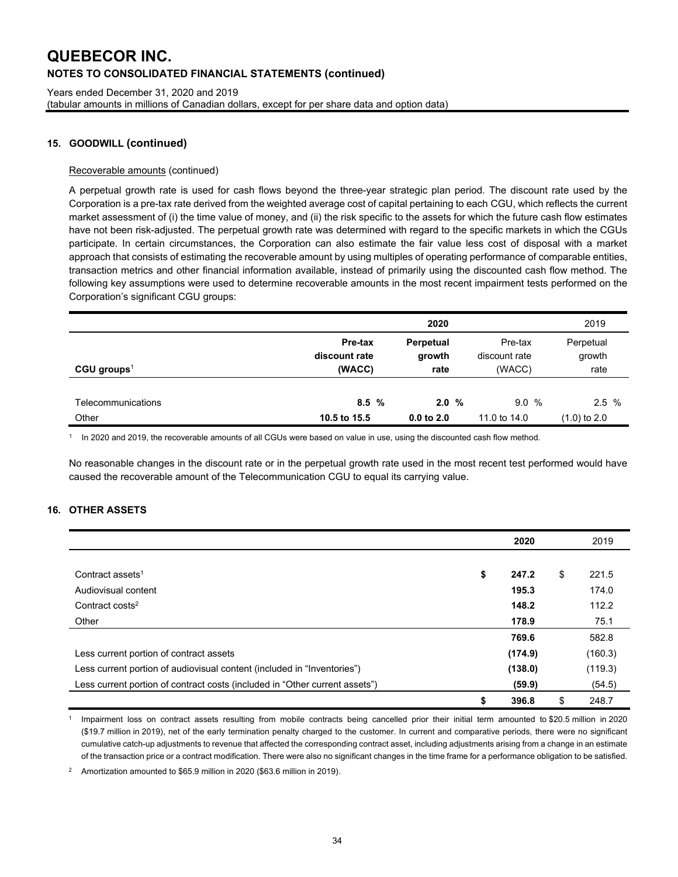Years ended December 31, 2020 and 2019 (tabular amounts in millions of Canadian dollars, except for per share data and option data)

## **15. GOODWILL (continued)**

## Recoverable amounts (continued)

A perpetual growth rate is used for cash flows beyond the three-year strategic plan period. The discount rate used by the Corporation is a pre-tax rate derived from the weighted average cost of capital pertaining to each CGU, which reflects the current market assessment of (i) the time value of money, and (ii) the risk specific to the assets for which the future cash flow estimates have not been risk-adjusted. The perpetual growth rate was determined with regard to the specific markets in which the CGUs participate. In certain circumstances, the Corporation can also estimate the fair value less cost of disposal with a market approach that consists of estimating the recoverable amount by using multiples of operating performance of comparable entities, transaction metrics and other financial information available, instead of primarily using the discounted cash flow method. The following key assumptions were used to determine recoverable amounts in the most recent impairment tests performed on the Corporation's significant CGU groups:

|                         |               | 2020           |               | 2019           |
|-------------------------|---------------|----------------|---------------|----------------|
| CGU groups <sup>1</sup> | Pre-tax       | Perpetual      | Pre-tax       | Perpetual      |
|                         | discount rate | growth         | discount rate | growth         |
|                         | (WACC)        | rate           | (WACC)        | rate           |
| Telecommunications      | 8.5%          | 2.0%           | 9.0%          | $2.5\%$        |
| Other                   | 10.5 to 15.5  | $0.0$ to $2.0$ | 11.0 to 14.0  | $(1.0)$ to 2.0 |

1 In 2020 and 2019, the recoverable amounts of all CGUs were based on value in use, using the discounted cash flow method.

No reasonable changes in the discount rate or in the perpetual growth rate used in the most recent test performed would have caused the recoverable amount of the Telecommunication CGU to equal its carrying value.

### **16. OTHER ASSETS**

|                                                                             | 2020        | 2019        |
|-----------------------------------------------------------------------------|-------------|-------------|
|                                                                             |             |             |
| Contract assets <sup>1</sup>                                                | \$<br>247.2 | \$<br>221.5 |
| Audiovisual content                                                         | 195.3       | 174.0       |
| Contract costs <sup>2</sup>                                                 | 148.2       | 112.2       |
| Other                                                                       | 178.9       | 75.1        |
|                                                                             | 769.6       | 582.8       |
| Less current portion of contract assets                                     | (174.9)     | (160.3)     |
| Less current portion of audiovisual content (included in "Inventories")     | (138.0)     | (119.3)     |
| Less current portion of contract costs (included in "Other current assets") | (59.9)      | (54.5)      |
|                                                                             | \$<br>396.8 | \$<br>248.7 |

1 Impairment loss on contract assets resulting from mobile contracts being cancelled prior their initial term amounted to \$20.5 million in 2020 (\$19.7 million in 2019), net of the early termination penalty charged to the customer. In current and comparative periods, there were no significant cumulative catch-up adjustments to revenue that affected the corresponding contract asset, including adjustments arising from a change in an estimate of the transaction price or a contract modification. There were also no significant changes in the time frame for a performance obligation to be satisfied.

<sup>2</sup> Amortization amounted to \$65.9 million in 2020 (\$63.6 million in 2019).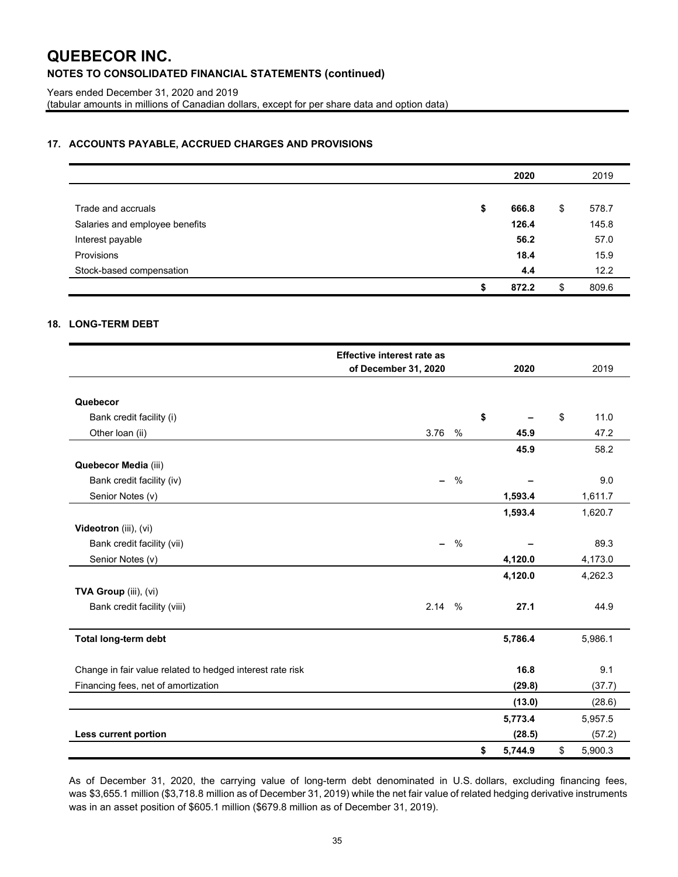## **17. ACCOUNTS PAYABLE, ACCRUED CHARGES AND PROVISIONS**

|                                | 2020        | 2019        |  |
|--------------------------------|-------------|-------------|--|
|                                |             |             |  |
| Trade and accruals             | \$<br>666.8 | \$<br>578.7 |  |
| Salaries and employee benefits | 126.4       | 145.8       |  |
| Interest payable               | 56.2        | 57.0        |  |
| Provisions                     | 18.4        | 15.9        |  |
| Stock-based compensation       | 4.4         | 12.2        |  |
|                                | 872.2       | \$<br>809.6 |  |

## **18. LONG-TERM DEBT**

|                                                           | <b>Effective interest rate as</b> |               |               |               |
|-----------------------------------------------------------|-----------------------------------|---------------|---------------|---------------|
|                                                           | of December 31, 2020              |               | 2020          | 2019          |
|                                                           |                                   |               |               |               |
| Quebecor                                                  |                                   |               |               |               |
| Bank credit facility (i)                                  |                                   |               | \$            | \$<br>11.0    |
| Other loan (ii)                                           | 3.76                              | $\frac{0}{0}$ | 45.9          | 47.2          |
|                                                           |                                   |               | 45.9          | 58.2          |
| Quebecor Media (iii)                                      |                                   |               |               |               |
| Bank credit facility (iv)                                 | $\overline{\phantom{0}}$          | $\frac{0}{0}$ |               | 9.0           |
| Senior Notes (v)                                          |                                   |               | 1,593.4       | 1,611.7       |
|                                                           |                                   |               | 1,593.4       | 1,620.7       |
| Videotron (iii), (vi)                                     |                                   |               |               |               |
| Bank credit facility (vii)                                |                                   | $\frac{0}{0}$ |               | 89.3          |
| Senior Notes (v)                                          |                                   |               | 4,120.0       | 4,173.0       |
|                                                           |                                   |               | 4,120.0       | 4,262.3       |
| TVA Group (iii), (vi)                                     |                                   |               |               |               |
| Bank credit facility (viii)                               | 2.14%                             |               | 27.1          | 44.9          |
|                                                           |                                   |               |               |               |
| <b>Total long-term debt</b>                               |                                   |               | 5,786.4       | 5,986.1       |
|                                                           |                                   |               |               |               |
| Change in fair value related to hedged interest rate risk |                                   |               | 16.8          | 9.1           |
| Financing fees, net of amortization                       |                                   |               | (29.8)        | (37.7)        |
|                                                           |                                   |               | (13.0)        | (28.6)        |
|                                                           |                                   |               | 5,773.4       | 5,957.5       |
| Less current portion                                      |                                   |               | (28.5)        | (57.2)        |
|                                                           |                                   |               | \$<br>5,744.9 | \$<br>5,900.3 |

As of December 31, 2020, the carrying value of long-term debt denominated in U.S. dollars, excluding financing fees, was \$3,655.1 million (\$3,718.8 million as of December 31, 2019) while the net fair value of related hedging derivative instruments was in an asset position of \$605.1 million (\$679.8 million as of December 31, 2019).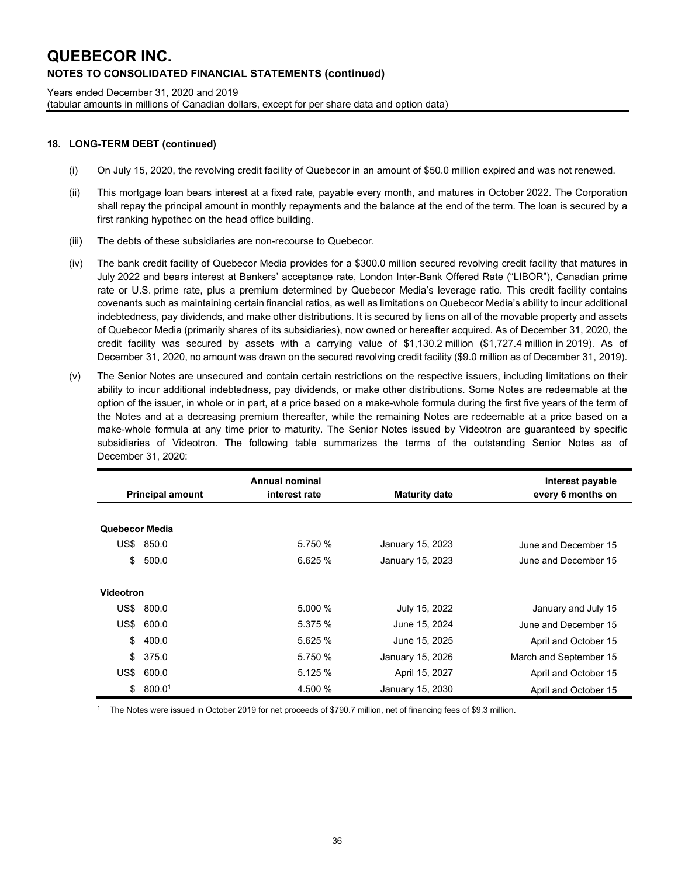Years ended December 31, 2020 and 2019 (tabular amounts in millions of Canadian dollars, except for per share data and option data)

## **18. LONG-TERM DEBT (continued)**

- (i) On July 15, 2020, the revolving credit facility of Quebecor in an amount of \$50.0 million expired and was not renewed.
- (ii) This mortgage loan bears interest at a fixed rate, payable every month, and matures in October 2022. The Corporation shall repay the principal amount in monthly repayments and the balance at the end of the term. The loan is secured by a first ranking hypothec on the head office building.
- (iii) The debts of these subsidiaries are non-recourse to Quebecor.
- (iv) The bank credit facility of Quebecor Media provides for a \$300.0 million secured revolving credit facility that matures in July 2022 and bears interest at Bankers' acceptance rate, London Inter-Bank Offered Rate ("LIBOR"), Canadian prime rate or U.S. prime rate, plus a premium determined by Quebecor Media's leverage ratio. This credit facility contains covenants such as maintaining certain financial ratios, as well as limitations on Quebecor Media's ability to incur additional indebtedness, pay dividends, and make other distributions. It is secured by liens on all of the movable property and assets of Quebecor Media (primarily shares of its subsidiaries), now owned or hereafter acquired. As of December 31, 2020, the credit facility was secured by assets with a carrying value of \$1,130.2 million (\$1,727.4 million in 2019). As of December 31, 2020, no amount was drawn on the secured revolving credit facility (\$9.0 million as of December 31, 2019).
- (v) The Senior Notes are unsecured and contain certain restrictions on the respective issuers, including limitations on their ability to incur additional indebtedness, pay dividends, or make other distributions. Some Notes are redeemable at the option of the issuer, in whole or in part, at a price based on a make-whole formula during the first five years of the term of the Notes and at a decreasing premium thereafter, while the remaining Notes are redeemable at a price based on a make-whole formula at any time prior to maturity. The Senior Notes issued by Videotron are guaranteed by specific subsidiaries of Videotron. The following table summarizes the terms of the outstanding Senior Notes as of December 31, 2020:

|                | <b>Principal amount</b> | <b>Annual nominal</b><br>interest rate<br><b>Maturity date</b> |                  | Interest payable<br>every 6 months on |
|----------------|-------------------------|----------------------------------------------------------------|------------------|---------------------------------------|
|                |                         |                                                                |                  |                                       |
| Quebecor Media |                         |                                                                |                  |                                       |
|                | US\$ 850.0              | 5.750 %                                                        | January 15, 2023 | June and December 15                  |
| \$             | 500.0                   | 6.625%                                                         | January 15, 2023 | June and December 15                  |
| Videotron      |                         |                                                                |                  |                                       |
|                | US\$ 800.0              | 5.000 %                                                        | July 15, 2022    | January and July 15                   |
| US\$           | 600.0                   | 5.375%                                                         | June 15, 2024    | June and December 15                  |
| \$             | 400.0                   | 5.625 %                                                        | June 15, 2025    | April and October 15                  |
|                | \$375.0                 | 5.750 %                                                        | January 15, 2026 | March and September 15                |
| US\$           | 600.0                   | 5.125 %                                                        | April 15, 2027   | April and October 15                  |
| \$             | 800.01                  | 4.500 %                                                        | January 15, 2030 | April and October 15                  |

1 The Notes were issued in October 2019 for net proceeds of \$790.7 million, net of financing fees of \$9.3 million.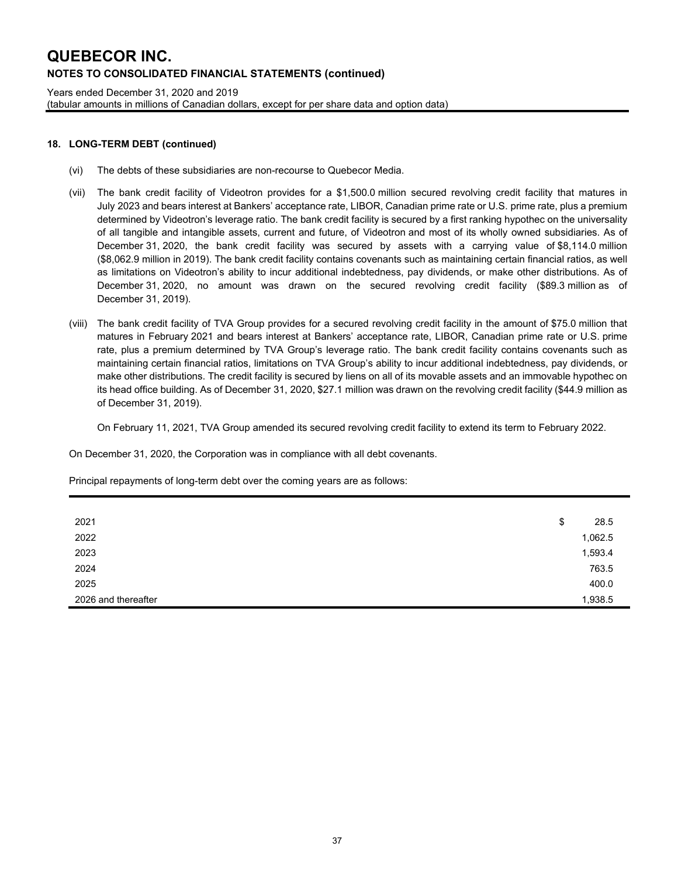Years ended December 31, 2020 and 2019 (tabular amounts in millions of Canadian dollars, except for per share data and option data)

### **18. LONG-TERM DEBT (continued)**

- (vi) The debts of these subsidiaries are non-recourse to Quebecor Media.
- (vii) The bank credit facility of Videotron provides for a \$1,500.0 million secured revolving credit facility that matures in July 2023 and bears interest at Bankers' acceptance rate, LIBOR, Canadian prime rate or U.S. prime rate, plus a premium determined by Videotron's leverage ratio. The bank credit facility is secured by a first ranking hypothec on the universality of all tangible and intangible assets, current and future, of Videotron and most of its wholly owned subsidiaries. As of December 31, 2020, the bank credit facility was secured by assets with a carrying value of \$8,114.0 million (\$8,062.9 million in 2019). The bank credit facility contains covenants such as maintaining certain financial ratios, as well as limitations on Videotron's ability to incur additional indebtedness, pay dividends, or make other distributions. As of December 31, 2020, no amount was drawn on the secured revolving credit facility (\$89.3 million as of December 31, 2019).
- (viii) The bank credit facility of TVA Group provides for a secured revolving credit facility in the amount of \$75.0 million that matures in February 2021 and bears interest at Bankers' acceptance rate, LIBOR, Canadian prime rate or U.S. prime rate, plus a premium determined by TVA Group's leverage ratio. The bank credit facility contains covenants such as maintaining certain financial ratios, limitations on TVA Group's ability to incur additional indebtedness, pay dividends, or make other distributions. The credit facility is secured by liens on all of its movable assets and an immovable hypothec on its head office building. As of December 31, 2020, \$27.1 million was drawn on the revolving credit facility (\$44.9 million as of December 31, 2019).

On February 11, 2021, TVA Group amended its secured revolving credit facility to extend its term to February 2022.

On December 31, 2020, the Corporation was in compliance with all debt covenants.

Principal repayments of long-term debt over the coming years are as follows:

| 2021                | \$<br>28.5 |
|---------------------|------------|
| 2022                | 1,062.5    |
| 2023                | 1,593.4    |
| 2024                | 763.5      |
| 2025                | 400.0      |
| 2026 and thereafter | 1,938.5    |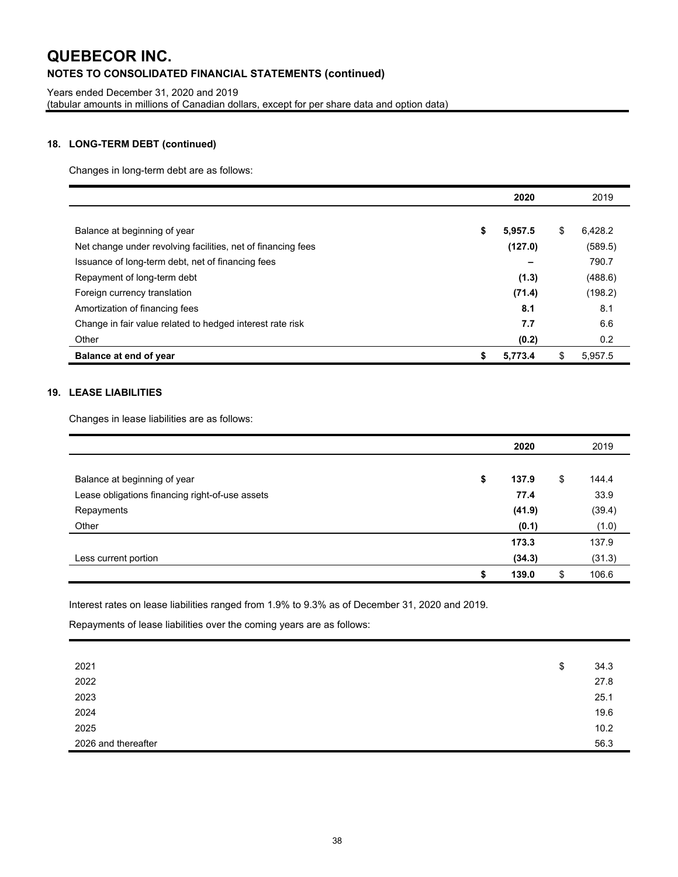Years ended December 31, 2020 and 2019 (tabular amounts in millions of Canadian dollars, except for per share data and option data)

## **18. LONG-TERM DEBT (continued)**

Changes in long-term debt are as follows:

|                                                              | 2020          | 2019          |
|--------------------------------------------------------------|---------------|---------------|
|                                                              |               |               |
| Balance at beginning of year                                 | \$<br>5.957.5 | \$<br>6.428.2 |
| Net change under revolving facilities, net of financing fees | (127.0)       | (589.5)       |
| Issuance of long-term debt, net of financing fees            |               | 790.7         |
| Repayment of long-term debt                                  | (1.3)         | (488.6)       |
| Foreign currency translation                                 | (71.4)        | (198.2)       |
| Amortization of financing fees                               | 8.1           | 8.1           |
| Change in fair value related to hedged interest rate risk    | 7.7           | 6.6           |
| Other                                                        | (0.2)         | 0.2           |
| Balance at end of year                                       | 5.773.4       | 5.957.5       |

## **19. LEASE LIABILITIES**

Changes in lease liabilities are as follows:

|                                                 | 2020        | 2019        |
|-------------------------------------------------|-------------|-------------|
|                                                 |             |             |
| Balance at beginning of year                    | \$<br>137.9 | \$<br>144.4 |
| Lease obligations financing right-of-use assets | 77.4        | 33.9        |
| Repayments                                      | (41.9)      | (39.4)      |
| Other                                           | (0.1)       | (1.0)       |
|                                                 | 173.3       | 137.9       |
| Less current portion                            | (34.3)      | (31.3)      |
|                                                 | 139.0       | \$<br>106.6 |

Interest rates on lease liabilities ranged from 1.9% to 9.3% as of December 31, 2020 and 2019.

Repayments of lease liabilities over the coming years are as follows:

| 2021                | \$<br>34.3 |
|---------------------|------------|
| 2022                | 27.8       |
| 2023                | 25.1       |
| 2024                | 19.6       |
| 2025                | 10.2       |
| 2026 and thereafter | 56.3       |
|                     |            |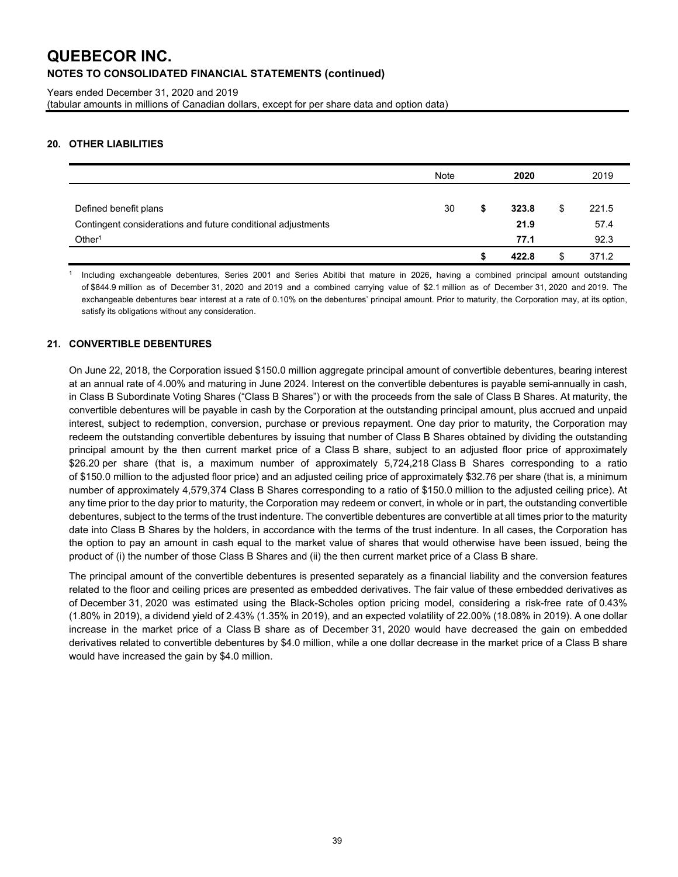Years ended December 31, 2020 and 2019 (tabular amounts in millions of Canadian dollars, except for per share data and option data)

## **20. OTHER LIABILITIES**

|                                                              | Note | 2020  |    | 2019  |  |
|--------------------------------------------------------------|------|-------|----|-------|--|
|                                                              |      |       |    |       |  |
| Defined benefit plans                                        | 30   | 323.8 | S  | 221.5 |  |
| Contingent considerations and future conditional adjustments |      | 21.9  |    | 57.4  |  |
| Other <sup>1</sup>                                           |      | 77.1  |    | 92.3  |  |
|                                                              |      | 422.8 | \$ | 371.2 |  |

1 Including exchangeable debentures, Series 2001 and Series Abitibi that mature in 2026, having a combined principal amount outstanding of \$844.9 million as of December 31, 2020 and 2019 and a combined carrying value of \$2.1 million as of December 31, 2020 and 2019. The exchangeable debentures bear interest at a rate of 0.10% on the debentures' principal amount. Prior to maturity, the Corporation may, at its option, satisfy its obligations without any consideration.

## **21. CONVERTIBLE DEBENTURES**

On June 22, 2018, the Corporation issued \$150.0 million aggregate principal amount of convertible debentures, bearing interest at an annual rate of 4.00% and maturing in June 2024. Interest on the convertible debentures is payable semi-annually in cash, in Class B Subordinate Voting Shares ("Class B Shares") or with the proceeds from the sale of Class B Shares. At maturity, the convertible debentures will be payable in cash by the Corporation at the outstanding principal amount, plus accrued and unpaid interest, subject to redemption, conversion, purchase or previous repayment. One day prior to maturity, the Corporation may redeem the outstanding convertible debentures by issuing that number of Class B Shares obtained by dividing the outstanding principal amount by the then current market price of a Class B share, subject to an adjusted floor price of approximately \$26.20 per share (that is, a maximum number of approximately 5,724,218 Class B Shares corresponding to a ratio of \$150.0 million to the adjusted floor price) and an adjusted ceiling price of approximately \$32.76 per share (that is, a minimum number of approximately 4,579,374 Class B Shares corresponding to a ratio of \$150.0 million to the adjusted ceiling price). At any time prior to the day prior to maturity, the Corporation may redeem or convert, in whole or in part, the outstanding convertible debentures, subject to the terms of the trust indenture. The convertible debentures are convertible at all times prior to the maturity date into Class B Shares by the holders, in accordance with the terms of the trust indenture. In all cases, the Corporation has the option to pay an amount in cash equal to the market value of shares that would otherwise have been issued, being the product of (i) the number of those Class B Shares and (ii) the then current market price of a Class B share.

The principal amount of the convertible debentures is presented separately as a financial liability and the conversion features related to the floor and ceiling prices are presented as embedded derivatives. The fair value of these embedded derivatives as of December 31, 2020 was estimated using the Black-Scholes option pricing model, considering a risk-free rate of 0.43% (1.80% in 2019), a dividend yield of 2.43% (1.35% in 2019), and an expected volatility of 22.00% (18.08% in 2019). A one dollar increase in the market price of a Class B share as of December 31, 2020 would have decreased the gain on embedded derivatives related to convertible debentures by \$4.0 million, while a one dollar decrease in the market price of a Class B share would have increased the gain by \$4.0 million.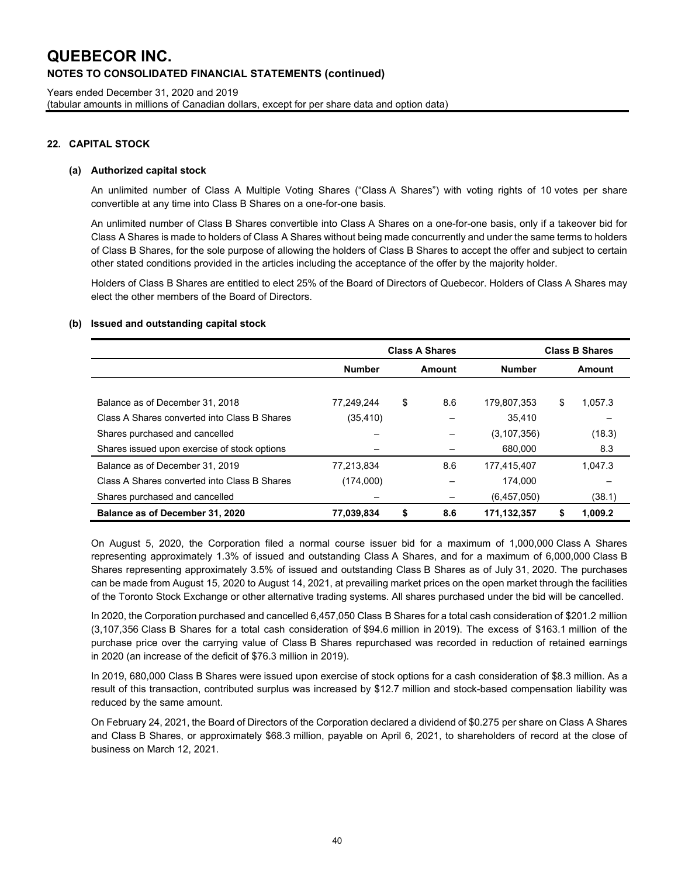Years ended December 31, 2020 and 2019 (tabular amounts in millions of Canadian dollars, except for per share data and option data)

## **22. CAPITAL STOCK**

### **(a) Authorized capital stock**

An unlimited number of Class A Multiple Voting Shares ("Class A Shares") with voting rights of 10 votes per share convertible at any time into Class B Shares on a one-for-one basis.

An unlimited number of Class B Shares convertible into Class A Shares on a one-for-one basis, only if a takeover bid for Class A Shares is made to holders of Class A Shares without being made concurrently and under the same terms to holders of Class B Shares, for the sole purpose of allowing the holders of Class B Shares to accept the offer and subject to certain other stated conditions provided in the articles including the acceptance of the offer by the majority holder.

Holders of Class B Shares are entitled to elect 25% of the Board of Directors of Quebecor. Holders of Class A Shares may elect the other members of the Board of Directors.

## **(b) Issued and outstanding capital stock**

|                                              |                         | <b>Class A Shares</b> | <b>Class B Shares</b> |               |    |         |
|----------------------------------------------|-------------------------|-----------------------|-----------------------|---------------|----|---------|
|                                              | <b>Number</b><br>Amount |                       |                       | <b>Number</b> |    | Amount  |
|                                              |                         |                       |                       |               |    |         |
| Balance as of December 31, 2018              | 77,249,244              | \$                    | 8.6                   | 179,807,353   | \$ | 1,057.3 |
| Class A Shares converted into Class B Shares | (35, 410)               |                       |                       | 35,410        |    |         |
| Shares purchased and cancelled               |                         |                       |                       | (3, 107, 356) |    | (18.3)  |
| Shares issued upon exercise of stock options |                         |                       |                       | 680,000       |    | 8.3     |
| Balance as of December 31, 2019              | 77,213,834              |                       | 8.6                   | 177,415,407   |    | 1,047.3 |
| Class A Shares converted into Class B Shares | (174,000)               |                       |                       | 174,000       |    |         |
| Shares purchased and cancelled               |                         |                       |                       | (6,457,050)   |    | (38.1)  |
| Balance as of December 31, 2020              | 77,039,834              | \$                    | 8.6                   | 171,132,357   | S  | 1,009.2 |

On August 5, 2020, the Corporation filed a normal course issuer bid for a maximum of 1,000,000 Class A Shares representing approximately 1.3% of issued and outstanding Class A Shares, and for a maximum of 6,000,000 Class B Shares representing approximately 3.5% of issued and outstanding Class B Shares as of July 31, 2020. The purchases can be made from August 15, 2020 to August 14, 2021, at prevailing market prices on the open market through the facilities of the Toronto Stock Exchange or other alternative trading systems. All shares purchased under the bid will be cancelled.

In 2020, the Corporation purchased and cancelled 6,457,050 Class B Shares for a total cash consideration of \$201.2 million (3,107,356 Class B Shares for a total cash consideration of \$94.6 million in 2019). The excess of \$163.1 million of the purchase price over the carrying value of Class B Shares repurchased was recorded in reduction of retained earnings in 2020 (an increase of the deficit of \$76.3 million in 2019).

In 2019, 680,000 Class B Shares were issued upon exercise of stock options for a cash consideration of \$8.3 million. As a result of this transaction, contributed surplus was increased by \$12.7 million and stock-based compensation liability was reduced by the same amount.

On February 24, 2021, the Board of Directors of the Corporation declared a dividend of \$0.275 per share on Class A Shares and Class B Shares, or approximately \$68.3 million, payable on April 6, 2021, to shareholders of record at the close of business on March 12, 2021.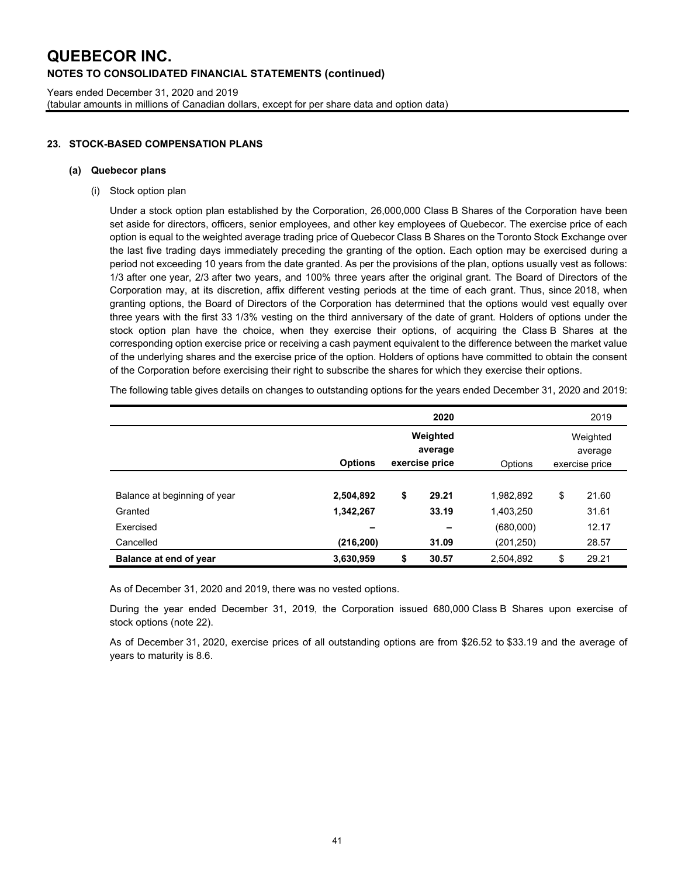Years ended December 31, 2020 and 2019 (tabular amounts in millions of Canadian dollars, except for per share data and option data)

## **23. STOCK-BASED COMPENSATION PLANS**

#### **(a) Quebecor plans**

(i) Stock option plan

Under a stock option plan established by the Corporation, 26,000,000 Class B Shares of the Corporation have been set aside for directors, officers, senior employees, and other key employees of Quebecor. The exercise price of each option is equal to the weighted average trading price of Quebecor Class B Shares on the Toronto Stock Exchange over the last five trading days immediately preceding the granting of the option. Each option may be exercised during a period not exceeding 10 years from the date granted. As per the provisions of the plan, options usually vest as follows: 1/3 after one year, 2/3 after two years, and 100% three years after the original grant. The Board of Directors of the Corporation may, at its discretion, affix different vesting periods at the time of each grant. Thus, since 2018, when granting options, the Board of Directors of the Corporation has determined that the options would vest equally over three years with the first 33 1/3% vesting on the third anniversary of the date of grant. Holders of options under the stock option plan have the choice, when they exercise their options, of acquiring the Class B Shares at the corresponding option exercise price or receiving a cash payment equivalent to the difference between the market value of the underlying shares and the exercise price of the option. Holders of options have committed to obtain the consent of the Corporation before exercising their right to subscribe the shares for which they exercise their options.

The following table gives details on changes to outstanding options for the years ended December 31, 2020 and 2019:

|                              |                                                         |    | 2020  |            |                                       | 2019  |
|------------------------------|---------------------------------------------------------|----|-------|------------|---------------------------------------|-------|
|                              | Weighted<br>average<br>exercise price<br><b>Options</b> |    |       | Options    | Weighted<br>average<br>exercise price |       |
|                              |                                                         |    |       |            |                                       |       |
| Balance at beginning of year | 2,504,892                                               | \$ | 29.21 | 1,982,892  | \$                                    | 21.60 |
| Granted                      | 1,342,267                                               |    | 33.19 | 1.403.250  |                                       | 31.61 |
| Exercised                    |                                                         |    |       | (680,000)  |                                       | 12.17 |
| Cancelled                    | (216, 200)                                              |    | 31.09 | (201, 250) |                                       | 28.57 |
| Balance at end of year       | 3,630,959                                               | \$ | 30.57 | 2,504,892  | \$                                    | 29.21 |

As of December 31, 2020 and 2019, there was no vested options.

During the year ended December 31, 2019, the Corporation issued 680,000 Class B Shares upon exercise of stock options (note 22).

As of December 31, 2020, exercise prices of all outstanding options are from \$26.52 to \$33.19 and the average of years to maturity is 8.6.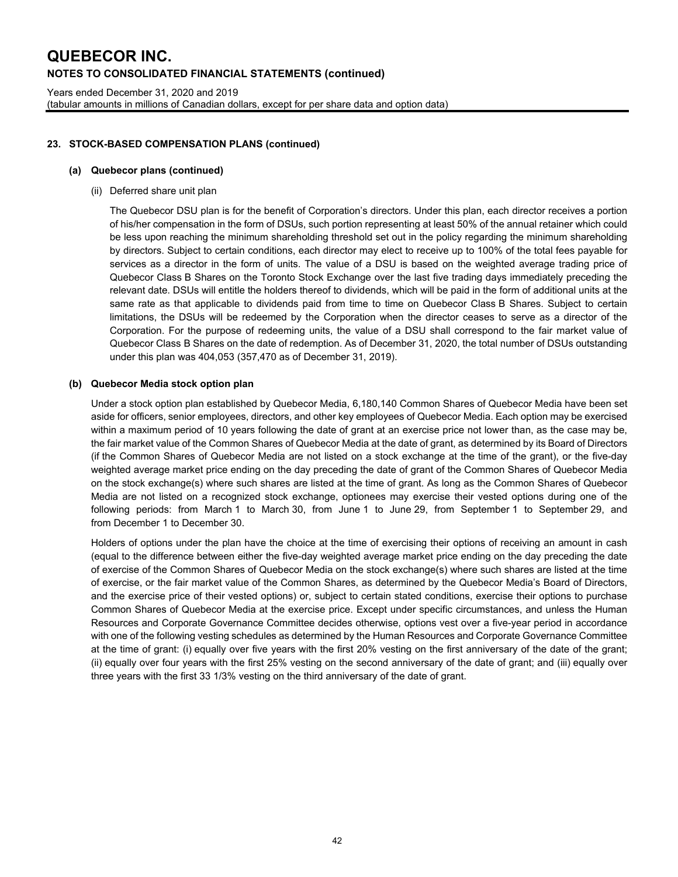Years ended December 31, 2020 and 2019 (tabular amounts in millions of Canadian dollars, except for per share data and option data)

## **23. STOCK-BASED COMPENSATION PLANS (continued)**

### **(a) Quebecor plans (continued)**

(ii) Deferred share unit plan

The Quebecor DSU plan is for the benefit of Corporation's directors. Under this plan, each director receives a portion of his/her compensation in the form of DSUs, such portion representing at least 50% of the annual retainer which could be less upon reaching the minimum shareholding threshold set out in the policy regarding the minimum shareholding by directors. Subject to certain conditions, each director may elect to receive up to 100% of the total fees payable for services as a director in the form of units. The value of a DSU is based on the weighted average trading price of Quebecor Class B Shares on the Toronto Stock Exchange over the last five trading days immediately preceding the relevant date. DSUs will entitle the holders thereof to dividends, which will be paid in the form of additional units at the same rate as that applicable to dividends paid from time to time on Quebecor Class B Shares. Subject to certain limitations, the DSUs will be redeemed by the Corporation when the director ceases to serve as a director of the Corporation. For the purpose of redeeming units, the value of a DSU shall correspond to the fair market value of Quebecor Class B Shares on the date of redemption. As of December 31, 2020, the total number of DSUs outstanding under this plan was 404,053 (357,470 as of December 31, 2019).

### **(b) Quebecor Media stock option plan**

Under a stock option plan established by Quebecor Media, 6,180,140 Common Shares of Quebecor Media have been set aside for officers, senior employees, directors, and other key employees of Quebecor Media. Each option may be exercised within a maximum period of 10 years following the date of grant at an exercise price not lower than, as the case may be, the fair market value of the Common Shares of Quebecor Media at the date of grant, as determined by its Board of Directors (if the Common Shares of Quebecor Media are not listed on a stock exchange at the time of the grant), or the five-day weighted average market price ending on the day preceding the date of grant of the Common Shares of Quebecor Media on the stock exchange(s) where such shares are listed at the time of grant. As long as the Common Shares of Quebecor Media are not listed on a recognized stock exchange, optionees may exercise their vested options during one of the following periods: from March 1 to March 30, from June 1 to June 29, from September 1 to September 29, and from December 1 to December 30.

Holders of options under the plan have the choice at the time of exercising their options of receiving an amount in cash (equal to the difference between either the five-day weighted average market price ending on the day preceding the date of exercise of the Common Shares of Quebecor Media on the stock exchange(s) where such shares are listed at the time of exercise, or the fair market value of the Common Shares, as determined by the Quebecor Media's Board of Directors, and the exercise price of their vested options) or, subject to certain stated conditions, exercise their options to purchase Common Shares of Quebecor Media at the exercise price. Except under specific circumstances, and unless the Human Resources and Corporate Governance Committee decides otherwise, options vest over a five-year period in accordance with one of the following vesting schedules as determined by the Human Resources and Corporate Governance Committee at the time of grant: (i) equally over five years with the first 20% vesting on the first anniversary of the date of the grant; (ii) equally over four years with the first 25% vesting on the second anniversary of the date of grant; and (iii) equally over three years with the first 33 1/3% vesting on the third anniversary of the date of grant.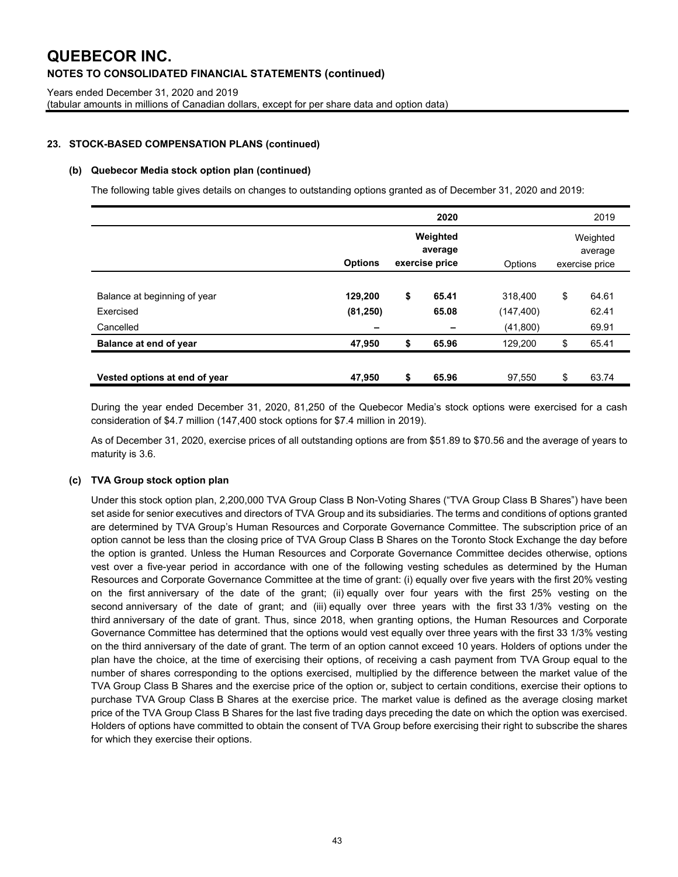### **23. STOCK-BASED COMPENSATION PLANS (continued)**

#### **(b) Quebecor Media stock option plan (continued)**

The following table gives details on changes to outstanding options granted as of December 31, 2020 and 2019:

|                               |                | 2020 |                | 2019       |                |  |
|-------------------------------|----------------|------|----------------|------------|----------------|--|
|                               |                |      | Weighted       |            | Weighted       |  |
|                               |                |      | average        |            | average        |  |
|                               | <b>Options</b> |      | exercise price | Options    | exercise price |  |
|                               |                |      |                |            |                |  |
| Balance at beginning of year  | 129,200        | \$   | 65.41          | 318,400    | \$<br>64.61    |  |
| Exercised                     | (81, 250)      |      | 65.08          | (147, 400) | 62.41          |  |
| Cancelled                     |                |      |                | (41,800)   | 69.91          |  |
| <b>Balance at end of year</b> | 47,950         | \$   | 65.96          | 129,200    | \$<br>65.41    |  |
|                               |                |      |                |            |                |  |
| Vested options at end of year | 47,950         | \$   | 65.96          | 97,550     | \$<br>63.74    |  |

During the year ended December 31, 2020, 81,250 of the Quebecor Media's stock options were exercised for a cash consideration of \$4.7 million (147,400 stock options for \$7.4 million in 2019).

As of December 31, 2020, exercise prices of all outstanding options are from \$51.89 to \$70.56 and the average of years to maturity is 3.6.

### **(c) TVA Group stock option plan**

Under this stock option plan, 2,200,000 TVA Group Class B Non-Voting Shares ("TVA Group Class B Shares") have been set aside for senior executives and directors of TVA Group and its subsidiaries. The terms and conditions of options granted are determined by TVA Group's Human Resources and Corporate Governance Committee. The subscription price of an option cannot be less than the closing price of TVA Group Class B Shares on the Toronto Stock Exchange the day before the option is granted. Unless the Human Resources and Corporate Governance Committee decides otherwise, options vest over a five-year period in accordance with one of the following vesting schedules as determined by the Human Resources and Corporate Governance Committee at the time of grant: (i) equally over five years with the first 20% vesting on the first anniversary of the date of the grant; (ii) equally over four years with the first 25% vesting on the second anniversary of the date of grant; and (iii) equally over three years with the first 33 1/3% vesting on the third anniversary of the date of grant. Thus, since 2018, when granting options, the Human Resources and Corporate Governance Committee has determined that the options would vest equally over three years with the first 33 1/3% vesting on the third anniversary of the date of grant. The term of an option cannot exceed 10 years. Holders of options under the plan have the choice, at the time of exercising their options, of receiving a cash payment from TVA Group equal to the number of shares corresponding to the options exercised, multiplied by the difference between the market value of the TVA Group Class B Shares and the exercise price of the option or, subject to certain conditions, exercise their options to purchase TVA Group Class B Shares at the exercise price. The market value is defined as the average closing market price of the TVA Group Class B Shares for the last five trading days preceding the date on which the option was exercised. Holders of options have committed to obtain the consent of TVA Group before exercising their right to subscribe the shares for which they exercise their options.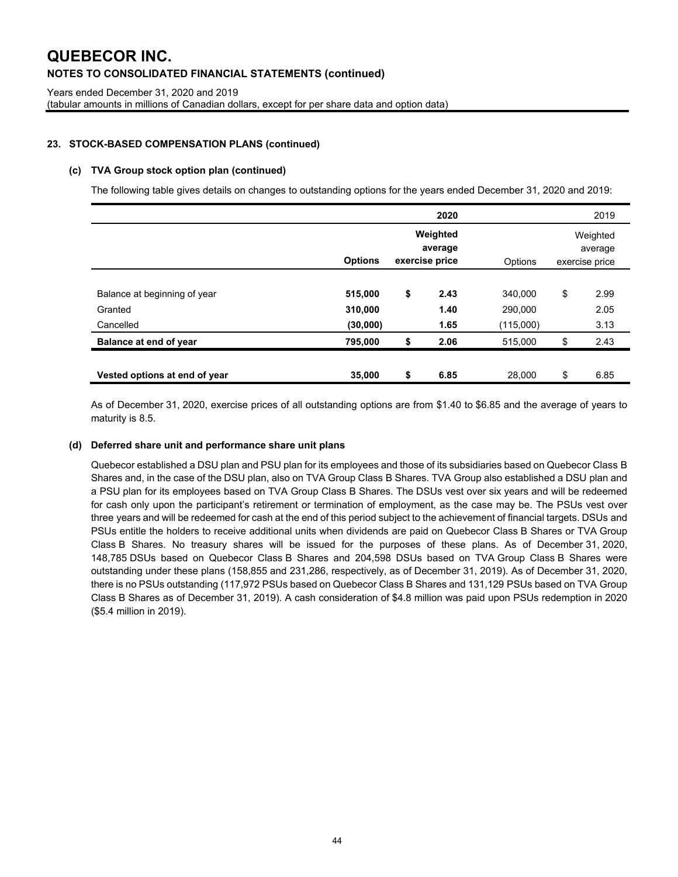## **23. STOCK-BASED COMPENSATION PLANS (continued)**

### **(c) TVA Group stock option plan (continued)**

The following table gives details on changes to outstanding options for the years ended December 31, 2020 and 2019:

|                                                      |                                | 2020                                  |                      | 2019                            |                                       |
|------------------------------------------------------|--------------------------------|---------------------------------------|----------------------|---------------------------------|---------------------------------------|
|                                                      | <b>Options</b>                 | Weighted<br>average<br>exercise price |                      |                                 | Weighted<br>average<br>exercise price |
| Balance at beginning of year<br>Granted<br>Cancelled | 515,000<br>310,000<br>(30,000) | \$                                    | 2.43<br>1.40<br>1.65 | 340,000<br>290.000<br>(115,000) | \$<br>2.99<br>2.05<br>3.13            |
| <b>Balance at end of year</b>                        | 795,000                        | \$                                    | 2.06                 | 515.000                         | \$<br>2.43                            |
| Vested options at end of year                        | 35,000                         | \$                                    | 6.85                 | 28,000                          | \$<br>6.85                            |

As of December 31, 2020, exercise prices of all outstanding options are from \$1.40 to \$6.85 and the average of years to maturity is 8.5.

### **(d) Deferred share unit and performance share unit plans**

Quebecor established a DSU plan and PSU plan for its employees and those of its subsidiaries based on Quebecor Class B Shares and, in the case of the DSU plan, also on TVA Group Class B Shares. TVA Group also established a DSU plan and a PSU plan for its employees based on TVA Group Class B Shares. The DSUs vest over six years and will be redeemed for cash only upon the participant's retirement or termination of employment, as the case may be. The PSUs vest over three years and will be redeemed for cash at the end of this period subject to the achievement of financial targets. DSUs and PSUs entitle the holders to receive additional units when dividends are paid on Quebecor Class B Shares or TVA Group Class B Shares. No treasury shares will be issued for the purposes of these plans. As of December 31, 2020, 148,785 DSUs based on Quebecor Class B Shares and 204,598 DSUs based on TVA Group Class B Shares were outstanding under these plans (158,855 and 231,286, respectively, as of December 31, 2019). As of December 31, 2020, there is no PSUs outstanding (117,972 PSUs based on Quebecor Class B Shares and 131,129 PSUs based on TVA Group Class B Shares as of December 31, 2019). A cash consideration of \$4.8 million was paid upon PSUs redemption in 2020 (\$5.4 million in 2019).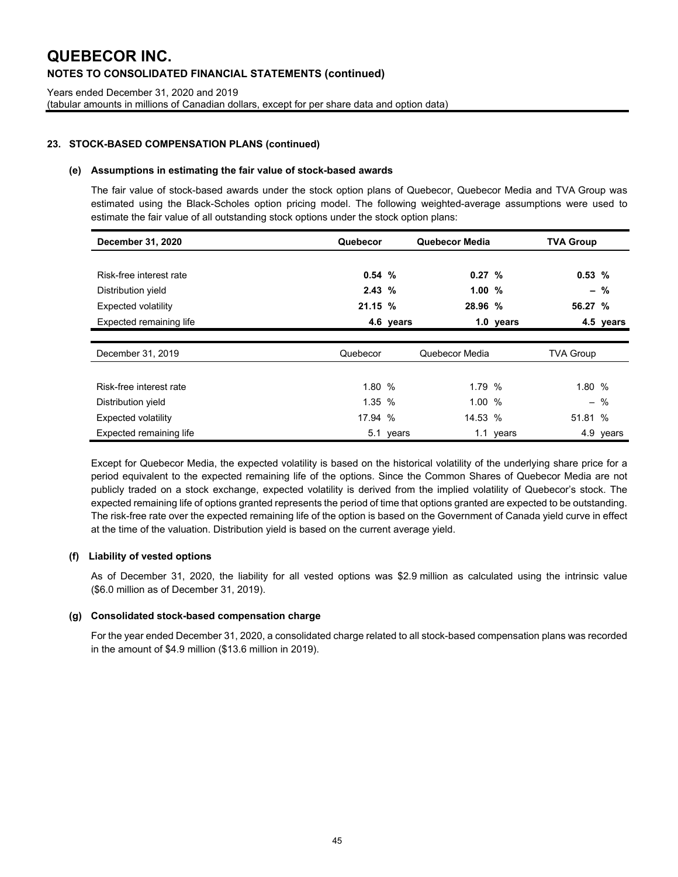### **23. STOCK-BASED COMPENSATION PLANS (continued)**

## **(e) Assumptions in estimating the fair value of stock-based awards**

The fair value of stock-based awards under the stock option plans of Quebecor, Quebecor Media and TVA Group was estimated using the Black-Scholes option pricing model. The following weighted-average assumptions were used to estimate the fair value of all outstanding stock options under the stock option plans:

| December 31, 2020          | Quebecor |           | Quebecor Media |           | <b>TVA Group</b> |           |
|----------------------------|----------|-----------|----------------|-----------|------------------|-----------|
|                            |          |           |                |           |                  |           |
| Risk-free interest rate    | 0.54%    |           | 0.27%          |           | 0.53%            |           |
| Distribution yield         | 2.43%    |           | 1.00%          |           |                  | $-$ %     |
| Expected volatility        | 21.15 %  |           | 28.96 %        |           | 56.27 %          |           |
| Expected remaining life    |          | 4.6 years |                | 1.0 years |                  | 4.5 years |
|                            |          |           |                |           |                  |           |
| December 31, 2019          | Quebecor |           | Quebecor Media |           | <b>TVA Group</b> |           |
|                            |          |           |                |           |                  |           |
| Risk-free interest rate    | 1.80%    |           | 1.79 %         |           | 1.80 %           |           |
| Distribution yield         | 1.35 %   |           | 1.00 %         |           |                  | $-$ %     |
| <b>Expected volatility</b> | 17.94 %  |           | 14.53 %        |           | 51.81 %          |           |
| Expected remaining life    |          | 5.1 years |                | 1.1 years |                  | 4.9 years |

Except for Quebecor Media, the expected volatility is based on the historical volatility of the underlying share price for a period equivalent to the expected remaining life of the options. Since the Common Shares of Quebecor Media are not publicly traded on a stock exchange, expected volatility is derived from the implied volatility of Quebecor's stock. The expected remaining life of options granted represents the period of time that options granted are expected to be outstanding. The risk-free rate over the expected remaining life of the option is based on the Government of Canada yield curve in effect at the time of the valuation. Distribution yield is based on the current average yield.

## **(f) Liability of vested options**

As of December 31, 2020, the liability for all vested options was \$2.9 million as calculated using the intrinsic value (\$6.0 million as of December 31, 2019).

### **(g) Consolidated stock-based compensation charge**

For the year ended December 31, 2020, a consolidated charge related to all stock-based compensation plans was recorded in the amount of \$4.9 million (\$13.6 million in 2019).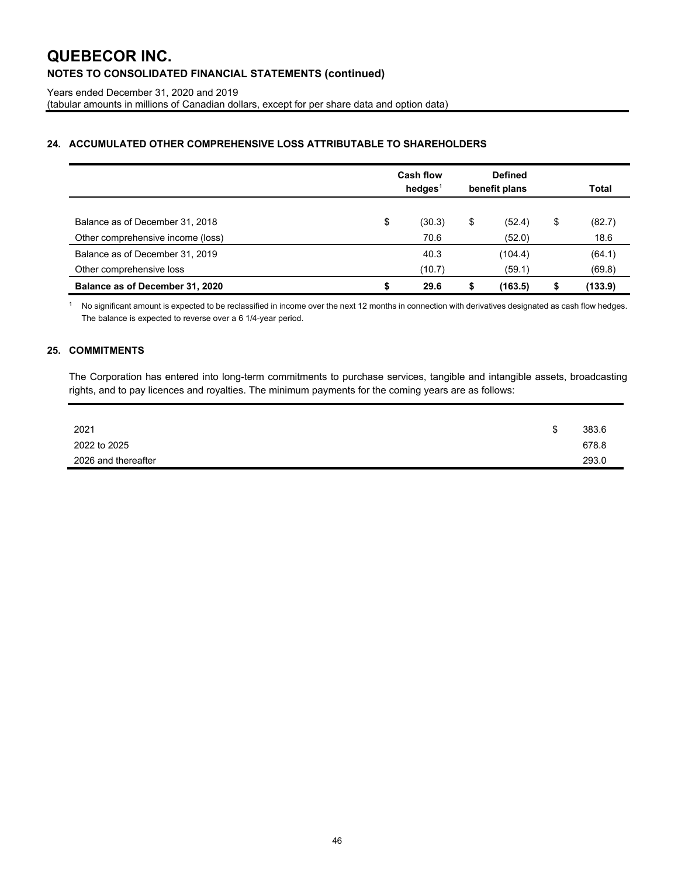## **24. ACCUMULATED OTHER COMPREHENSIVE LOSS ATTRIBUTABLE TO SHAREHOLDERS**

|                                                                      | <b>Cash flow</b><br>hedges $1$ |                | <b>Defined</b><br>benefit plans |                   | Total                |
|----------------------------------------------------------------------|--------------------------------|----------------|---------------------------------|-------------------|----------------------|
| Balance as of December 31, 2018<br>Other comprehensive income (loss) | \$                             | (30.3)<br>70.6 | \$                              | (52.4)<br>(52.0)  | \$<br>(82.7)<br>18.6 |
| Balance as of December 31, 2019<br>Other comprehensive loss          |                                | 40.3<br>(10.7) |                                 | (104.4)<br>(59.1) | (64.1)               |
| Balance as of December 31, 2020                                      | \$                             | 29.6           | S                               | (163.5)           | (69.8)<br>(133.9)    |

<sup>1</sup> No significant amount is expected to be reclassified in income over the next 12 months in connection with derivatives designated as cash flow hedges. The balance is expected to reverse over a 6 1/4-year period.

## **25. COMMITMENTS**

The Corporation has entered into long-term commitments to purchase services, tangible and intangible assets, broadcasting rights, and to pay licences and royalties. The minimum payments for the coming years are as follows:

| 2021                | \$<br>383.6 |
|---------------------|-------------|
| 2022 to 2025        | 678.8       |
| 2026 and thereafter | 293.0       |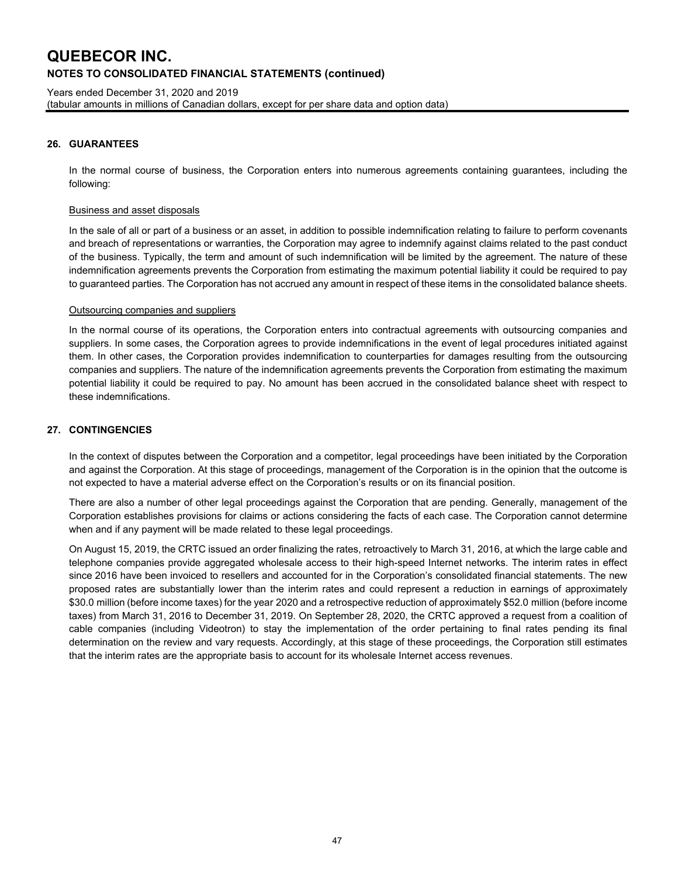Years ended December 31, 2020 and 2019 (tabular amounts in millions of Canadian dollars, except for per share data and option data)

### **26. GUARANTEES**

In the normal course of business, the Corporation enters into numerous agreements containing guarantees, including the following:

#### Business and asset disposals

In the sale of all or part of a business or an asset, in addition to possible indemnification relating to failure to perform covenants and breach of representations or warranties, the Corporation may agree to indemnify against claims related to the past conduct of the business. Typically, the term and amount of such indemnification will be limited by the agreement. The nature of these indemnification agreements prevents the Corporation from estimating the maximum potential liability it could be required to pay to guaranteed parties. The Corporation has not accrued any amount in respect of these items in the consolidated balance sheets.

#### Outsourcing companies and suppliers

In the normal course of its operations, the Corporation enters into contractual agreements with outsourcing companies and suppliers. In some cases, the Corporation agrees to provide indemnifications in the event of legal procedures initiated against them. In other cases, the Corporation provides indemnification to counterparties for damages resulting from the outsourcing companies and suppliers. The nature of the indemnification agreements prevents the Corporation from estimating the maximum potential liability it could be required to pay. No amount has been accrued in the consolidated balance sheet with respect to these indemnifications.

### **27. CONTINGENCIES**

In the context of disputes between the Corporation and a competitor, legal proceedings have been initiated by the Corporation and against the Corporation. At this stage of proceedings, management of the Corporation is in the opinion that the outcome is not expected to have a material adverse effect on the Corporation's results or on its financial position.

There are also a number of other legal proceedings against the Corporation that are pending. Generally, management of the Corporation establishes provisions for claims or actions considering the facts of each case. The Corporation cannot determine when and if any payment will be made related to these legal proceedings.

On August 15, 2019, the CRTC issued an order finalizing the rates, retroactively to March 31, 2016, at which the large cable and telephone companies provide aggregated wholesale access to their high-speed Internet networks. The interim rates in effect since 2016 have been invoiced to resellers and accounted for in the Corporation's consolidated financial statements. The new proposed rates are substantially lower than the interim rates and could represent a reduction in earnings of approximately \$30.0 million (before income taxes) for the year 2020 and a retrospective reduction of approximately \$52.0 million (before income taxes) from March 31, 2016 to December 31, 2019. On September 28, 2020, the CRTC approved a request from a coalition of cable companies (including Videotron) to stay the implementation of the order pertaining to final rates pending its final determination on the review and vary requests. Accordingly, at this stage of these proceedings, the Corporation still estimates that the interim rates are the appropriate basis to account for its wholesale Internet access revenues.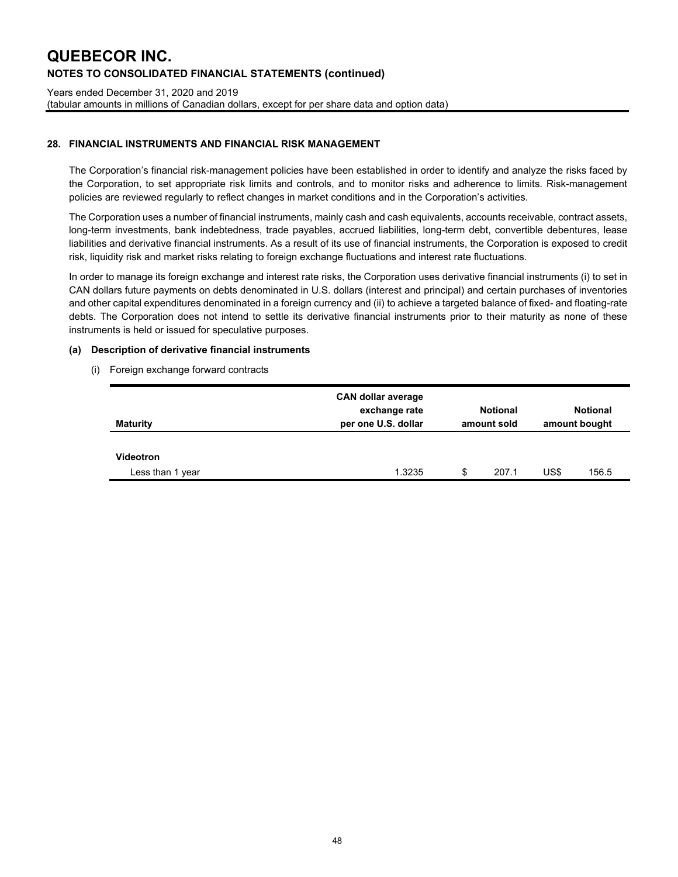Years ended December 31, 2020 and 2019 (tabular amounts in millions of Canadian dollars, except for per share data and option data)

## **28. FINANCIAL INSTRUMENTS AND FINANCIAL RISK MANAGEMENT**

The Corporation's financial risk-management policies have been established in order to identify and analyze the risks faced by the Corporation, to set appropriate risk limits and controls, and to monitor risks and adherence to limits. Risk-management policies are reviewed regularly to reflect changes in market conditions and in the Corporation's activities.

The Corporation uses a number of financial instruments, mainly cash and cash equivalents, accounts receivable, contract assets, long-term investments, bank indebtedness, trade payables, accrued liabilities, long-term debt, convertible debentures, lease liabilities and derivative financial instruments. As a result of its use of financial instruments, the Corporation is exposed to credit risk, liquidity risk and market risks relating to foreign exchange fluctuations and interest rate fluctuations.

In order to manage its foreign exchange and interest rate risks, the Corporation uses derivative financial instruments (i) to set in CAN dollars future payments on debts denominated in U.S. dollars (interest and principal) and certain purchases of inventories and other capital expenditures denominated in a foreign currency and (ii) to achieve a targeted balance of fixed- and floating-rate debts. The Corporation does not intend to settle its derivative financial instruments prior to their maturity as none of these instruments is held or issued for speculative purposes.

### **(a) Description of derivative financial instruments**

(i) Foreign exchange forward contracts

| <b>Maturity</b>     | <b>CAN dollar average</b><br>exchange rate<br>per one U.S. dollar |   | <b>Notional</b><br>amount sold |      | <b>Notional</b><br>amount bought |
|---------------------|-------------------------------------------------------------------|---|--------------------------------|------|----------------------------------|
| <b>Videotron</b>    |                                                                   |   |                                |      |                                  |
| Less than 1<br>vear | 1.3235                                                            | S | 207.1                          | US\$ | 156.5                            |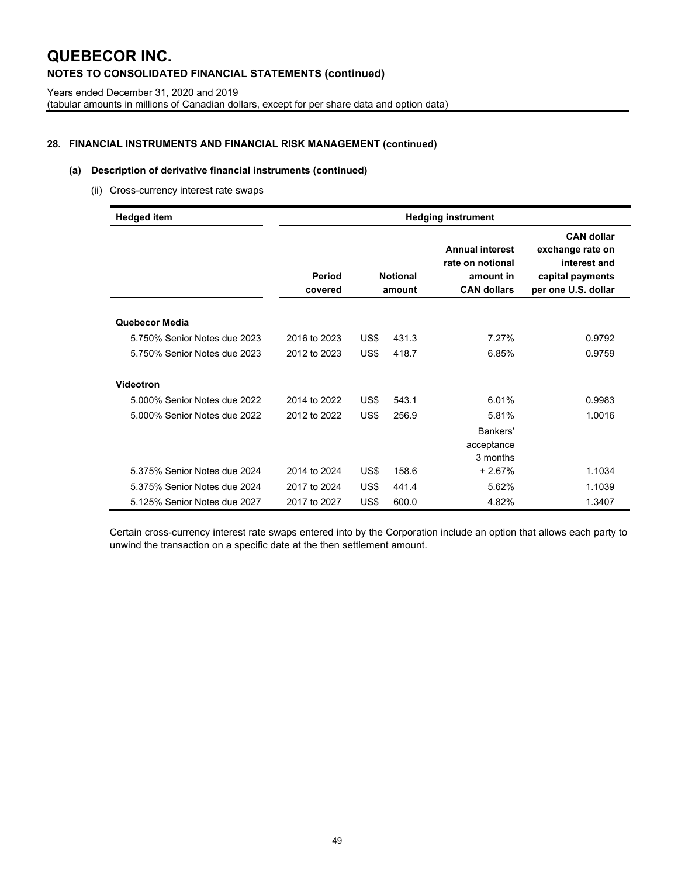## **28. FINANCIAL INSTRUMENTS AND FINANCIAL RISK MANAGEMENT (continued)**

## **(a) Description of derivative financial instruments (continued)**

## (ii) Cross-currency interest rate swaps

| <b>Hedged item</b>           | <b>Hedging instrument</b> |                           |       |                                                                               |                                                                                                  |  |  |  |  |
|------------------------------|---------------------------|---------------------------|-------|-------------------------------------------------------------------------------|--------------------------------------------------------------------------------------------------|--|--|--|--|
|                              | Period<br>covered         | <b>Notional</b><br>amount |       | <b>Annual interest</b><br>rate on notional<br>amount in<br><b>CAN dollars</b> | <b>CAN dollar</b><br>exchange rate on<br>interest and<br>capital payments<br>per one U.S. dollar |  |  |  |  |
| Quebecor Media               |                           |                           |       |                                                                               |                                                                                                  |  |  |  |  |
| 5.750% Senior Notes due 2023 | 2016 to 2023              | US\$                      | 431.3 | 7.27%                                                                         | 0.9792                                                                                           |  |  |  |  |
| 5.750% Senior Notes due 2023 | 2012 to 2023              | US\$                      | 418.7 | 6.85%                                                                         | 0.9759                                                                                           |  |  |  |  |
| <b>Videotron</b>             |                           |                           |       |                                                                               |                                                                                                  |  |  |  |  |
| 5.000% Senior Notes due 2022 | 2014 to 2022              | US\$                      | 543.1 | 6.01%                                                                         | 0.9983                                                                                           |  |  |  |  |
| 5.000% Senior Notes due 2022 | 2012 to 2022              | US\$                      | 256.9 | 5.81%                                                                         | 1.0016                                                                                           |  |  |  |  |
|                              |                           |                           |       | Bankers'<br>acceptance<br>3 months                                            |                                                                                                  |  |  |  |  |
| 5.375% Senior Notes due 2024 | 2014 to 2024              | US\$                      | 158.6 | $+2.67%$                                                                      | 1.1034                                                                                           |  |  |  |  |
| 5.375% Senior Notes due 2024 | 2017 to 2024              | US\$                      | 441.4 | 5.62%                                                                         | 1.1039                                                                                           |  |  |  |  |
| 5.125% Senior Notes due 2027 | 2017 to 2027              | US\$                      | 600.0 | 4.82%                                                                         | 1.3407                                                                                           |  |  |  |  |

Certain cross-currency interest rate swaps entered into by the Corporation include an option that allows each party to unwind the transaction on a specific date at the then settlement amount.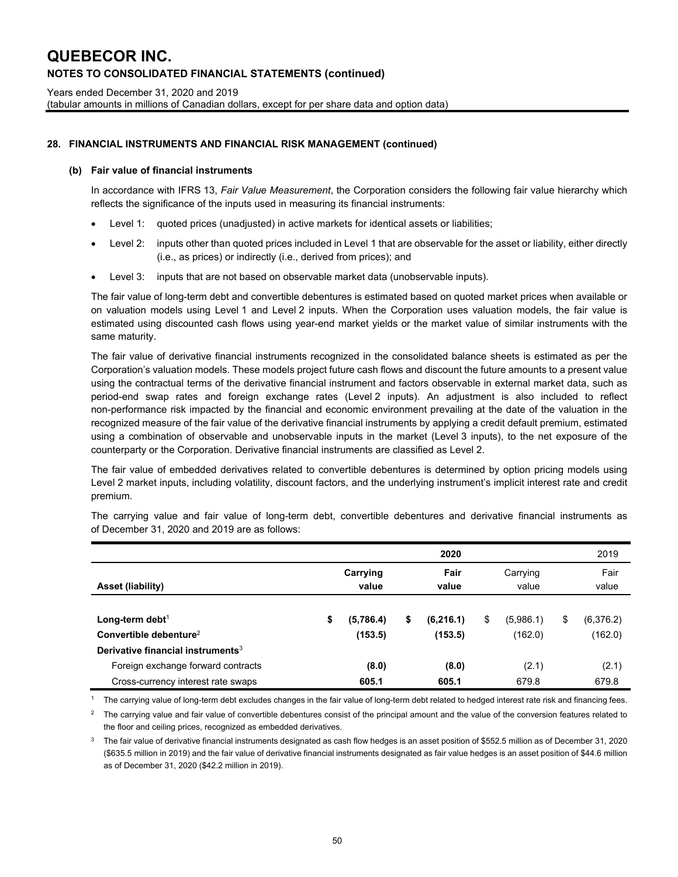Years ended December 31, 2020 and 2019 (tabular amounts in millions of Canadian dollars, except for per share data and option data)

### **28. FINANCIAL INSTRUMENTS AND FINANCIAL RISK MANAGEMENT (continued)**

### **(b) Fair value of financial instruments**

In accordance with IFRS 13, *Fair Value Measurement*, the Corporation considers the following fair value hierarchy which reflects the significance of the inputs used in measuring its financial instruments:

- Level 1: quoted prices (unadjusted) in active markets for identical assets or liabilities;
- Level 2: inputs other than quoted prices included in Level 1 that are observable for the asset or liability, either directly (i.e., as prices) or indirectly (i.e., derived from prices); and
- Level 3: inputs that are not based on observable market data (unobservable inputs).

The fair value of long-term debt and convertible debentures is estimated based on quoted market prices when available or on valuation models using Level 1 and Level 2 inputs. When the Corporation uses valuation models, the fair value is estimated using discounted cash flows using year-end market yields or the market value of similar instruments with the same maturity.

The fair value of derivative financial instruments recognized in the consolidated balance sheets is estimated as per the Corporation's valuation models. These models project future cash flows and discount the future amounts to a present value using the contractual terms of the derivative financial instrument and factors observable in external market data, such as period-end swap rates and foreign exchange rates (Level 2 inputs). An adjustment is also included to reflect non-performance risk impacted by the financial and economic environment prevailing at the date of the valuation in the recognized measure of the fair value of the derivative financial instruments by applying a credit default premium, estimated using a combination of observable and unobservable inputs in the market (Level 3 inputs), to the net exposure of the counterparty or the Corporation. Derivative financial instruments are classified as Level 2.

The fair value of embedded derivatives related to convertible debentures is determined by option pricing models using Level 2 market inputs, including volatility, discount factors, and the underlying instrument's implicit interest rate and credit premium.

|                                      |                   | 2020            |                   | 2019            |
|--------------------------------------|-------------------|-----------------|-------------------|-----------------|
| Asset (liability)                    | Carrying<br>value | Fair<br>value   | Carrying<br>value | Fair<br>value   |
| Long-term debt $1$                   | \$<br>(5,786.4)   | \$<br>(6,216.1) | \$<br>(5,986.1)   | \$<br>(6,376.2) |
| Convertible debenture <sup>2</sup>   | (153.5)           | (153.5)         | (162.0)           | (162.0)         |
| Derivative financial instruments $3$ |                   |                 |                   |                 |
| Foreign exchange forward contracts   | (8.0)             | (8.0)           | (2.1)             | (2.1)           |
| Cross-currency interest rate swaps   | 605.1             | 605.1           | 679.8             | 679.8           |

The carrying value and fair value of long-term debt, convertible debentures and derivative financial instruments as of December 31, 2020 and 2019 are as follows:

1 The carrying value of long-term debt excludes changes in the fair value of long-term debt related to hedged interest rate risk and financing fees.

 $2$  The carrying value and fair value of convertible debentures consist of the principal amount and the value of the conversion features related to the floor and ceiling prices, recognized as embedded derivatives.

<sup>3</sup> The fair value of derivative financial instruments designated as cash flow hedges is an asset position of \$552.5 million as of December 31, 2020 (\$635.5 million in 2019) and the fair value of derivative financial instruments designated as fair value hedges is an asset position of \$44.6 million as of December 31, 2020 (\$42.2 million in 2019).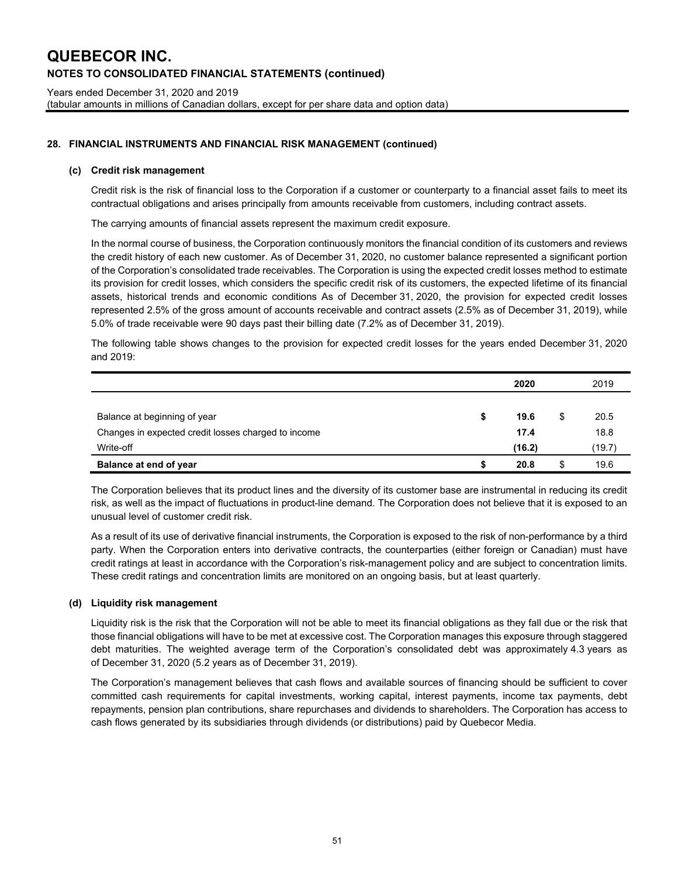Years ended December 31, 2020 and 2019 (tabular amounts in millions of Canadian dollars, except for per share data and option data)

## **28. FINANCIAL INSTRUMENTS AND FINANCIAL RISK MANAGEMENT (continued)**

### **(c) Credit risk management**

Credit risk is the risk of financial loss to the Corporation if a customer or counterparty to a financial asset fails to meet its contractual obligations and arises principally from amounts receivable from customers, including contract assets.

The carrying amounts of financial assets represent the maximum credit exposure.

In the normal course of business, the Corporation continuously monitors the financial condition of its customers and reviews the credit history of each new customer. As of December 31, 2020, no customer balance represented a significant portion of the Corporation's consolidated trade receivables. The Corporation is using the expected credit losses method to estimate its provision for credit losses, which considers the specific credit risk of its customers, the expected lifetime of its financial assets, historical trends and economic conditions As of December 31, 2020, the provision for expected credit losses represented 2.5% of the gross amount of accounts receivable and contract assets (2.5% as of December 31, 2019), while 5.0% of trade receivable were 90 days past their billing date (7.2% as of December 31, 2019).

The following table shows changes to the provision for expected credit losses for the years ended December 31, 2020 and 2019:

|                                                     |   | 2020   |    | 2019   |
|-----------------------------------------------------|---|--------|----|--------|
|                                                     |   |        |    |        |
| Balance at beginning of year                        | S | 19.6   | \$ | 20.5   |
| Changes in expected credit losses charged to income |   | 17.4   |    | 18.8   |
| Write-off                                           |   | (16.2) |    | (19.7) |
| Balance at end of year                              | S | 20.8   | S  | 19.6   |

The Corporation believes that its product lines and the diversity of its customer base are instrumental in reducing its credit risk, as well as the impact of fluctuations in product-line demand. The Corporation does not believe that it is exposed to an unusual level of customer credit risk.

As a result of its use of derivative financial instruments, the Corporation is exposed to the risk of non-performance by a third party. When the Corporation enters into derivative contracts, the counterparties (either foreign or Canadian) must have credit ratings at least in accordance with the Corporation's risk-management policy and are subject to concentration limits. These credit ratings and concentration limits are monitored on an ongoing basis, but at least quarterly.

### **(d) Liquidity risk management**

Liquidity risk is the risk that the Corporation will not be able to meet its financial obligations as they fall due or the risk that those financial obligations will have to be met at excessive cost. The Corporation manages this exposure through staggered debt maturities. The weighted average term of the Corporation's consolidated debt was approximately 4.3 years as of December 31, 2020 (5.2 years as of December 31, 2019).

The Corporation's management believes that cash flows and available sources of financing should be sufficient to cover committed cash requirements for capital investments, working capital, interest payments, income tax payments, debt repayments, pension plan contributions, share repurchases and dividends to shareholders. The Corporation has access to cash flows generated by its subsidiaries through dividends (or distributions) paid by Quebecor Media.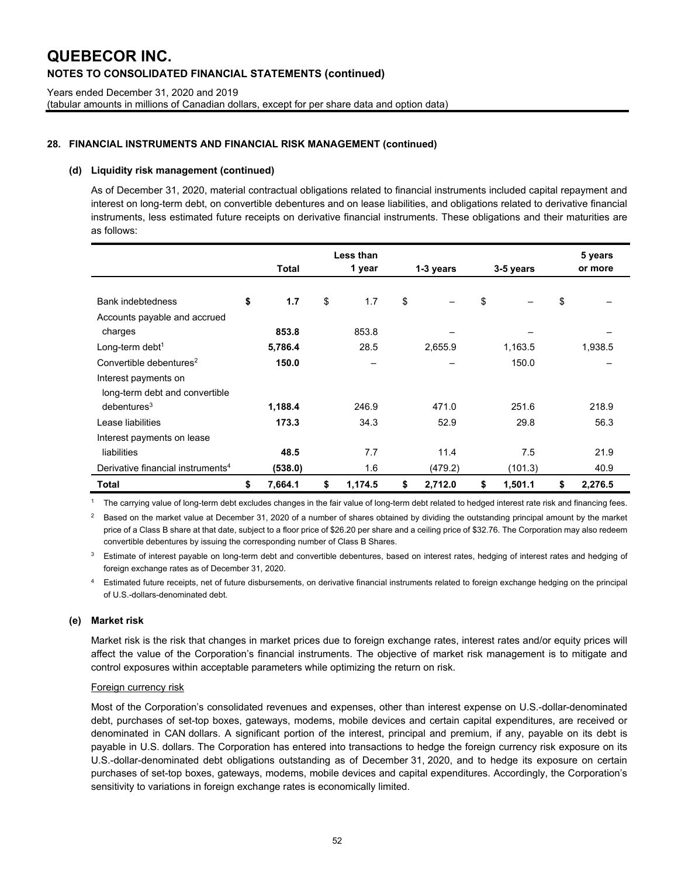## **28. FINANCIAL INSTRUMENTS AND FINANCIAL RISK MANAGEMENT (continued)**

### **(d) Liquidity risk management (continued)**

As of December 31, 2020, material contractual obligations related to financial instruments included capital repayment and interest on long-term debt, on convertible debentures and on lease liabilities, and obligations related to derivative financial instruments, less estimated future receipts on derivative financial instruments. These obligations and their maturities are as follows:

|                                                        | <b>Total</b>  | Less than<br>1 year |         | 3-5 years<br>1-3 years |         |               |               | 5 years<br>or more |
|--------------------------------------------------------|---------------|---------------------|---------|------------------------|---------|---------------|---------------|--------------------|
|                                                        |               |                     |         |                        |         |               |               |                    |
| <b>Bank indebtedness</b>                               | \$<br>1.7     | \$                  | 1.7     | \$                     |         | \$            | \$            |                    |
| Accounts payable and accrued                           |               |                     |         |                        |         |               |               |                    |
| charges                                                | 853.8         |                     | 853.8   |                        |         |               |               |                    |
| Long-term debt <sup>1</sup>                            | 5,786.4       |                     | 28.5    |                        | 2,655.9 | 1,163.5       | 1,938.5       |                    |
| Convertible debentures <sup>2</sup>                    | 150.0         |                     | -       |                        |         | 150.0         |               |                    |
| Interest payments on<br>long-term debt and convertible |               |                     |         |                        |         |               |               |                    |
| debentures <sup>3</sup>                                | 1,188.4       |                     | 246.9   |                        | 471.0   | 251.6         | 218.9         |                    |
| Lease liabilities                                      | 173.3         |                     | 34.3    |                        | 52.9    | 29.8          | 56.3          |                    |
| Interest payments on lease                             |               |                     |         |                        |         |               |               |                    |
| liabilities                                            | 48.5          |                     | 7.7     |                        | 11.4    | 7.5           | 21.9          |                    |
| Derivative financial instruments <sup>4</sup>          | (538.0)       |                     | 1.6     |                        | (479.2) | (101.3)       | 40.9          |                    |
| <b>Total</b>                                           | \$<br>7,664.1 | \$                  | 1,174.5 | \$                     | 2,712.0 | \$<br>1,501.1 | \$<br>2,276.5 |                    |

<sup>1</sup> The carrying value of long-term debt excludes changes in the fair value of long-term debt related to hedged interest rate risk and financing fees.

<sup>2</sup> Based on the market value at December 31, 2020 of a number of shares obtained by dividing the outstanding principal amount by the market price of a Class B share at that date, subject to a floor price of \$26.20 per share and a ceiling price of \$32.76. The Corporation may also redeem convertible debentures by issuing the corresponding number of Class B Shares.

Estimate of interest payable on long-term debt and convertible debentures, based on interest rates, hedging of interest rates and hedging of foreign exchange rates as of December 31, 2020.

4 Estimated future receipts, net of future disbursements, on derivative financial instruments related to foreign exchange hedging on the principal of U.S.-dollars-denominated debt*.* 

## **(e) Market risk**

Market risk is the risk that changes in market prices due to foreign exchange rates, interest rates and/or equity prices will affect the value of the Corporation's financial instruments. The objective of market risk management is to mitigate and control exposures within acceptable parameters while optimizing the return on risk.

### Foreign currency risk

Most of the Corporation's consolidated revenues and expenses, other than interest expense on U.S.-dollar-denominated debt, purchases of set-top boxes, gateways, modems, mobile devices and certain capital expenditures, are received or denominated in CAN dollars. A significant portion of the interest, principal and premium, if any, payable on its debt is payable in U.S. dollars. The Corporation has entered into transactions to hedge the foreign currency risk exposure on its U.S.-dollar-denominated debt obligations outstanding as of December 31, 2020, and to hedge its exposure on certain purchases of set-top boxes, gateways, modems, mobile devices and capital expenditures. Accordingly, the Corporation's sensitivity to variations in foreign exchange rates is economically limited.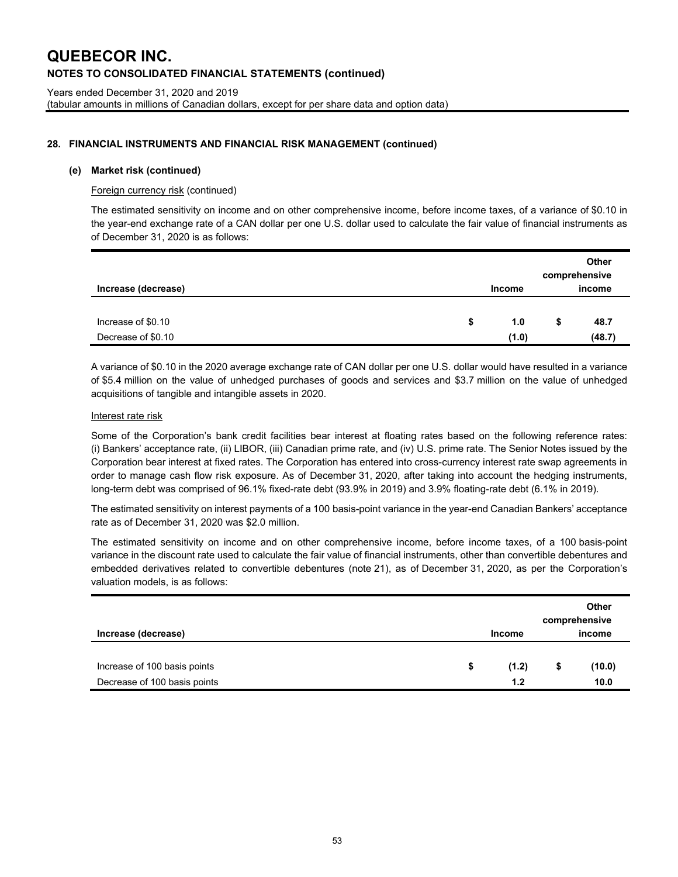### **28. FINANCIAL INSTRUMENTS AND FINANCIAL RISK MANAGEMENT (continued)**

### **(e) Market risk (continued)**

## Foreign currency risk (continued)

The estimated sensitivity on income and on other comprehensive income, before income taxes, of a variance of \$0.10 in the year-end exchange rate of a CAN dollar per one U.S. dollar used to calculate the fair value of financial instruments as of December 31, 2020 is as follows:

| Increase (decrease) | <b>Income</b> |   | Other<br>comprehensive<br>income |
|---------------------|---------------|---|----------------------------------|
| Increase of \$0.10  | \$<br>1.0     | S | 48.7                             |
| Decrease of \$0.10  | (1.0)         |   | (48.7)                           |

A variance of \$0.10 in the 2020 average exchange rate of CAN dollar per one U.S. dollar would have resulted in a variance of \$5.4 million on the value of unhedged purchases of goods and services and \$3.7 million on the value of unhedged acquisitions of tangible and intangible assets in 2020.

## Interest rate risk

Some of the Corporation's bank credit facilities bear interest at floating rates based on the following reference rates: (i) Bankers' acceptance rate, (ii) LIBOR, (iii) Canadian prime rate, and (iv) U.S. prime rate. The Senior Notes issued by the Corporation bear interest at fixed rates. The Corporation has entered into cross-currency interest rate swap agreements in order to manage cash flow risk exposure. As of December 31, 2020, after taking into account the hedging instruments, long-term debt was comprised of 96.1% fixed-rate debt (93.9% in 2019) and 3.9% floating-rate debt (6.1% in 2019).

The estimated sensitivity on interest payments of a 100 basis-point variance in the year-end Canadian Bankers' acceptance rate as of December 31, 2020 was \$2.0 million.

The estimated sensitivity on income and on other comprehensive income, before income taxes, of a 100 basis-point variance in the discount rate used to calculate the fair value of financial instruments, other than convertible debentures and embedded derivatives related to convertible debentures (note 21), as of December 31, 2020, as per the Corporation's valuation models, is as follows:

| Increase (decrease)                                          | <b>Income</b>      |   | Other<br>comprehensive<br>income |
|--------------------------------------------------------------|--------------------|---|----------------------------------|
| Increase of 100 basis points<br>Decrease of 100 basis points | \$<br>(1.2)<br>1.2 | э | (10.0)<br>10.0                   |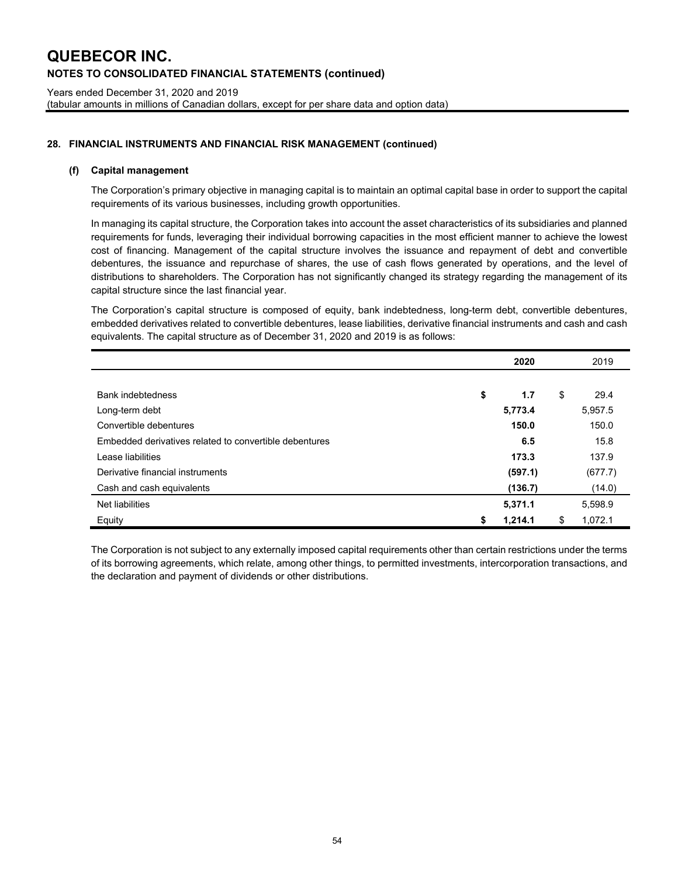Years ended December 31, 2020 and 2019 (tabular amounts in millions of Canadian dollars, except for per share data and option data)

## **28. FINANCIAL INSTRUMENTS AND FINANCIAL RISK MANAGEMENT (continued)**

### **(f) Capital management**

The Corporation's primary objective in managing capital is to maintain an optimal capital base in order to support the capital requirements of its various businesses, including growth opportunities.

In managing its capital structure, the Corporation takes into account the asset characteristics of its subsidiaries and planned requirements for funds, leveraging their individual borrowing capacities in the most efficient manner to achieve the lowest cost of financing. Management of the capital structure involves the issuance and repayment of debt and convertible debentures, the issuance and repurchase of shares, the use of cash flows generated by operations, and the level of distributions to shareholders. The Corporation has not significantly changed its strategy regarding the management of its capital structure since the last financial year.

The Corporation's capital structure is composed of equity, bank indebtedness, long-term debt, convertible debentures, embedded derivatives related to convertible debentures, lease liabilities, derivative financial instruments and cash and cash equivalents. The capital structure as of December 31, 2020 and 2019 is as follows:

|                                                        | 2020          | 2019          |
|--------------------------------------------------------|---------------|---------------|
|                                                        |               |               |
| <b>Bank indebtedness</b>                               | \$<br>1.7     | \$<br>29.4    |
| Long-term debt                                         | 5,773.4       | 5,957.5       |
| Convertible debentures                                 | 150.0         | 150.0         |
| Embedded derivatives related to convertible debentures | 6.5           | 15.8          |
| Lease liabilities                                      | 173.3         | 137.9         |
| Derivative financial instruments                       | (597.1)       | (677.7)       |
| Cash and cash equivalents                              | (136.7)       | (14.0)        |
| Net liabilities                                        | 5,371.1       | 5,598.9       |
| Equity                                                 | \$<br>1,214.1 | \$<br>1,072.1 |

The Corporation is not subject to any externally imposed capital requirements other than certain restrictions under the terms of its borrowing agreements, which relate, among other things, to permitted investments, intercorporation transactions, and the declaration and payment of dividends or other distributions.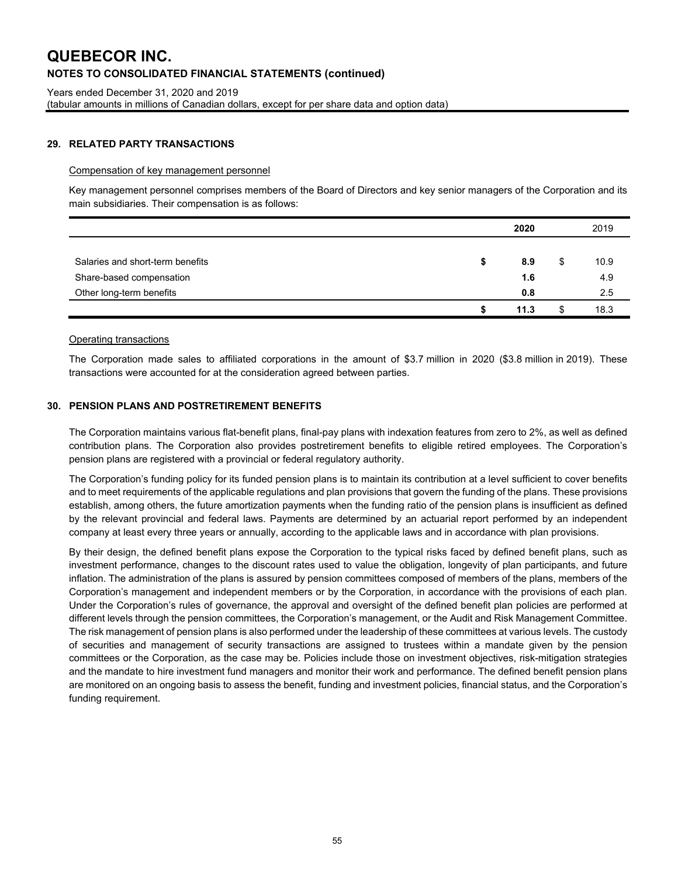Years ended December 31, 2020 and 2019 (tabular amounts in millions of Canadian dollars, except for per share data and option data)

### **29. RELATED PARTY TRANSACTIONS**

#### Compensation of key management personnel

Key management personnel comprises members of the Board of Directors and key senior managers of the Corporation and its main subsidiaries. Their compensation is as follows:

|                                  | 2020 | 2019       |
|----------------------------------|------|------------|
|                                  |      |            |
| Salaries and short-term benefits | 8.9  | \$<br>10.9 |
| Share-based compensation         | 1.6  | 4.9        |
| Other long-term benefits         | 0.8  | 2.5        |
|                                  | 11.3 | \$<br>18.3 |

#### Operating transactions

The Corporation made sales to affiliated corporations in the amount of \$3.7 million in 2020 (\$3.8 million in 2019). These transactions were accounted for at the consideration agreed between parties.

### **30. PENSION PLANS AND POSTRETIREMENT BENEFITS**

The Corporation maintains various flat-benefit plans, final-pay plans with indexation features from zero to 2%, as well as defined contribution plans. The Corporation also provides postretirement benefits to eligible retired employees. The Corporation's pension plans are registered with a provincial or federal regulatory authority.

The Corporation's funding policy for its funded pension plans is to maintain its contribution at a level sufficient to cover benefits and to meet requirements of the applicable regulations and plan provisions that govern the funding of the plans. These provisions establish, among others, the future amortization payments when the funding ratio of the pension plans is insufficient as defined by the relevant provincial and federal laws. Payments are determined by an actuarial report performed by an independent company at least every three years or annually, according to the applicable laws and in accordance with plan provisions.

By their design, the defined benefit plans expose the Corporation to the typical risks faced by defined benefit plans, such as investment performance, changes to the discount rates used to value the obligation, longevity of plan participants, and future inflation. The administration of the plans is assured by pension committees composed of members of the plans, members of the Corporation's management and independent members or by the Corporation, in accordance with the provisions of each plan. Under the Corporation's rules of governance, the approval and oversight of the defined benefit plan policies are performed at different levels through the pension committees, the Corporation's management, or the Audit and Risk Management Committee. The risk management of pension plans is also performed under the leadership of these committees at various levels. The custody of securities and management of security transactions are assigned to trustees within a mandate given by the pension committees or the Corporation, as the case may be. Policies include those on investment objectives, risk-mitigation strategies and the mandate to hire investment fund managers and monitor their work and performance. The defined benefit pension plans are monitored on an ongoing basis to assess the benefit, funding and investment policies, financial status, and the Corporation's funding requirement.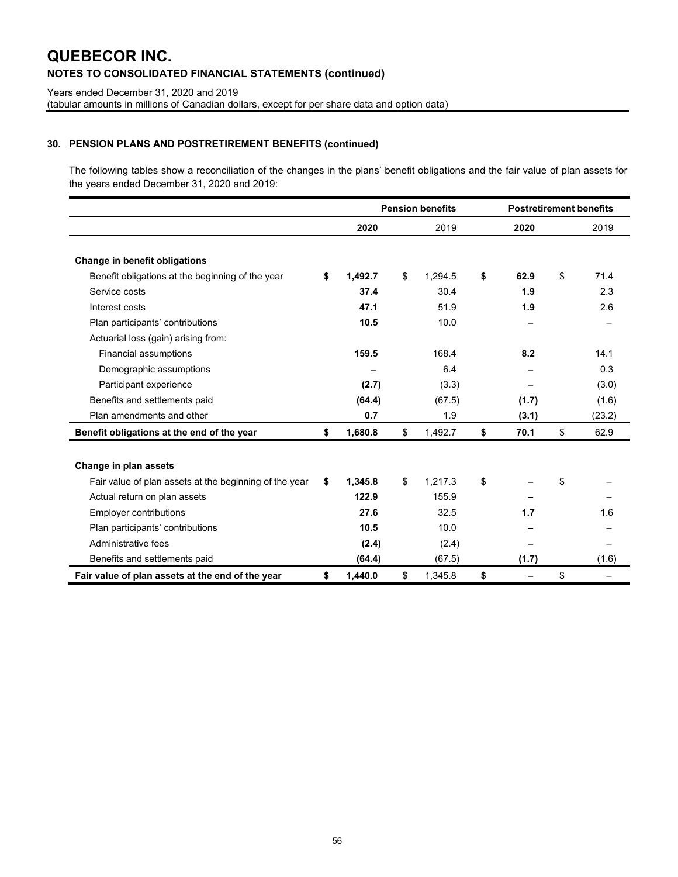## **30. PENSION PLANS AND POSTRETIREMENT BENEFITS (continued)**

The following tables show a reconciliation of the changes in the plans' benefit obligations and the fair value of plan assets for the years ended December 31, 2020 and 2019:

|                                                        |               | <b>Pension benefits</b> | <b>Postretirement benefits</b> |    |        |  |
|--------------------------------------------------------|---------------|-------------------------|--------------------------------|----|--------|--|
|                                                        | 2020          | 2019                    | 2020                           |    | 2019   |  |
| Change in benefit obligations                          |               |                         |                                |    |        |  |
| Benefit obligations at the beginning of the year       | \$<br>1.492.7 | \$<br>1,294.5           | \$<br>62.9                     | \$ | 71.4   |  |
| Service costs                                          | 37.4          | 30.4                    | 1.9                            |    | 2.3    |  |
| Interest costs                                         | 47.1          | 51.9                    | 1.9                            |    | 2.6    |  |
| Plan participants' contributions                       | 10.5          | 10.0                    |                                |    |        |  |
| Actuarial loss (gain) arising from:                    |               |                         |                                |    |        |  |
| Financial assumptions                                  | 159.5         | 168.4                   | 8.2                            |    | 14.1   |  |
| Demographic assumptions                                |               | 6.4                     |                                |    | 0.3    |  |
| Participant experience                                 | (2.7)         | (3.3)                   |                                |    | (3.0)  |  |
| Benefits and settlements paid                          | (64.4)        | (67.5)                  | (1.7)                          |    | (1.6)  |  |
| Plan amendments and other                              | 0.7           | 1.9                     | (3.1)                          |    | (23.2) |  |
| Benefit obligations at the end of the year             | \$<br>1,680.8 | \$<br>1,492.7           | \$<br>70.1                     | \$ | 62.9   |  |
| Change in plan assets                                  |               |                         |                                |    |        |  |
| Fair value of plan assets at the beginning of the year | \$<br>1,345.8 | \$<br>1,217.3           | \$                             | \$ |        |  |
| Actual return on plan assets                           | 122.9         | 155.9                   |                                |    |        |  |
| Employer contributions                                 | 27.6          | 32.5                    | 1.7                            |    | 1.6    |  |
| Plan participants' contributions                       | 10.5          | 10.0                    |                                |    |        |  |
| Administrative fees                                    | (2.4)         | (2.4)                   |                                |    |        |  |
| Benefits and settlements paid                          | (64.4)        | (67.5)                  | (1.7)                          |    | (1.6)  |  |
| Fair value of plan assets at the end of the year       | \$<br>1.440.0 | \$<br>1,345.8           | \$                             | \$ |        |  |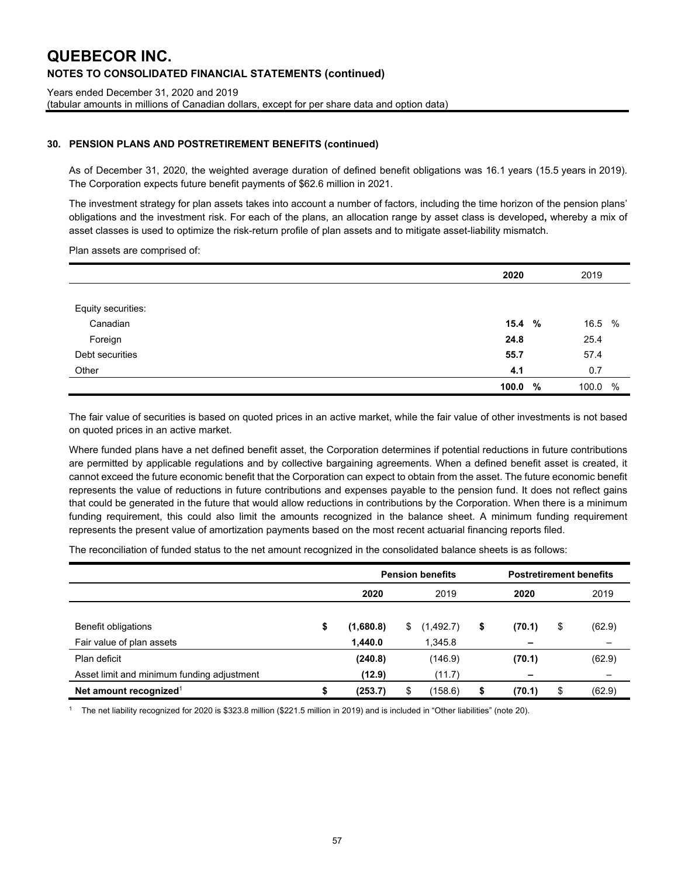### **30. PENSION PLANS AND POSTRETIREMENT BENEFITS (continued)**

As of December 31, 2020, the weighted average duration of defined benefit obligations was 16.1 years (15.5 years in 2019). The Corporation expects future benefit payments of \$62.6 million in 2021.

The investment strategy for plan assets takes into account a number of factors, including the time horizon of the pension plans' obligations and the investment risk. For each of the plans, an allocation range by asset class is developed**,** whereby a mix of asset classes is used to optimize the risk-return profile of plan assets and to mitigate asset-liability mismatch.

Plan assets are comprised of:

|                    | 2020   | 2019       |      |
|--------------------|--------|------------|------|
|                    |        |            |      |
| Equity securities: |        |            |      |
| Canadian           | 15.4 % | 16.5 %     |      |
| Foreign            | 24.8   | 25.4       |      |
| Debt securities    | 55.7   | 57.4       |      |
| Other              | 4.1    | 0.7        |      |
|                    | 100.0  | %<br>100.0 | $\%$ |

The fair value of securities is based on quoted prices in an active market, while the fair value of other investments is not based on quoted prices in an active market.

Where funded plans have a net defined benefit asset, the Corporation determines if potential reductions in future contributions are permitted by applicable regulations and by collective bargaining agreements. When a defined benefit asset is created, it cannot exceed the future economic benefit that the Corporation can expect to obtain from the asset. The future economic benefit represents the value of reductions in future contributions and expenses payable to the pension fund. It does not reflect gains that could be generated in the future that would allow reductions in contributions by the Corporation. When there is a minimum funding requirement, this could also limit the amounts recognized in the balance sheet. A minimum funding requirement represents the present value of amortization payments based on the most recent actuarial financing reports filed.

The reconciliation of funded status to the net amount recognized in the consolidated balance sheets is as follows:

|                                            | <b>Pension benefits</b> |           |    |           |    | <b>Postretirement benefits</b> |    |        |
|--------------------------------------------|-------------------------|-----------|----|-----------|----|--------------------------------|----|--------|
|                                            |                         | 2020      |    | 2019      |    | 2020                           |    | 2019   |
|                                            |                         |           |    |           |    |                                |    |        |
| Benefit obligations                        | \$                      | (1,680.8) | \$ | (1,492.7) | \$ | (70.1)                         | \$ | (62.9) |
| Fair value of plan assets                  |                         | 1,440.0   |    | 1,345.8   |    | -                              |    |        |
| Plan deficit                               |                         | (240.8)   |    | (146.9)   |    | (70.1)                         |    | (62.9) |
| Asset limit and minimum funding adjustment |                         | (12.9)    |    | (11.7)    |    | -                              |    |        |
| Net amount recognized <sup>1</sup>         | S                       | (253.7)   | \$ | (158.6)   |    | (70.1)                         | \$ | (62.9) |

1 The net liability recognized for 2020 is \$323.8 million (\$221.5 million in 2019) and is included in "Other liabilities" (note 20).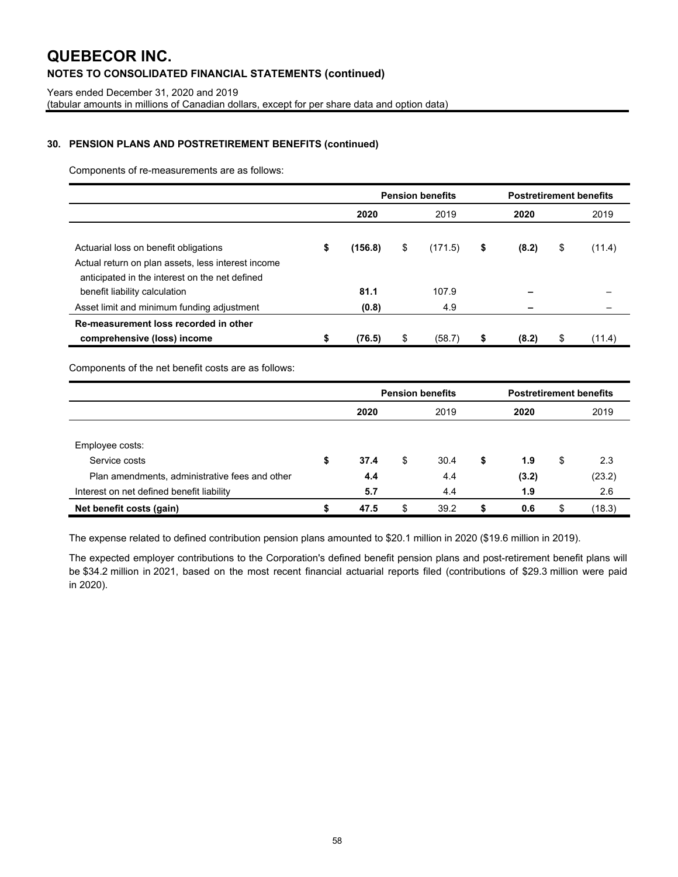## **30. PENSION PLANS AND POSTRETIREMENT BENEFITS (continued)**

Components of re-measurements are as follows:

|                                                                                                                                               |               | <b>Pension benefits</b> | <b>Postretirement benefits</b> |              |
|-----------------------------------------------------------------------------------------------------------------------------------------------|---------------|-------------------------|--------------------------------|--------------|
|                                                                                                                                               | 2020          | 2019                    | 2020                           | 2019         |
| Actuarial loss on benefit obligations<br>Actual return on plan assets, less interest income<br>anticipated in the interest on the net defined | \$<br>(156.8) | \$<br>(171.5)           | \$<br>(8.2)                    | \$<br>(11.4) |
| benefit liability calculation                                                                                                                 | 81.1          | 107.9                   |                                |              |
| Asset limit and minimum funding adjustment                                                                                                    | (0.8)         | 4.9                     |                                |              |
| Re-measurement loss recorded in other                                                                                                         |               |                         |                                |              |
| comprehensive (loss) income                                                                                                                   | \$<br>(76.5)  | \$<br>(58.7)            | (8.2)                          | \$<br>(11.4) |

Components of the net benefit costs are as follows:

|                                                | <b>Pension benefits</b> |      |    |      |   | <b>Postretirement benefits</b> |   |        |  |
|------------------------------------------------|-------------------------|------|----|------|---|--------------------------------|---|--------|--|
|                                                |                         | 2020 |    | 2019 |   | 2020                           |   | 2019   |  |
|                                                |                         |      |    |      |   |                                |   |        |  |
| Employee costs:                                |                         |      |    |      |   |                                |   |        |  |
| Service costs                                  | S                       | 37.4 | \$ | 30.4 | S | 1.9                            | S | 2.3    |  |
| Plan amendments, administrative fees and other |                         | 4.4  |    | 4.4  |   | (3.2)                          |   | (23.2) |  |
| Interest on net defined benefit liability      |                         | 5.7  |    | 4.4  |   | 1.9                            |   | 2.6    |  |
| Net benefit costs (gain)                       |                         | 47.5 | \$ | 39.2 |   | 0.6                            | S | (18.3) |  |

The expense related to defined contribution pension plans amounted to \$20.1 million in 2020 (\$19.6 million in 2019).

The expected employer contributions to the Corporation's defined benefit pension plans and post-retirement benefit plans will be \$34.2 million in 2021, based on the most recent financial actuarial reports filed (contributions of \$29.3 million were paid in 2020).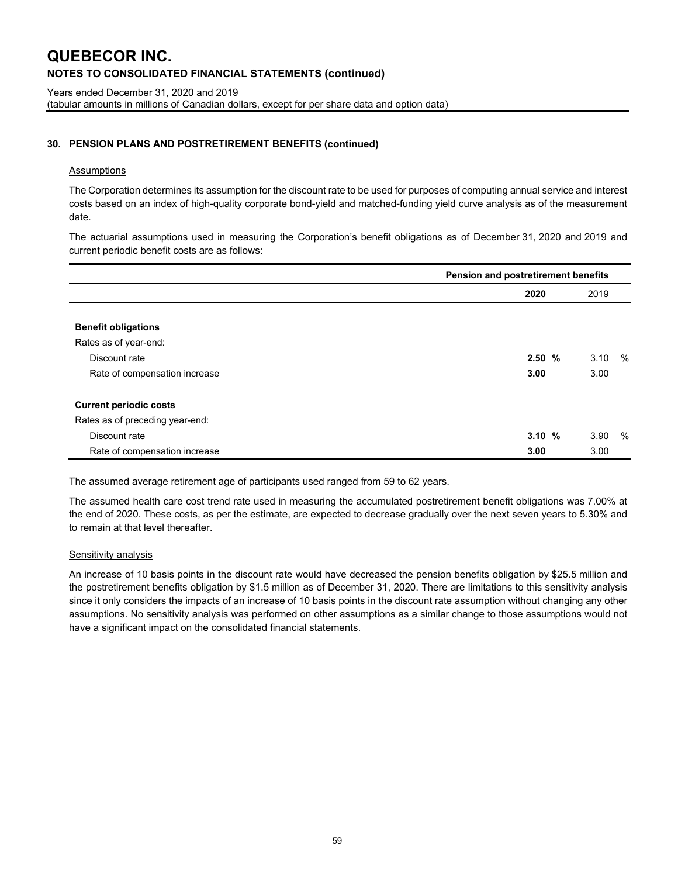Years ended December 31, 2020 and 2019 (tabular amounts in millions of Canadian dollars, except for per share data and option data)

## **30. PENSION PLANS AND POSTRETIREMENT BENEFITS (continued)**

### **Assumptions**

The Corporation determines its assumption for the discount rate to be used for purposes of computing annual service and interest costs based on an index of high-quality corporate bond-yield and matched-funding yield curve analysis as of the measurement date.

The actuarial assumptions used in measuring the Corporation's benefit obligations as of December 31, 2020 and 2019 and current periodic benefit costs are as follows:

|                                 | Pension and postretirement benefits |
|---------------------------------|-------------------------------------|
|                                 | 2019<br>2020                        |
|                                 |                                     |
| <b>Benefit obligations</b>      |                                     |
| Rates as of year-end:           |                                     |
| Discount rate                   | 2.50%<br>3.10<br>%                  |
| Rate of compensation increase   | 3.00<br>3.00                        |
| <b>Current periodic costs</b>   |                                     |
| Rates as of preceding year-end: |                                     |
| Discount rate                   | 3.10%<br>%<br>3.90                  |
| Rate of compensation increase   | 3.00<br>3.00                        |

The assumed average retirement age of participants used ranged from 59 to 62 years.

The assumed health care cost trend rate used in measuring the accumulated postretirement benefit obligations was 7.00% at the end of 2020. These costs, as per the estimate, are expected to decrease gradually over the next seven years to 5.30% and to remain at that level thereafter.

### Sensitivity analysis

An increase of 10 basis points in the discount rate would have decreased the pension benefits obligation by \$25.5 million and the postretirement benefits obligation by \$1.5 million as of December 31, 2020. There are limitations to this sensitivity analysis since it only considers the impacts of an increase of 10 basis points in the discount rate assumption without changing any other assumptions. No sensitivity analysis was performed on other assumptions as a similar change to those assumptions would not have a significant impact on the consolidated financial statements.